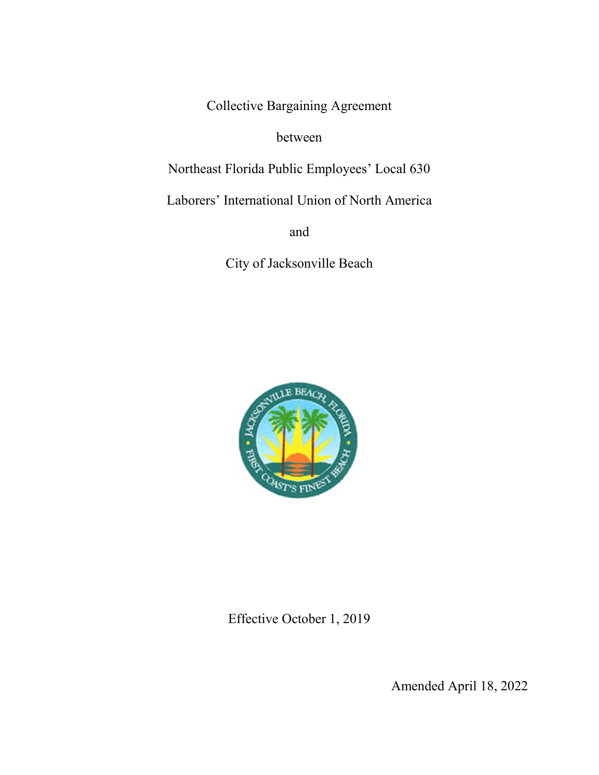Collective Bargaining Agreement

between

Northeast Florida Public Employees' Local 630

Laborers' International Union of North America

and

City of Jacksonville Beach



Effective October 1, 2019

Amended April 18, 2022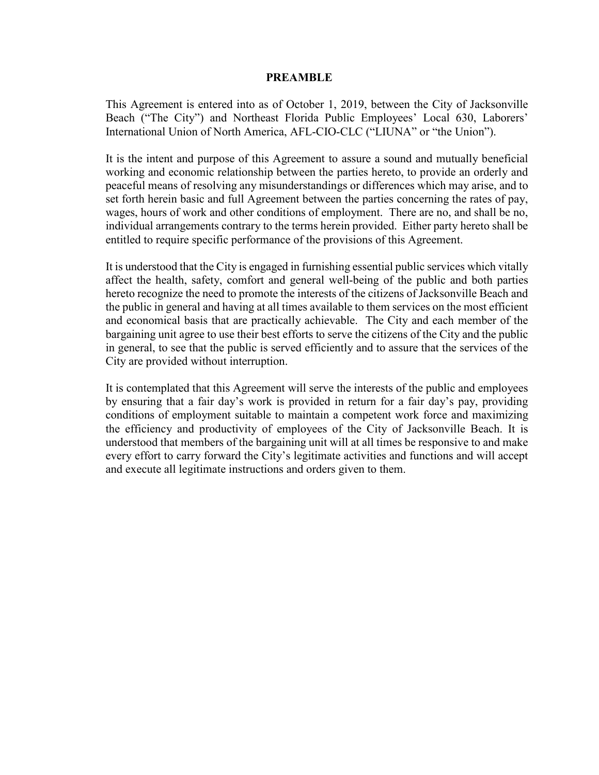#### **PREAMBLE**

This Agreement is entered into as of October 1, 2019, between the City of Jacksonville Beach ("The City") and Northeast Florida Public Employees' Local 630, Laborers' International Union of North America, AFL-CIO-CLC ("LIUNA" or "the Union").

It is the intent and purpose of this Agreement to assure a sound and mutually beneficial working and economic relationship between the parties hereto, to provide an orderly and peaceful means of resolving any misunderstandings or differences which may arise, and to set forth herein basic and full Agreement between the parties concerning the rates of pay, wages, hours of work and other conditions of employment. There are no, and shall be no, individual arrangements contrary to the terms herein provided. Either party hereto shall be entitled to require specific performance of the provisions of this Agreement.

It is understood that the City is engaged in furnishing essential public services which vitally affect the health, safety, comfort and general well-being of the public and both parties hereto recognize the need to promote the interests of the citizens of Jacksonville Beach and the public in general and having at all times available to them services on the most efficient and economical basis that are practically achievable. The City and each member of the bargaining unit agree to use their best efforts to serve the citizens of the City and the public in general, to see that the public is served efficiently and to assure that the services of the City are provided without interruption.

It is contemplated that this Agreement will serve the interests of the public and employees by ensuring that a fair day's work is provided in return for a fair day's pay, providing conditions of employment suitable to maintain a competent work force and maximizing the efficiency and productivity of employees of the City of Jacksonville Beach. It is understood that members of the bargaining unit will at all times be responsive to and make every effort to carry forward the City's legitimate activities and functions and will accept and execute all legitimate instructions and orders given to them.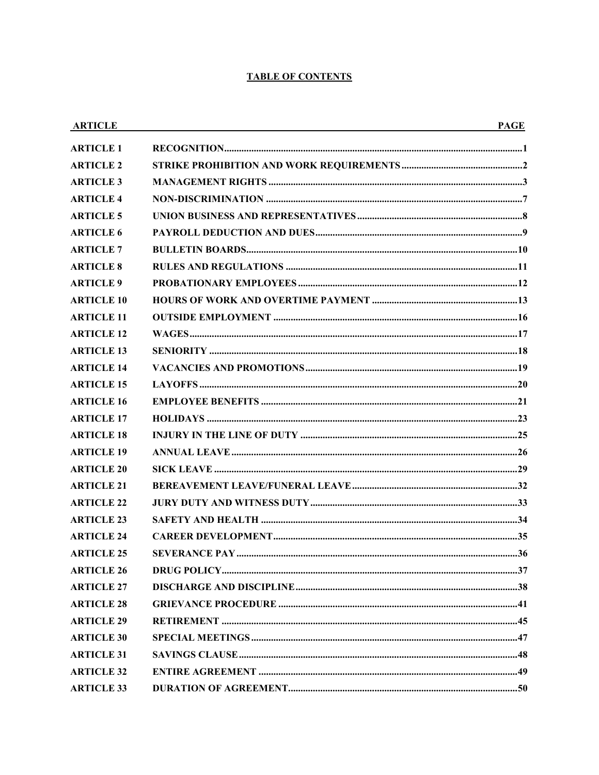#### **TABLE OF CONTENTS**

| <b>ARTICLE</b>    | <b>PAGE</b> |
|-------------------|-------------|
| <b>ARTICLE 1</b>  |             |
| <b>ARTICLE 2</b>  |             |
| <b>ARTICLE 3</b>  |             |
| <b>ARTICLE 4</b>  |             |
| <b>ARTICLE 5</b>  |             |
| <b>ARTICLE 6</b>  |             |
| <b>ARTICLE 7</b>  |             |
| <b>ARTICLE 8</b>  |             |
| <b>ARTICLE 9</b>  |             |
| <b>ARTICLE 10</b> |             |
| <b>ARTICLE 11</b> |             |
| <b>ARTICLE 12</b> |             |
| <b>ARTICLE 13</b> |             |
| <b>ARTICLE 14</b> |             |
| <b>ARTICLE 15</b> |             |
| <b>ARTICLE 16</b> |             |
| <b>ARTICLE 17</b> |             |
| <b>ARTICLE 18</b> |             |
| <b>ARTICLE 19</b> |             |
| <b>ARTICLE 20</b> |             |
| <b>ARTICLE 21</b> |             |
| <b>ARTICLE 22</b> |             |
| <b>ARTICLE 23</b> |             |
| <b>ARTICLE 24</b> |             |
| <b>ARTICLE 25</b> |             |
| <b>ARTICLE 26</b> |             |
| <b>ARTICLE 27</b> |             |
| <b>ARTICLE 28</b> |             |
| <b>ARTICLE 29</b> |             |
| <b>ARTICLE 30</b> |             |
| <b>ARTICLE 31</b> |             |
| <b>ARTICLE 32</b> |             |
| <b>ARTICLE 33</b> |             |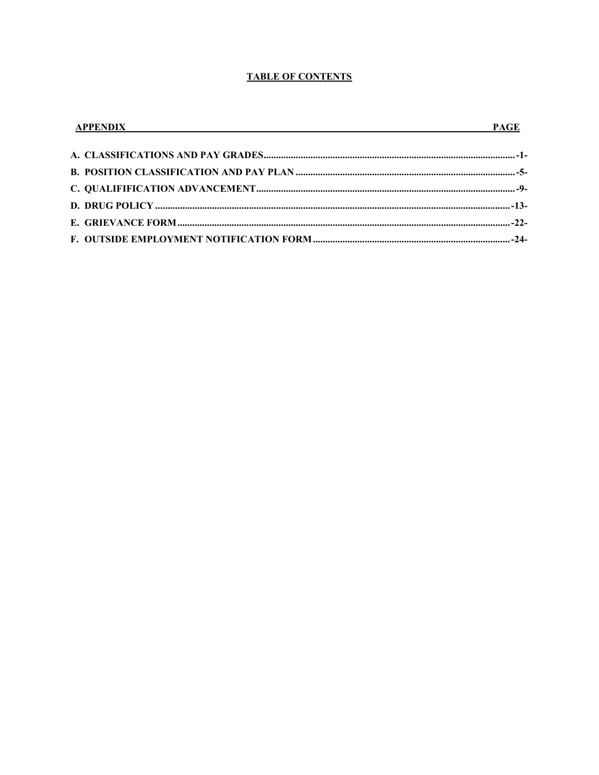#### **TABLE OF CONTENTS**

| <b>APPENDIX</b> | <b>PAGE</b> |
|-----------------|-------------|
|                 |             |
|                 |             |
|                 |             |
|                 |             |
|                 |             |
|                 |             |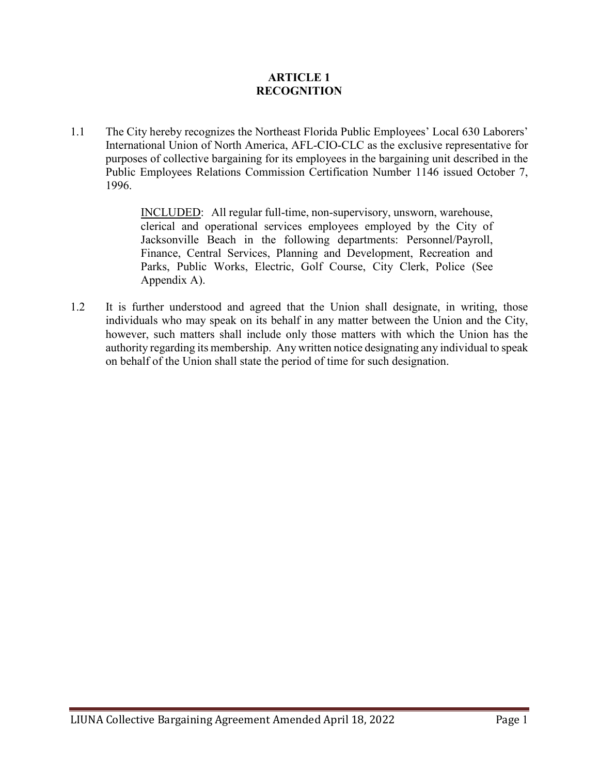# **ARTICLE 1 RECOGNITION**

1.1 The City hereby recognizes the Northeast Florida Public Employees' Local 630 Laborers' International Union of North America, AFL-CIO-CLC as the exclusive representative for purposes of collective bargaining for its employees in the bargaining unit described in the Public Employees Relations Commission Certification Number 1146 issued October 7, 1996.

> INCLUDED: All regular full-time, non-supervisory, unsworn, warehouse, clerical and operational services employees employed by the City of Jacksonville Beach in the following departments: Personnel/Payroll, Finance, Central Services, Planning and Development, Recreation and Parks, Public Works, Electric, Golf Course, City Clerk, Police (See Appendix A).

1.2 It is further understood and agreed that the Union shall designate, in writing, those individuals who may speak on its behalf in any matter between the Union and the City, however, such matters shall include only those matters with which the Union has the authority regarding its membership. Any written notice designating any individual to speak on behalf of the Union shall state the period of time for such designation.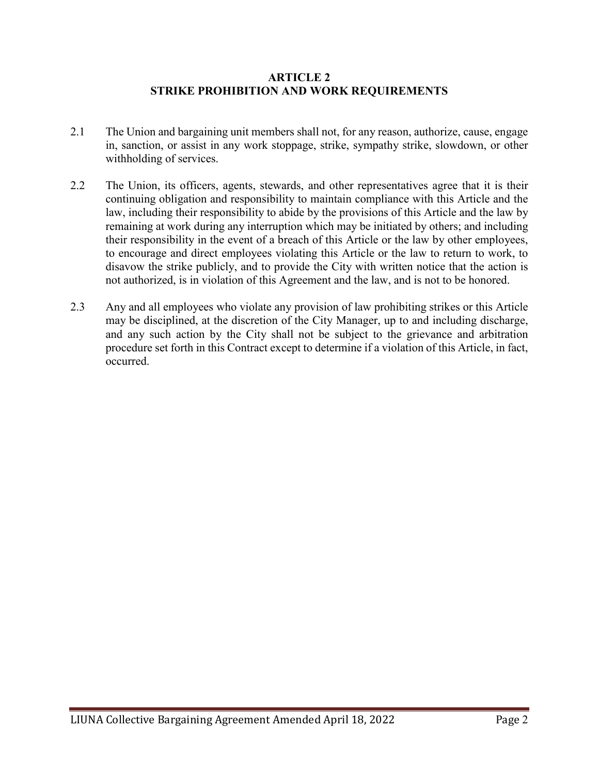#### **ARTICLE 2 STRIKE PROHIBITION AND WORK REQUIREMENTS**

- 2.1 The Union and bargaining unit members shall not, for any reason, authorize, cause, engage in, sanction, or assist in any work stoppage, strike, sympathy strike, slowdown, or other withholding of services.
- 2.2 The Union, its officers, agents, stewards, and other representatives agree that it is their continuing obligation and responsibility to maintain compliance with this Article and the law, including their responsibility to abide by the provisions of this Article and the law by remaining at work during any interruption which may be initiated by others; and including their responsibility in the event of a breach of this Article or the law by other employees, to encourage and direct employees violating this Article or the law to return to work, to disavow the strike publicly, and to provide the City with written notice that the action is not authorized, is in violation of this Agreement and the law, and is not to be honored.
- 2.3 Any and all employees who violate any provision of law prohibiting strikes or this Article may be disciplined, at the discretion of the City Manager, up to and including discharge, and any such action by the City shall not be subject to the grievance and arbitration procedure set forth in this Contract except to determine if a violation of this Article, in fact, occurred.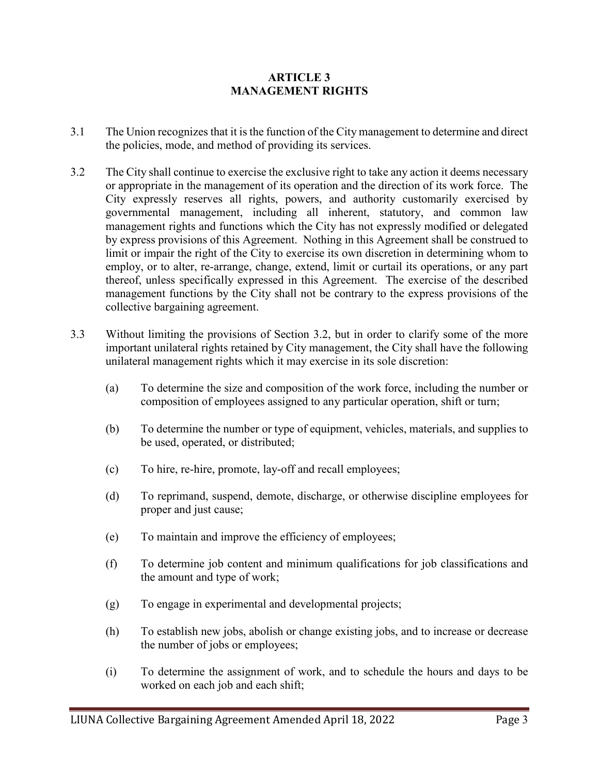# **ARTICLE 3 MANAGEMENT RIGHTS**

- 3.1 The Union recognizes that it is the function of the City management to determine and direct the policies, mode, and method of providing its services.
- 3.2 The City shall continue to exercise the exclusive right to take any action it deems necessary or appropriate in the management of its operation and the direction of its work force. The City expressly reserves all rights, powers, and authority customarily exercised by governmental management, including all inherent, statutory, and common law management rights and functions which the City has not expressly modified or delegated by express provisions of this Agreement. Nothing in this Agreement shall be construed to limit or impair the right of the City to exercise its own discretion in determining whom to employ, or to alter, re-arrange, change, extend, limit or curtail its operations, or any part thereof, unless specifically expressed in this Agreement. The exercise of the described management functions by the City shall not be contrary to the express provisions of the collective bargaining agreement.
- 3.3 Without limiting the provisions of Section 3.2, but in order to clarify some of the more important unilateral rights retained by City management, the City shall have the following unilateral management rights which it may exercise in its sole discretion:
	- (a) To determine the size and composition of the work force, including the number or composition of employees assigned to any particular operation, shift or turn;
	- (b) To determine the number or type of equipment, vehicles, materials, and supplies to be used, operated, or distributed;
	- (c) To hire, re-hire, promote, lay-off and recall employees;
	- (d) To reprimand, suspend, demote, discharge, or otherwise discipline employees for proper and just cause;
	- (e) To maintain and improve the efficiency of employees;
	- (f) To determine job content and minimum qualifications for job classifications and the amount and type of work;
	- (g) To engage in experimental and developmental projects;
	- (h) To establish new jobs, abolish or change existing jobs, and to increase or decrease the number of jobs or employees;
	- (i) To determine the assignment of work, and to schedule the hours and days to be worked on each job and each shift;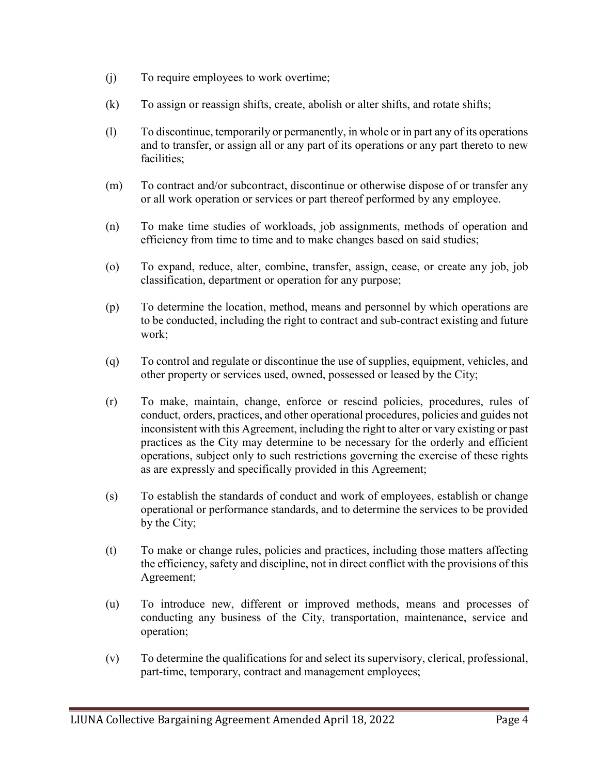- (j) To require employees to work overtime;
- (k) To assign or reassign shifts, create, abolish or alter shifts, and rotate shifts;
- (l) To discontinue, temporarily or permanently, in whole or in part any of its operations and to transfer, or assign all or any part of its operations or any part thereto to new facilities;
- (m) To contract and/or subcontract, discontinue or otherwise dispose of or transfer any or all work operation or services or part thereof performed by any employee.
- (n) To make time studies of workloads, job assignments, methods of operation and efficiency from time to time and to make changes based on said studies;
- (o) To expand, reduce, alter, combine, transfer, assign, cease, or create any job, job classification, department or operation for any purpose;
- (p) To determine the location, method, means and personnel by which operations are to be conducted, including the right to contract and sub-contract existing and future work;
- (q) To control and regulate or discontinue the use of supplies, equipment, vehicles, and other property or services used, owned, possessed or leased by the City;
- (r) To make, maintain, change, enforce or rescind policies, procedures, rules of conduct, orders, practices, and other operational procedures, policies and guides not inconsistent with this Agreement, including the right to alter or vary existing or past practices as the City may determine to be necessary for the orderly and efficient operations, subject only to such restrictions governing the exercise of these rights as are expressly and specifically provided in this Agreement;
- (s) To establish the standards of conduct and work of employees, establish or change operational or performance standards, and to determine the services to be provided by the City;
- (t) To make or change rules, policies and practices, including those matters affecting the efficiency, safety and discipline, not in direct conflict with the provisions of this Agreement;
- (u) To introduce new, different or improved methods, means and processes of conducting any business of the City, transportation, maintenance, service and operation;
- (v) To determine the qualifications for and select its supervisory, clerical, professional, part-time, temporary, contract and management employees;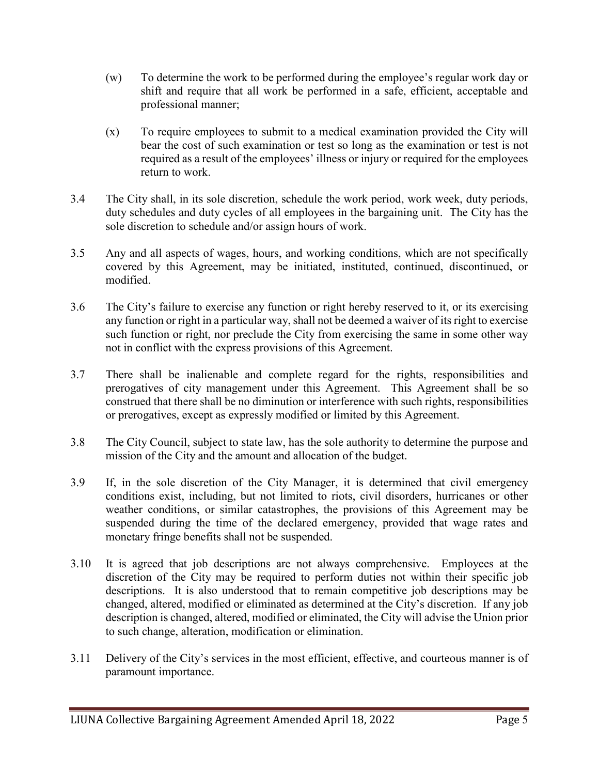- (w) To determine the work to be performed during the employee's regular work day or shift and require that all work be performed in a safe, efficient, acceptable and professional manner;
- (x) To require employees to submit to a medical examination provided the City will bear the cost of such examination or test so long as the examination or test is not required as a result of the employees' illness or injury or required for the employees return to work.
- 3.4 The City shall, in its sole discretion, schedule the work period, work week, duty periods, duty schedules and duty cycles of all employees in the bargaining unit. The City has the sole discretion to schedule and/or assign hours of work.
- 3.5 Any and all aspects of wages, hours, and working conditions, which are not specifically covered by this Agreement, may be initiated, instituted, continued, discontinued, or modified.
- 3.6 The City's failure to exercise any function or right hereby reserved to it, or its exercising any function or right in a particular way, shall not be deemed a waiver of its right to exercise such function or right, nor preclude the City from exercising the same in some other way not in conflict with the express provisions of this Agreement.
- 3.7 There shall be inalienable and complete regard for the rights, responsibilities and prerogatives of city management under this Agreement. This Agreement shall be so construed that there shall be no diminution or interference with such rights, responsibilities or prerogatives, except as expressly modified or limited by this Agreement.
- 3.8 The City Council, subject to state law, has the sole authority to determine the purpose and mission of the City and the amount and allocation of the budget.
- 3.9 If, in the sole discretion of the City Manager, it is determined that civil emergency conditions exist, including, but not limited to riots, civil disorders, hurricanes or other weather conditions, or similar catastrophes, the provisions of this Agreement may be suspended during the time of the declared emergency, provided that wage rates and monetary fringe benefits shall not be suspended.
- 3.10 It is agreed that job descriptions are not always comprehensive. Employees at the discretion of the City may be required to perform duties not within their specific job descriptions. It is also understood that to remain competitive job descriptions may be changed, altered, modified or eliminated as determined at the City's discretion. If any job description is changed, altered, modified or eliminated, the City will advise the Union prior to such change, alteration, modification or elimination.
- 3.11 Delivery of the City's services in the most efficient, effective, and courteous manner is of paramount importance.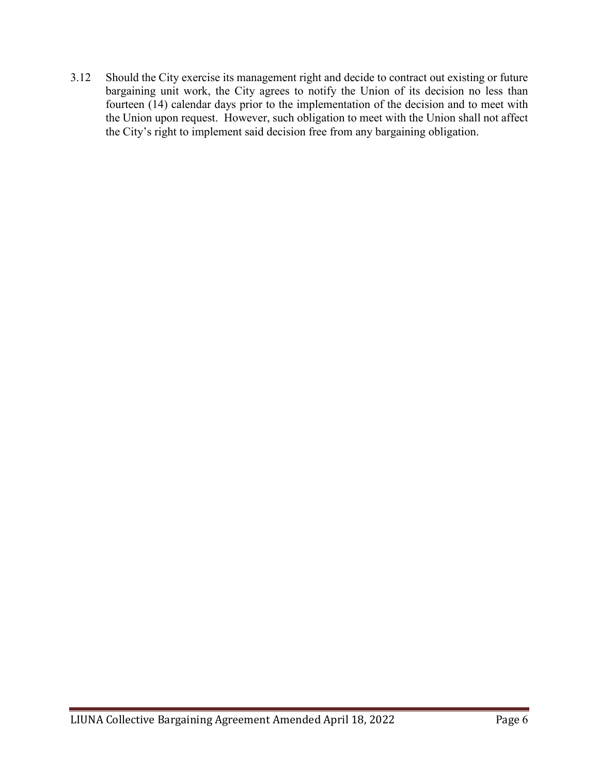3.12 Should the City exercise its management right and decide to contract out existing or future bargaining unit work, the City agrees to notify the Union of its decision no less than fourteen (14) calendar days prior to the implementation of the decision and to meet with the Union upon request. However, such obligation to meet with the Union shall not affect the City's right to implement said decision free from any bargaining obligation.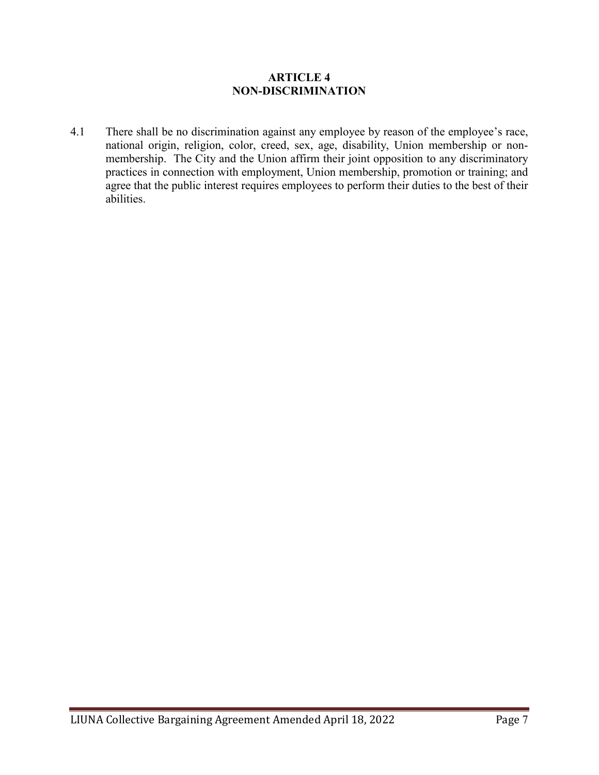### **ARTICLE 4 NON-DISCRIMINATION**

4.1 There shall be no discrimination against any employee by reason of the employee's race, national origin, religion, color, creed, sex, age, disability, Union membership or nonmembership. The City and the Union affirm their joint opposition to any discriminatory practices in connection with employment, Union membership, promotion or training; and agree that the public interest requires employees to perform their duties to the best of their abilities.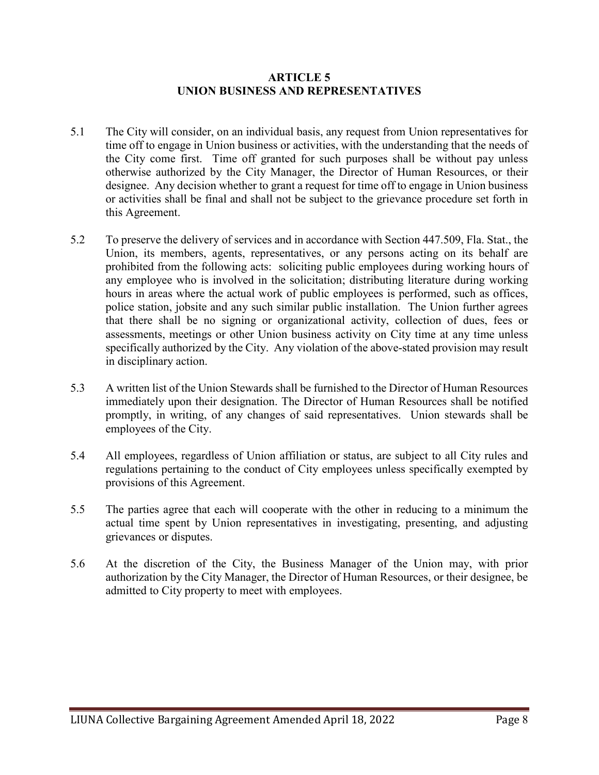### **ARTICLE 5 UNION BUSINESS AND REPRESENTATIVES**

- 5.1 The City will consider, on an individual basis, any request from Union representatives for time off to engage in Union business or activities, with the understanding that the needs of the City come first. Time off granted for such purposes shall be without pay unless otherwise authorized by the City Manager, the Director of Human Resources, or their designee. Any decision whether to grant a request for time off to engage in Union business or activities shall be final and shall not be subject to the grievance procedure set forth in this Agreement.
- 5.2 To preserve the delivery of services and in accordance with Section 447.509, Fla. Stat., the Union, its members, agents, representatives, or any persons acting on its behalf are prohibited from the following acts: soliciting public employees during working hours of any employee who is involved in the solicitation; distributing literature during working hours in areas where the actual work of public employees is performed, such as offices, police station, jobsite and any such similar public installation. The Union further agrees that there shall be no signing or organizational activity, collection of dues, fees or assessments, meetings or other Union business activity on City time at any time unless specifically authorized by the City. Any violation of the above-stated provision may result in disciplinary action.
- 5.3 A written list of the Union Stewards shall be furnished to the Director of Human Resources immediately upon their designation. The Director of Human Resources shall be notified promptly, in writing, of any changes of said representatives. Union stewards shall be employees of the City.
- 5.4 All employees, regardless of Union affiliation or status, are subject to all City rules and regulations pertaining to the conduct of City employees unless specifically exempted by provisions of this Agreement.
- 5.5 The parties agree that each will cooperate with the other in reducing to a minimum the actual time spent by Union representatives in investigating, presenting, and adjusting grievances or disputes.
- 5.6 At the discretion of the City, the Business Manager of the Union may, with prior authorization by the City Manager, the Director of Human Resources, or their designee, be admitted to City property to meet with employees.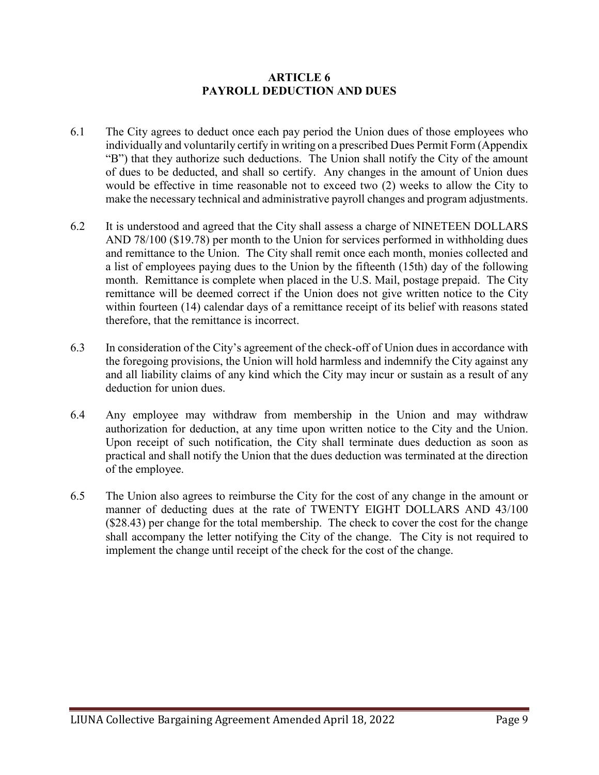### **ARTICLE 6 PAYROLL DEDUCTION AND DUES**

- 6.1 The City agrees to deduct once each pay period the Union dues of those employees who individually and voluntarily certify in writing on a prescribed Dues Permit Form (Appendix "B") that they authorize such deductions. The Union shall notify the City of the amount of dues to be deducted, and shall so certify. Any changes in the amount of Union dues would be effective in time reasonable not to exceed two (2) weeks to allow the City to make the necessary technical and administrative payroll changes and program adjustments.
- 6.2 It is understood and agreed that the City shall assess a charge of NINETEEN DOLLARS AND 78/100 (\$19.78) per month to the Union for services performed in withholding dues and remittance to the Union. The City shall remit once each month, monies collected and a list of employees paying dues to the Union by the fifteenth (15th) day of the following month. Remittance is complete when placed in the U.S. Mail, postage prepaid. The City remittance will be deemed correct if the Union does not give written notice to the City within fourteen (14) calendar days of a remittance receipt of its belief with reasons stated therefore, that the remittance is incorrect.
- 6.3 In consideration of the City's agreement of the check-off of Union dues in accordance with the foregoing provisions, the Union will hold harmless and indemnify the City against any and all liability claims of any kind which the City may incur or sustain as a result of any deduction for union dues.
- 6.4 Any employee may withdraw from membership in the Union and may withdraw authorization for deduction, at any time upon written notice to the City and the Union. Upon receipt of such notification, the City shall terminate dues deduction as soon as practical and shall notify the Union that the dues deduction was terminated at the direction of the employee.
- 6.5 The Union also agrees to reimburse the City for the cost of any change in the amount or manner of deducting dues at the rate of TWENTY EIGHT DOLLARS AND 43/100 (\$28.43) per change for the total membership. The check to cover the cost for the change shall accompany the letter notifying the City of the change. The City is not required to implement the change until receipt of the check for the cost of the change.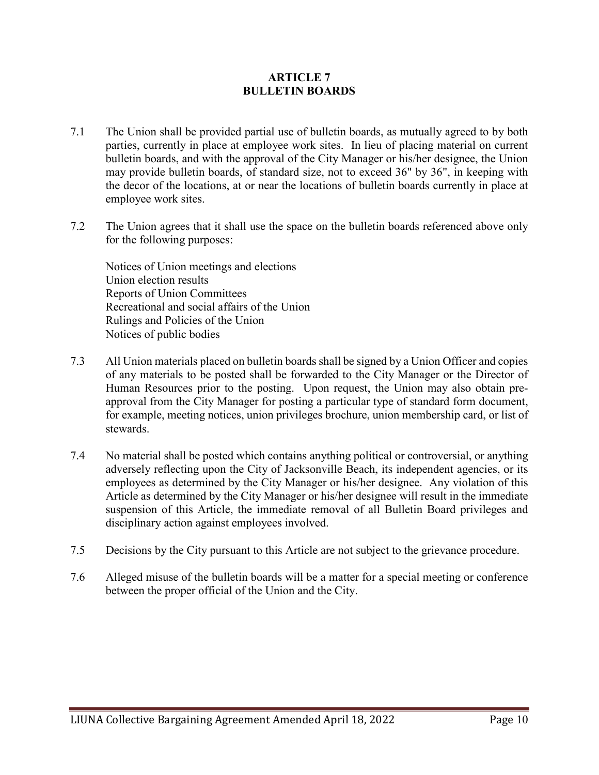### **ARTICLE 7 BULLETIN BOARDS**

- 7.1 The Union shall be provided partial use of bulletin boards, as mutually agreed to by both parties, currently in place at employee work sites. In lieu of placing material on current bulletin boards, and with the approval of the City Manager or his/her designee, the Union may provide bulletin boards, of standard size, not to exceed 36" by 36", in keeping with the decor of the locations, at or near the locations of bulletin boards currently in place at employee work sites.
- 7.2 The Union agrees that it shall use the space on the bulletin boards referenced above only for the following purposes:

Notices of Union meetings and elections Union election results Reports of Union Committees Recreational and social affairs of the Union Rulings and Policies of the Union Notices of public bodies

- 7.3 All Union materials placed on bulletin boards shall be signed by a Union Officer and copies of any materials to be posted shall be forwarded to the City Manager or the Director of Human Resources prior to the posting. Upon request, the Union may also obtain preapproval from the City Manager for posting a particular type of standard form document, for example, meeting notices, union privileges brochure, union membership card, or list of stewards.
- 7.4 No material shall be posted which contains anything political or controversial, or anything adversely reflecting upon the City of Jacksonville Beach, its independent agencies, or its employees as determined by the City Manager or his/her designee. Any violation of this Article as determined by the City Manager or his/her designee will result in the immediate suspension of this Article, the immediate removal of all Bulletin Board privileges and disciplinary action against employees involved.
- 7.5 Decisions by the City pursuant to this Article are not subject to the grievance procedure.
- 7.6 Alleged misuse of the bulletin boards will be a matter for a special meeting or conference between the proper official of the Union and the City.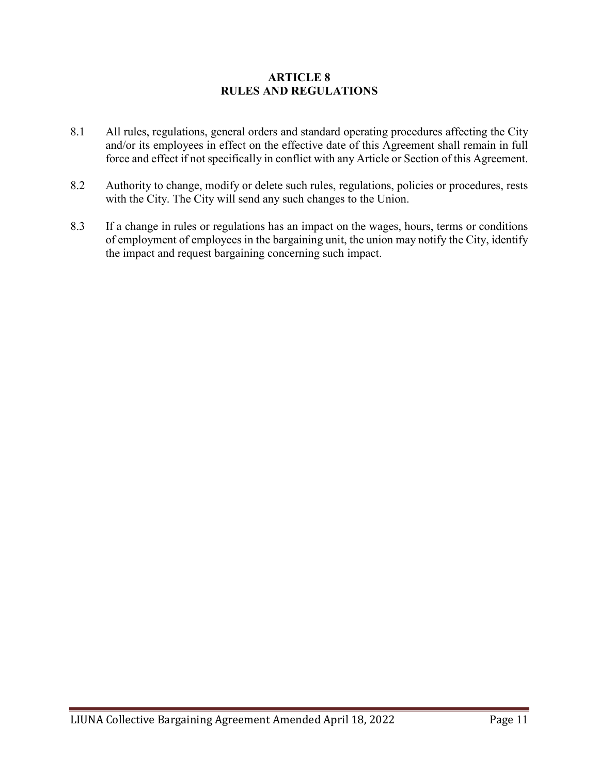### **ARTICLE 8 RULES AND REGULATIONS**

- 8.1 All rules, regulations, general orders and standard operating procedures affecting the City and/or its employees in effect on the effective date of this Agreement shall remain in full force and effect if not specifically in conflict with any Article or Section of this Agreement.
- 8.2 Authority to change, modify or delete such rules, regulations, policies or procedures, rests with the City. The City will send any such changes to the Union.
- 8.3 If a change in rules or regulations has an impact on the wages, hours, terms or conditions of employment of employees in the bargaining unit, the union may notify the City, identify the impact and request bargaining concerning such impact.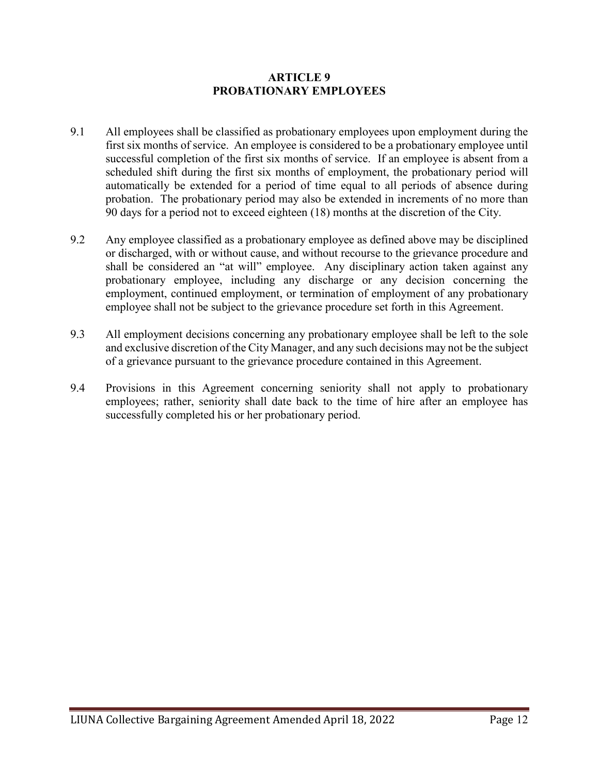### **ARTICLE 9 PROBATIONARY EMPLOYEES**

- 9.1 All employees shall be classified as probationary employees upon employment during the first six months of service. An employee is considered to be a probationary employee until successful completion of the first six months of service. If an employee is absent from a scheduled shift during the first six months of employment, the probationary period will automatically be extended for a period of time equal to all periods of absence during probation. The probationary period may also be extended in increments of no more than 90 days for a period not to exceed eighteen (18) months at the discretion of the City.
- 9.2 Any employee classified as a probationary employee as defined above may be disciplined or discharged, with or without cause, and without recourse to the grievance procedure and shall be considered an "at will" employee. Any disciplinary action taken against any probationary employee, including any discharge or any decision concerning the employment, continued employment, or termination of employment of any probationary employee shall not be subject to the grievance procedure set forth in this Agreement.
- 9.3 All employment decisions concerning any probationary employee shall be left to the sole and exclusive discretion of the City Manager, and any such decisions may not be the subject of a grievance pursuant to the grievance procedure contained in this Agreement.
- 9.4 Provisions in this Agreement concerning seniority shall not apply to probationary employees; rather, seniority shall date back to the time of hire after an employee has successfully completed his or her probationary period.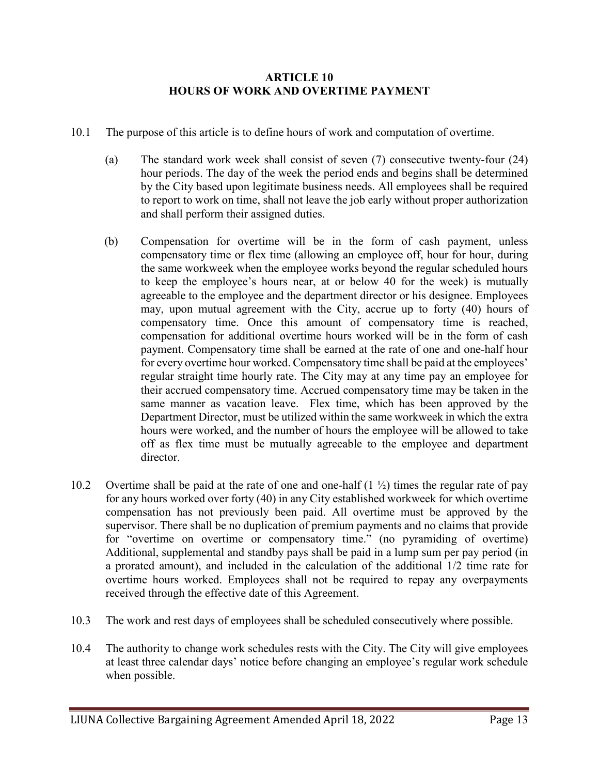### **ARTICLE 10 HOURS OF WORK AND OVERTIME PAYMENT**

- 10.1 The purpose of this article is to define hours of work and computation of overtime.
	- (a) The standard work week shall consist of seven (7) consecutive twenty-four (24) hour periods. The day of the week the period ends and begins shall be determined by the City based upon legitimate business needs. All employees shall be required to report to work on time, shall not leave the job early without proper authorization and shall perform their assigned duties.
	- (b) Compensation for overtime will be in the form of cash payment, unless compensatory time or flex time (allowing an employee off, hour for hour, during the same workweek when the employee works beyond the regular scheduled hours to keep the employee's hours near, at or below 40 for the week) is mutually agreeable to the employee and the department director or his designee. Employees may, upon mutual agreement with the City, accrue up to forty (40) hours of compensatory time. Once this amount of compensatory time is reached, compensation for additional overtime hours worked will be in the form of cash payment. Compensatory time shall be earned at the rate of one and one-half hour for every overtime hour worked. Compensatory time shall be paid at the employees' regular straight time hourly rate. The City may at any time pay an employee for their accrued compensatory time. Accrued compensatory time may be taken in the same manner as vacation leave. Flex time, which has been approved by the Department Director, must be utilized within the same workweek in which the extra hours were worked, and the number of hours the employee will be allowed to take off as flex time must be mutually agreeable to the employee and department director.
- 10.2 Overtime shall be paid at the rate of one and one-half  $(1 \frac{1}{2})$  times the regular rate of pay for any hours worked over forty (40) in any City established workweek for which overtime compensation has not previously been paid. All overtime must be approved by the supervisor. There shall be no duplication of premium payments and no claims that provide for "overtime on overtime or compensatory time." (no pyramiding of overtime) Additional, supplemental and standby pays shall be paid in a lump sum per pay period (in a prorated amount), and included in the calculation of the additional 1/2 time rate for overtime hours worked. Employees shall not be required to repay any overpayments received through the effective date of this Agreement.
- 10.3 The work and rest days of employees shall be scheduled consecutively where possible.
- 10.4 The authority to change work schedules rests with the City. The City will give employees at least three calendar days' notice before changing an employee's regular work schedule when possible.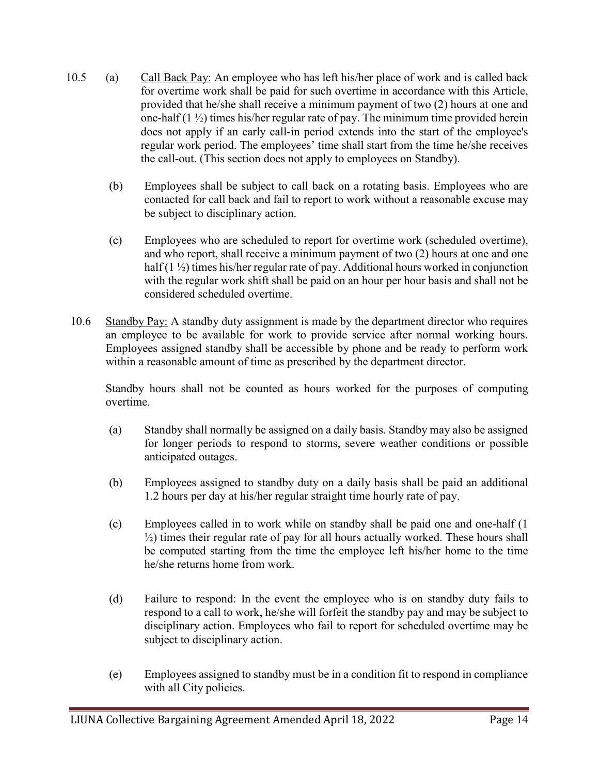- 10.5 (a) Call Back Pay: An employee who has left his/her place of work and is called back for overtime work shall be paid for such overtime in accordance with this Article, provided that he/she shall receive a minimum payment of two (2) hours at one and one-half  $(1 \frac{1}{2})$  times his/her regular rate of pay. The minimum time provided herein does not apply if an early call-in period extends into the start of the employee's regular work period. The employees' time shall start from the time he/she receives the call-out. (This section does not apply to employees on Standby).
	- (b) Employees shall be subject to call back on a rotating basis. Employees who are contacted for call back and fail to report to work without a reasonable excuse may be subject to disciplinary action.
	- (c) Employees who are scheduled to report for overtime work (scheduled overtime), and who report, shall receive a minimum payment of two (2) hours at one and one half (1 ½) times his/her regular rate of pay. Additional hours worked in conjunction with the regular work shift shall be paid on an hour per hour basis and shall not be considered scheduled overtime.
- 10.6 Standby Pay: A standby duty assignment is made by the department director who requires an employee to be available for work to provide service after normal working hours. Employees assigned standby shall be accessible by phone and be ready to perform work within a reasonable amount of time as prescribed by the department director.

Standby hours shall not be counted as hours worked for the purposes of computing overtime.

- (a) Standby shall normally be assigned on a daily basis. Standby may also be assigned for longer periods to respond to storms, severe weather conditions or possible anticipated outages.
- (b) Employees assigned to standby duty on a daily basis shall be paid an additional 1.2 hours per day at his/her regular straight time hourly rate of pay.
- (c) Employees called in to work while on standby shall be paid one and one-half (1  $\frac{1}{2}$ ) times their regular rate of pay for all hours actually worked. These hours shall be computed starting from the time the employee left his/her home to the time he/she returns home from work.
- (d) Failure to respond: In the event the employee who is on standby duty fails to respond to a call to work, he/she will forfeit the standby pay and may be subject to disciplinary action. Employees who fail to report for scheduled overtime may be subject to disciplinary action.
- (e) Employees assigned to standby must be in a condition fit to respond in compliance with all City policies.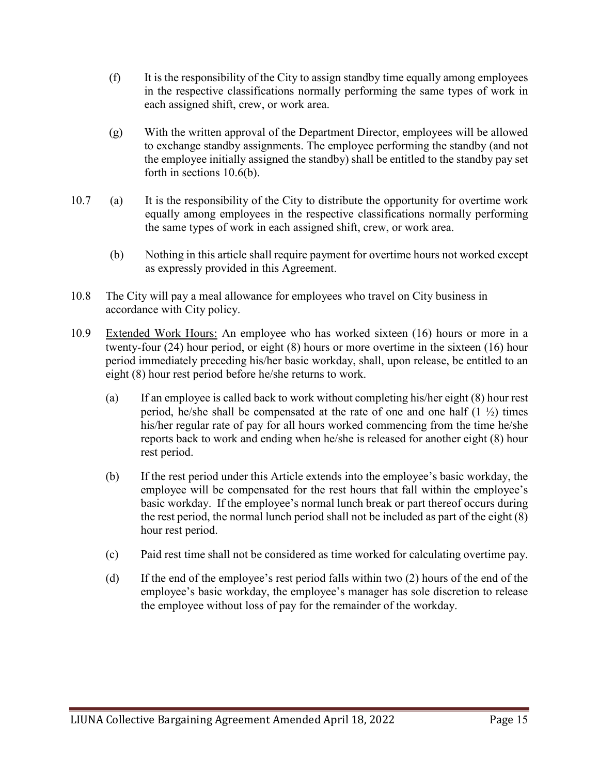- (f) It is the responsibility of the City to assign standby time equally among employees in the respective classifications normally performing the same types of work in each assigned shift, crew, or work area.
- (g) With the written approval of the Department Director, employees will be allowed to exchange standby assignments. The employee performing the standby (and not the employee initially assigned the standby) shall be entitled to the standby pay set forth in sections 10.6(b).
- 10.7 (a) It is the responsibility of the City to distribute the opportunity for overtime work equally among employees in the respective classifications normally performing the same types of work in each assigned shift, crew, or work area.
	- (b) Nothing in this article shall require payment for overtime hours not worked except as expressly provided in this Agreement.
- 10.8 The City will pay a meal allowance for employees who travel on City business in accordance with City policy.
- 10.9 Extended Work Hours: An employee who has worked sixteen (16) hours or more in a twenty-four (24) hour period, or eight (8) hours or more overtime in the sixteen (16) hour period immediately preceding his/her basic workday, shall, upon release, be entitled to an eight (8) hour rest period before he/she returns to work.
	- (a) If an employee is called back to work without completing his/her eight (8) hour rest period, he/she shall be compensated at the rate of one and one half  $(1 \frac{1}{2})$  times his/her regular rate of pay for all hours worked commencing from the time he/she reports back to work and ending when he/she is released for another eight (8) hour rest period.
	- (b) If the rest period under this Article extends into the employee's basic workday, the employee will be compensated for the rest hours that fall within the employee's basic workday. If the employee's normal lunch break or part thereof occurs during the rest period, the normal lunch period shall not be included as part of the eight (8) hour rest period.
	- (c) Paid rest time shall not be considered as time worked for calculating overtime pay.
	- (d) If the end of the employee's rest period falls within two (2) hours of the end of the employee's basic workday, the employee's manager has sole discretion to release the employee without loss of pay for the remainder of the workday.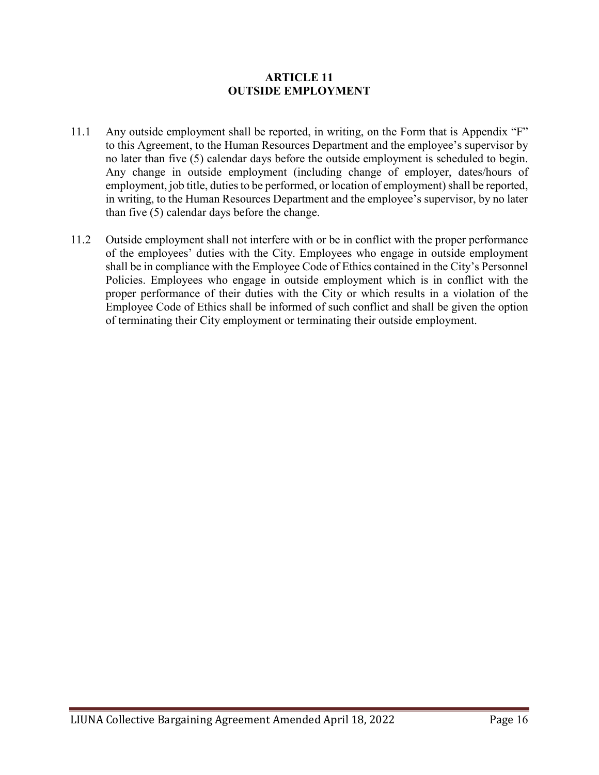### **ARTICLE 11 OUTSIDE EMPLOYMENT**

- 11.1 Any outside employment shall be reported, in writing, on the Form that is Appendix "F" to this Agreement, to the Human Resources Department and the employee's supervisor by no later than five (5) calendar days before the outside employment is scheduled to begin. Any change in outside employment (including change of employer, dates/hours of employment, job title, duties to be performed, or location of employment) shall be reported, in writing, to the Human Resources Department and the employee's supervisor, by no later than five (5) calendar days before the change.
- 11.2 Outside employment shall not interfere with or be in conflict with the proper performance of the employees' duties with the City. Employees who engage in outside employment shall be in compliance with the Employee Code of Ethics contained in the City's Personnel Policies. Employees who engage in outside employment which is in conflict with the proper performance of their duties with the City or which results in a violation of the Employee Code of Ethics shall be informed of such conflict and shall be given the option of terminating their City employment or terminating their outside employment.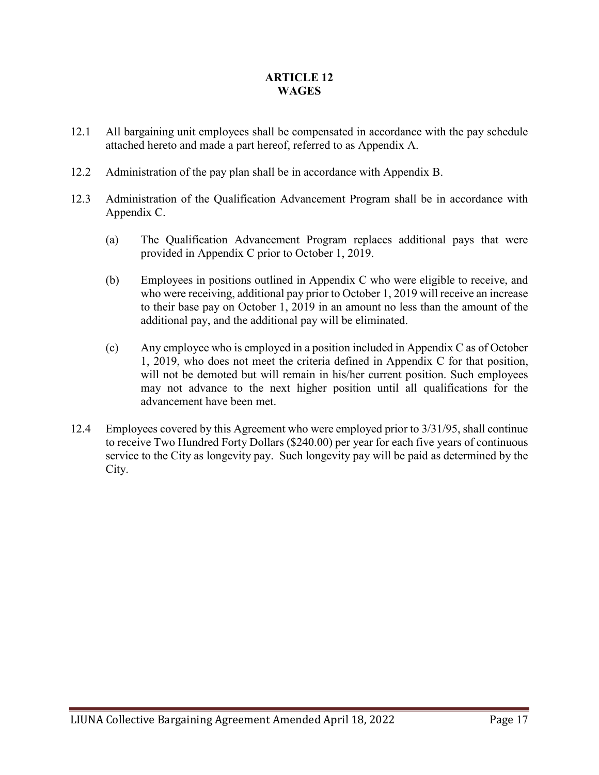# **ARTICLE 12 WAGES**

- 12.1 All bargaining unit employees shall be compensated in accordance with the pay schedule attached hereto and made a part hereof, referred to as Appendix A.
- 12.2 Administration of the pay plan shall be in accordance with Appendix B.
- 12.3 Administration of the Qualification Advancement Program shall be in accordance with Appendix C.
	- (a) The Qualification Advancement Program replaces additional pays that were provided in Appendix C prior to October 1, 2019.
	- (b) Employees in positions outlined in Appendix C who were eligible to receive, and who were receiving, additional pay prior to October 1, 2019 will receive an increase to their base pay on October 1, 2019 in an amount no less than the amount of the additional pay, and the additional pay will be eliminated.
	- (c) Any employee who is employed in a position included in Appendix C as of October 1, 2019, who does not meet the criteria defined in Appendix C for that position, will not be demoted but will remain in his/her current position. Such employees may not advance to the next higher position until all qualifications for the advancement have been met.
- 12.4 Employees covered by this Agreement who were employed prior to 3/31/95, shall continue to receive Two Hundred Forty Dollars (\$240.00) per year for each five years of continuous service to the City as longevity pay. Such longevity pay will be paid as determined by the City.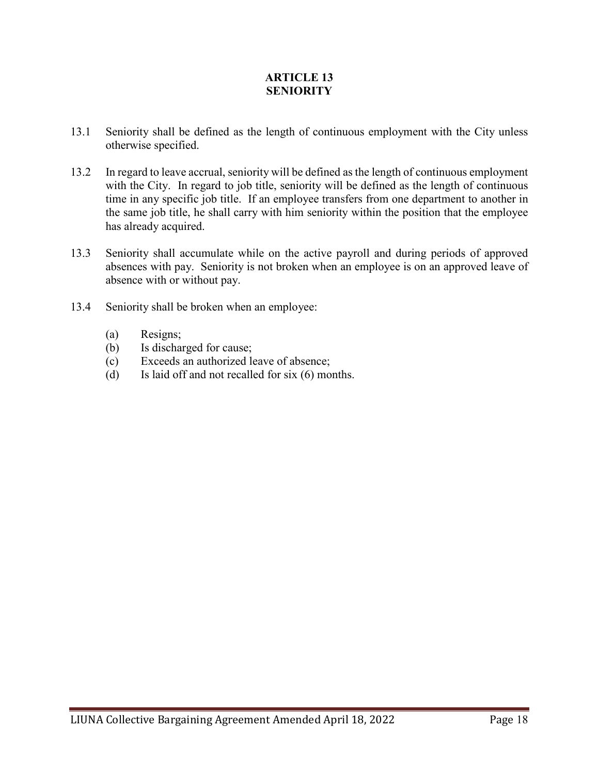# **ARTICLE 13 SENIORITY**

- 13.1 Seniority shall be defined as the length of continuous employment with the City unless otherwise specified.
- 13.2 In regard to leave accrual, seniority will be defined as the length of continuous employment with the City. In regard to job title, seniority will be defined as the length of continuous time in any specific job title. If an employee transfers from one department to another in the same job title, he shall carry with him seniority within the position that the employee has already acquired.
- 13.3 Seniority shall accumulate while on the active payroll and during periods of approved absences with pay. Seniority is not broken when an employee is on an approved leave of absence with or without pay.
- 13.4 Seniority shall be broken when an employee:
	- (a) Resigns;
	- (b) Is discharged for cause;
	- (c) Exceeds an authorized leave of absence;
	- (d) Is laid off and not recalled for six (6) months.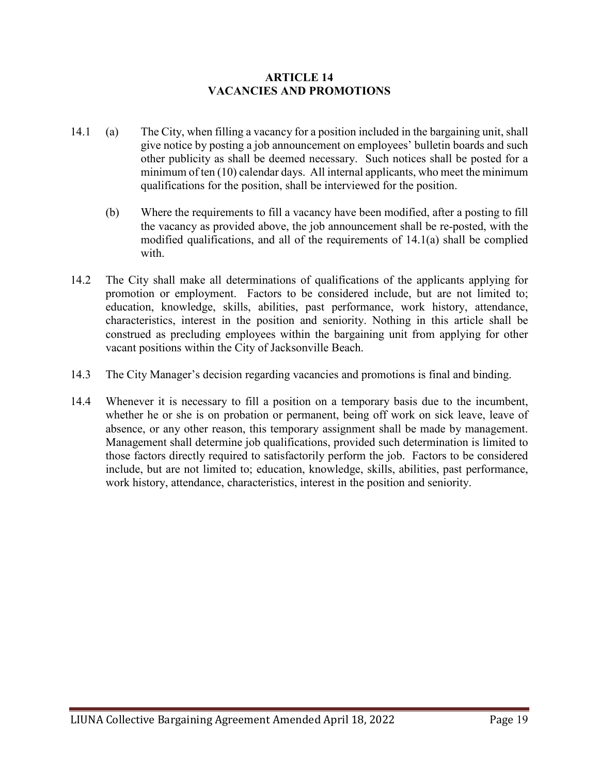### **ARTICLE 14 VACANCIES AND PROMOTIONS**

- 14.1 (a) The City, when filling a vacancy for a position included in the bargaining unit, shall give notice by posting a job announcement on employees' bulletin boards and such other publicity as shall be deemed necessary. Such notices shall be posted for a minimum of ten (10) calendar days. All internal applicants, who meet the minimum qualifications for the position, shall be interviewed for the position.
	- (b) Where the requirements to fill a vacancy have been modified, after a posting to fill the vacancy as provided above, the job announcement shall be re-posted, with the modified qualifications, and all of the requirements of 14.1(a) shall be complied with.
- 14.2 The City shall make all determinations of qualifications of the applicants applying for promotion or employment. Factors to be considered include, but are not limited to; education, knowledge, skills, abilities, past performance, work history, attendance, characteristics, interest in the position and seniority. Nothing in this article shall be construed as precluding employees within the bargaining unit from applying for other vacant positions within the City of Jacksonville Beach.
- 14.3 The City Manager's decision regarding vacancies and promotions is final and binding.
- 14.4 Whenever it is necessary to fill a position on a temporary basis due to the incumbent, whether he or she is on probation or permanent, being off work on sick leave, leave of absence, or any other reason, this temporary assignment shall be made by management. Management shall determine job qualifications, provided such determination is limited to those factors directly required to satisfactorily perform the job. Factors to be considered include, but are not limited to; education, knowledge, skills, abilities, past performance, work history, attendance, characteristics, interest in the position and seniority.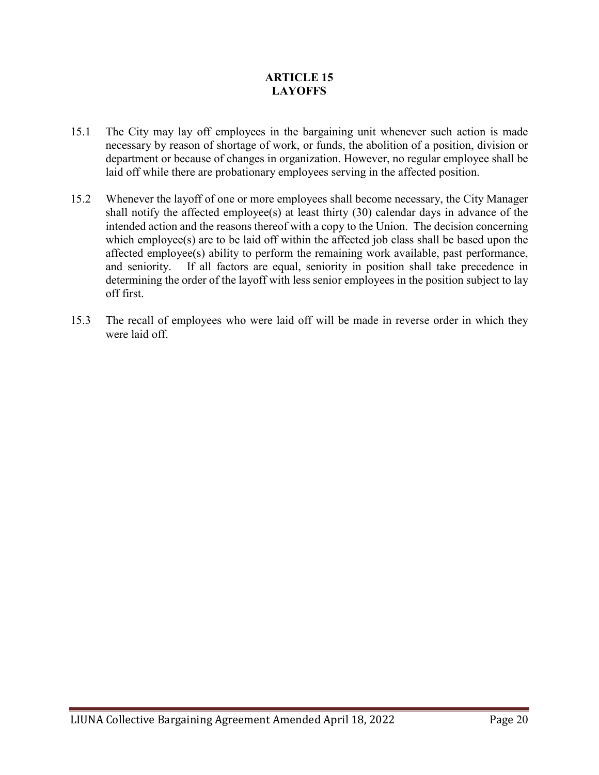# **ARTICLE 15 LAYOFFS**

- 15.1 The City may lay off employees in the bargaining unit whenever such action is made necessary by reason of shortage of work, or funds, the abolition of a position, division or department or because of changes in organization. However, no regular employee shall be laid off while there are probationary employees serving in the affected position.
- 15.2 Whenever the layoff of one or more employees shall become necessary, the City Manager shall notify the affected employee(s) at least thirty (30) calendar days in advance of the intended action and the reasons thereof with a copy to the Union. The decision concerning which employee(s) are to be laid off within the affected job class shall be based upon the affected employee(s) ability to perform the remaining work available, past performance, and seniority. If all factors are equal, seniority in position shall take precedence in determining the order of the layoff with less senior employees in the position subject to lay off first.
- 15.3 The recall of employees who were laid off will be made in reverse order in which they were laid off.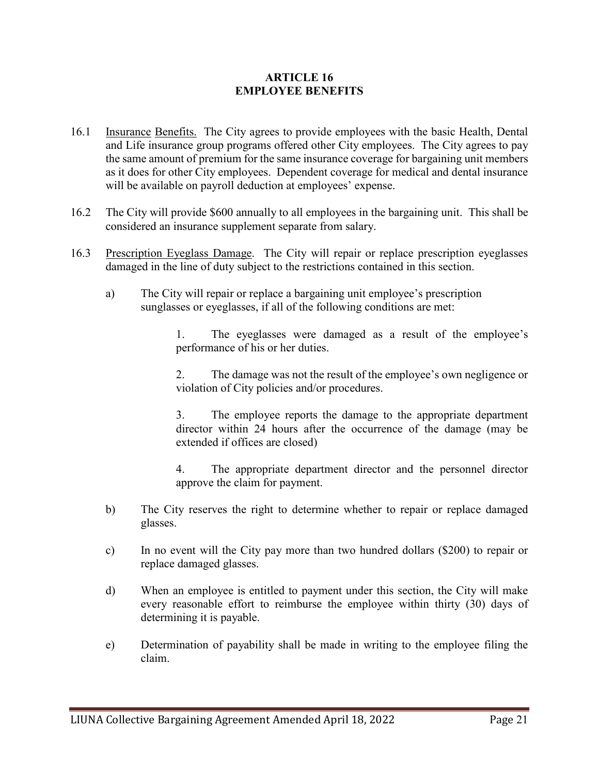### **ARTICLE 16 EMPLOYEE BENEFITS**

- 16.1 Insurance Benefits. The City agrees to provide employees with the basic Health, Dental and Life insurance group programs offered other City employees. The City agrees to pay the same amount of premium for the same insurance coverage for bargaining unit members as it does for other City employees. Dependent coverage for medical and dental insurance will be available on payroll deduction at employees' expense.
- 16.2 The City will provide \$600 annually to all employees in the bargaining unit. This shall be considered an insurance supplement separate from salary.
- 16.3 Prescription Eyeglass Damage. The City will repair or replace prescription eyeglasses damaged in the line of duty subject to the restrictions contained in this section.
	- a) The City will repair or replace a bargaining unit employee's prescription sunglasses or eyeglasses, if all of the following conditions are met:

1. The eyeglasses were damaged as a result of the employee's performance of his or her duties.

2. The damage was not the result of the employee's own negligence or violation of City policies and/or procedures.

3. The employee reports the damage to the appropriate department director within 24 hours after the occurrence of the damage (may be extended if offices are closed)

4. The appropriate department director and the personnel director approve the claim for payment.

- b) The City reserves the right to determine whether to repair or replace damaged glasses.
- c) In no event will the City pay more than two hundred dollars (\$200) to repair or replace damaged glasses.
- d) When an employee is entitled to payment under this section, the City will make every reasonable effort to reimburse the employee within thirty (30) days of determining it is payable.
- e) Determination of payability shall be made in writing to the employee filing the claim.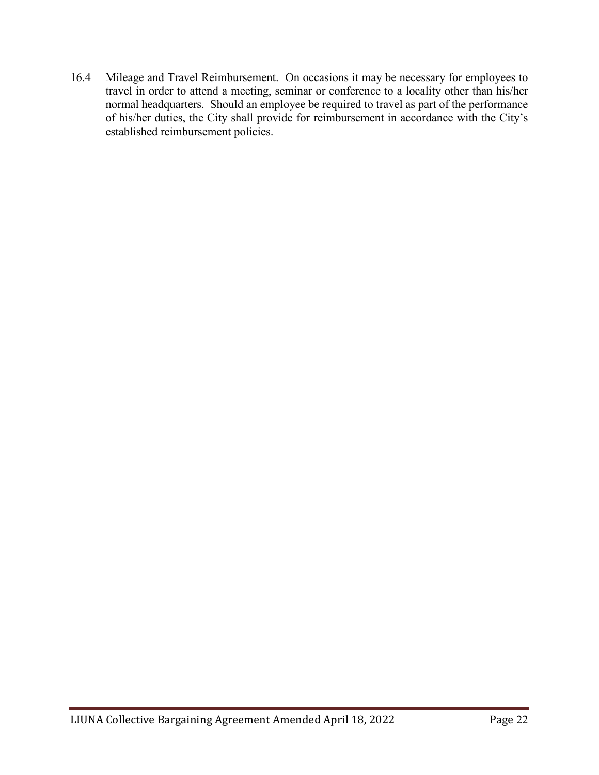16.4 Mileage and Travel Reimbursement. On occasions it may be necessary for employees to travel in order to attend a meeting, seminar or conference to a locality other than his/her normal headquarters. Should an employee be required to travel as part of the performance of his/her duties, the City shall provide for reimbursement in accordance with the City's established reimbursement policies.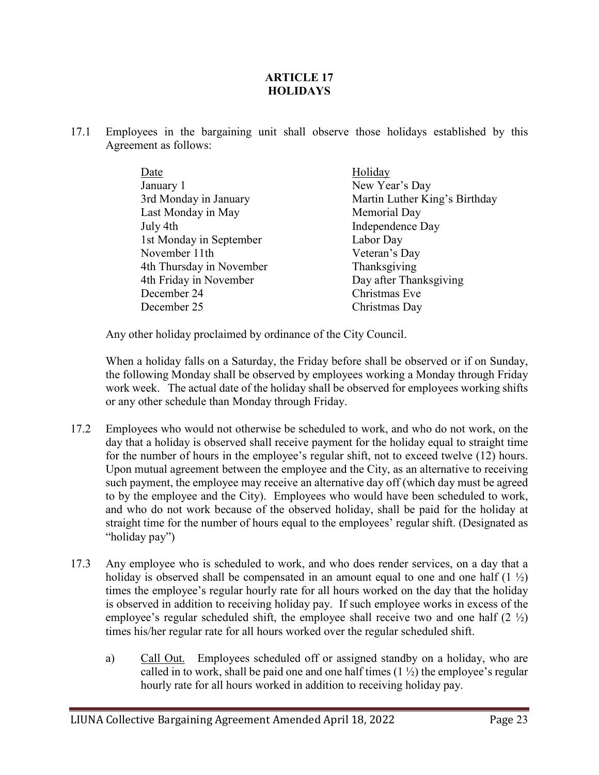# **ARTICLE 17 HOLIDAYS**

17.1 Employees in the bargaining unit shall observe those holidays established by this Agreement as follows:

| Holiday                       |
|-------------------------------|
| New Year's Day                |
| Martin Luther King's Birthday |
| Memorial Day                  |
| Independence Day              |
| Labor Day                     |
| Veteran's Day                 |
| Thanksgiving                  |
| Day after Thanksgiving        |
| Christmas Eve                 |
| Christmas Day                 |
|                               |

Any other holiday proclaimed by ordinance of the City Council.

When a holiday falls on a Saturday, the Friday before shall be observed or if on Sunday, the following Monday shall be observed by employees working a Monday through Friday work week. The actual date of the holiday shall be observed for employees working shifts or any other schedule than Monday through Friday.

- 17.2 Employees who would not otherwise be scheduled to work, and who do not work, on the day that a holiday is observed shall receive payment for the holiday equal to straight time for the number of hours in the employee's regular shift, not to exceed twelve (12) hours. Upon mutual agreement between the employee and the City, as an alternative to receiving such payment, the employee may receive an alternative day off (which day must be agreed to by the employee and the City). Employees who would have been scheduled to work, and who do not work because of the observed holiday, shall be paid for the holiday at straight time for the number of hours equal to the employees' regular shift. (Designated as "holiday pay")
- 17.3 Any employee who is scheduled to work, and who does render services, on a day that a holiday is observed shall be compensated in an amount equal to one and one half  $(1 \frac{1}{2})$ times the employee's regular hourly rate for all hours worked on the day that the holiday is observed in addition to receiving holiday pay. If such employee works in excess of the employee's regular scheduled shift, the employee shall receive two and one half  $(2 \frac{1}{2})$ times his/her regular rate for all hours worked over the regular scheduled shift.
	- a) Call Out. Employees scheduled off or assigned standby on a holiday, who are called in to work, shall be paid one and one half times  $(1 \frac{1}{2})$  the employee's regular hourly rate for all hours worked in addition to receiving holiday pay.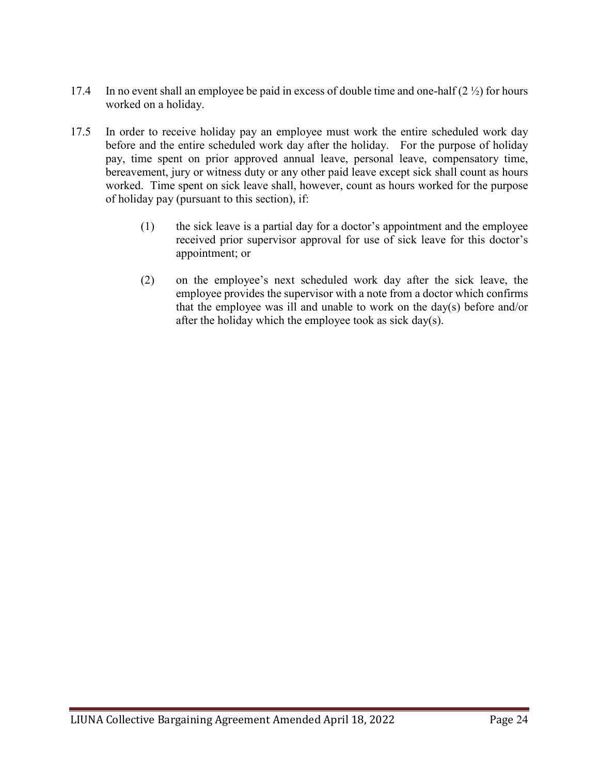- 17.4 In no event shall an employee be paid in excess of double time and one-half  $(2 \frac{1}{2})$  for hours worked on a holiday.
- 17.5 In order to receive holiday pay an employee must work the entire scheduled work day before and the entire scheduled work day after the holiday. For the purpose of holiday pay, time spent on prior approved annual leave, personal leave, compensatory time, bereavement, jury or witness duty or any other paid leave except sick shall count as hours worked. Time spent on sick leave shall, however, count as hours worked for the purpose of holiday pay (pursuant to this section), if:
	- (1) the sick leave is a partial day for a doctor's appointment and the employee received prior supervisor approval for use of sick leave for this doctor's appointment; or
	- (2) on the employee's next scheduled work day after the sick leave, the employee provides the supervisor with a note from a doctor which confirms that the employee was ill and unable to work on the day(s) before and/or after the holiday which the employee took as sick day(s).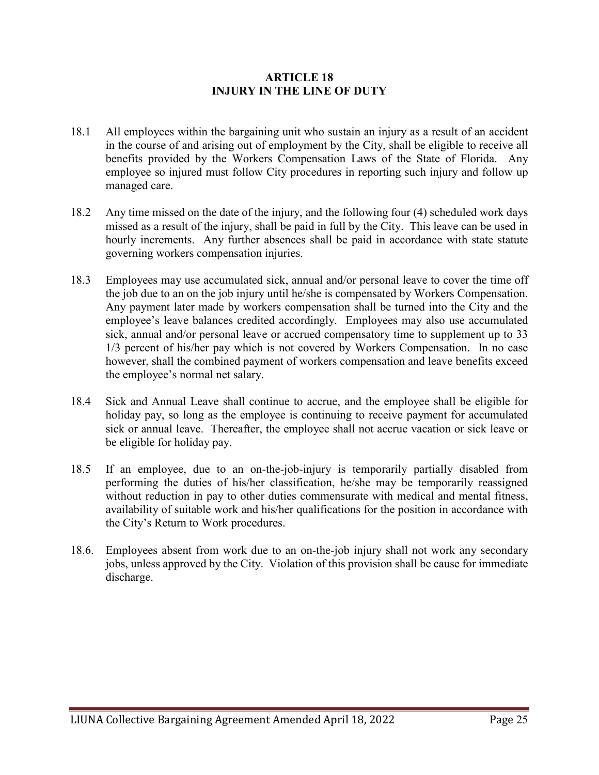### **ARTICLE 18 INJURY IN THE LINE OF DUTY**

- 18.1 All employees within the bargaining unit who sustain an injury as a result of an accident in the course of and arising out of employment by the City, shall be eligible to receive all benefits provided by the Workers Compensation Laws of the State of Florida. Any employee so injured must follow City procedures in reporting such injury and follow up managed care.
- 18.2 Any time missed on the date of the injury, and the following four (4) scheduled work days missed as a result of the injury, shall be paid in full by the City. This leave can be used in hourly increments. Any further absences shall be paid in accordance with state statute governing workers compensation injuries.
- 18.3 Employees may use accumulated sick, annual and/or personal leave to cover the time off the job due to an on the job injury until he/she is compensated by Workers Compensation. Any payment later made by workers compensation shall be turned into the City and the employee's leave balances credited accordingly. Employees may also use accumulated sick, annual and/or personal leave or accrued compensatory time to supplement up to 33 1/3 percent of his/her pay which is not covered by Workers Compensation. In no case however, shall the combined payment of workers compensation and leave benefits exceed the employee's normal net salary.
- 18.4 Sick and Annual Leave shall continue to accrue, and the employee shall be eligible for holiday pay, so long as the employee is continuing to receive payment for accumulated sick or annual leave. Thereafter, the employee shall not accrue vacation or sick leave or be eligible for holiday pay.
- 18.5 If an employee, due to an on-the-job-injury is temporarily partially disabled from performing the duties of his/her classification, he/she may be temporarily reassigned without reduction in pay to other duties commensurate with medical and mental fitness, availability of suitable work and his/her qualifications for the position in accordance with the City's Return to Work procedures.
- 18.6. Employees absent from work due to an on-the-job injury shall not work any secondary jobs, unless approved by the City. Violation of this provision shall be cause for immediate discharge.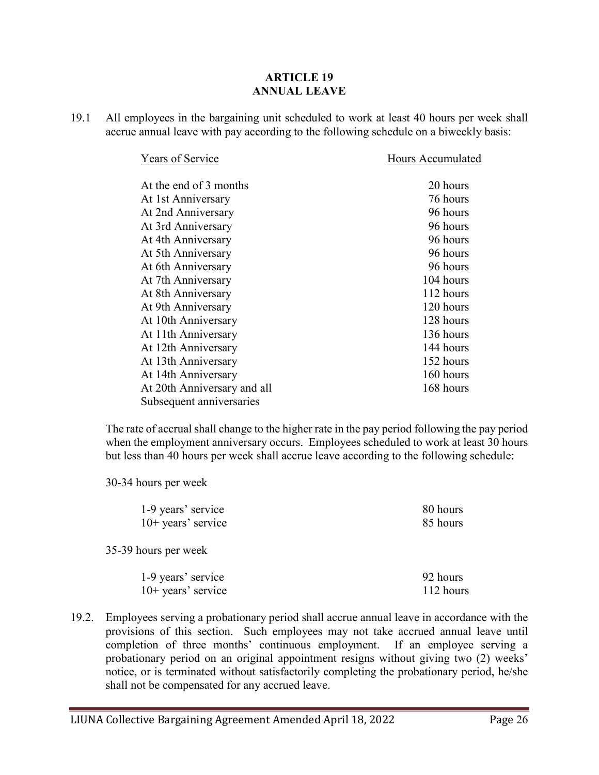#### **ARTICLE 19 ANNUAL LEAVE**

19.1 All employees in the bargaining unit scheduled to work at least 40 hours per week shall accrue annual leave with pay according to the following schedule on a biweekly basis:

| Years of Service            | Hours Accumulated |
|-----------------------------|-------------------|
| At the end of 3 months      | 20 hours          |
| At 1st Anniversary          | 76 hours          |
| At 2nd Anniversary          | 96 hours          |
| At 3rd Anniversary          | 96 hours          |
| At 4th Anniversary          | 96 hours          |
| At 5th Anniversary          | 96 hours          |
| At 6th Anniversary          | 96 hours          |
| At 7th Anniversary          | 104 hours         |
| At 8th Anniversary          | 112 hours         |
| At 9th Anniversary          | 120 hours         |
| At 10th Anniversary         | 128 hours         |
| At 11th Anniversary         | 136 hours         |
| At 12th Anniversary         | 144 hours         |
| At 13th Anniversary         | 152 hours         |
| At 14th Anniversary         | 160 hours         |
| At 20th Anniversary and all | 168 hours         |
| Subsequent anniversaries    |                   |

The rate of accrual shall change to the higher rate in the pay period following the pay period when the employment anniversary occurs. Employees scheduled to work at least 30 hours but less than 40 hours per week shall accrue leave according to the following schedule:

30-34 hours per week

| 1-9 years' service   | 80 hours  |
|----------------------|-----------|
| $10+$ years' service | 85 hours  |
| 35-39 hours per week |           |
| 1-9 years' service   | 92 hours  |
| $10+$ years' service | 112 hours |

19.2. Employees serving a probationary period shall accrue annual leave in accordance with the provisions of this section. Such employees may not take accrued annual leave until completion of three months' continuous employment. If an employee serving a probationary period on an original appointment resigns without giving two (2) weeks' notice, or is terminated without satisfactorily completing the probationary period, he/she shall not be compensated for any accrued leave.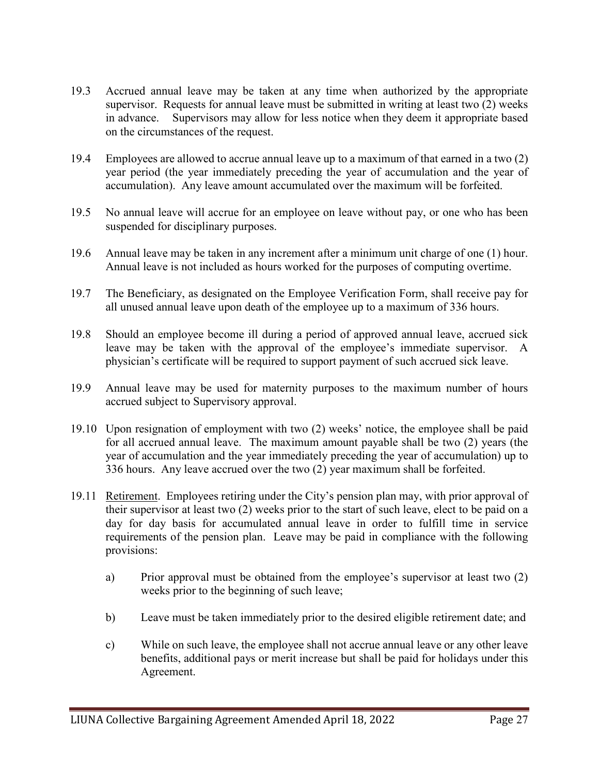- 19.3 Accrued annual leave may be taken at any time when authorized by the appropriate supervisor. Requests for annual leave must be submitted in writing at least two (2) weeks in advance. Supervisors may allow for less notice when they deem it appropriate based on the circumstances of the request.
- 19.4 Employees are allowed to accrue annual leave up to a maximum of that earned in a two (2) year period (the year immediately preceding the year of accumulation and the year of accumulation). Any leave amount accumulated over the maximum will be forfeited.
- 19.5 No annual leave will accrue for an employee on leave without pay, or one who has been suspended for disciplinary purposes.
- 19.6 Annual leave may be taken in any increment after a minimum unit charge of one (1) hour. Annual leave is not included as hours worked for the purposes of computing overtime.
- 19.7 The Beneficiary, as designated on the Employee Verification Form, shall receive pay for all unused annual leave upon death of the employee up to a maximum of 336 hours.
- 19.8 Should an employee become ill during a period of approved annual leave, accrued sick leave may be taken with the approval of the employee's immediate supervisor. A physician's certificate will be required to support payment of such accrued sick leave.
- 19.9 Annual leave may be used for maternity purposes to the maximum number of hours accrued subject to Supervisory approval.
- 19.10 Upon resignation of employment with two (2) weeks' notice, the employee shall be paid for all accrued annual leave. The maximum amount payable shall be two (2) years (the year of accumulation and the year immediately preceding the year of accumulation) up to 336 hours. Any leave accrued over the two (2) year maximum shall be forfeited.
- 19.11 Retirement. Employees retiring under the City's pension plan may, with prior approval of their supervisor at least two (2) weeks prior to the start of such leave, elect to be paid on a day for day basis for accumulated annual leave in order to fulfill time in service requirements of the pension plan. Leave may be paid in compliance with the following provisions:
	- a) Prior approval must be obtained from the employee's supervisor at least two (2) weeks prior to the beginning of such leave;
	- b) Leave must be taken immediately prior to the desired eligible retirement date; and
	- c) While on such leave, the employee shall not accrue annual leave or any other leave benefits, additional pays or merit increase but shall be paid for holidays under this Agreement.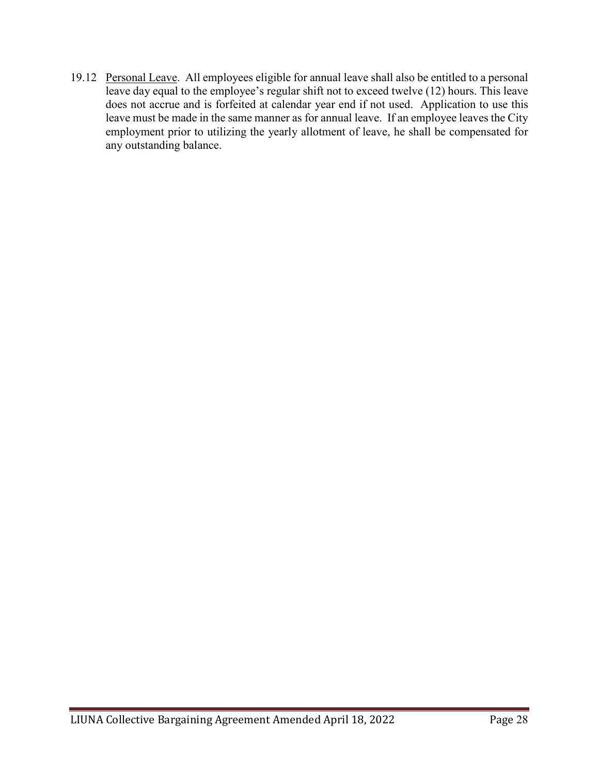19.12 Personal Leave. All employees eligible for annual leave shall also be entitled to a personal leave day equal to the employee's regular shift not to exceed twelve (12) hours. This leave does not accrue and is forfeited at calendar year end if not used. Application to use this leave must be made in the same manner as for annual leave. If an employee leaves the City employment prior to utilizing the yearly allotment of leave, he shall be compensated for any outstanding balance.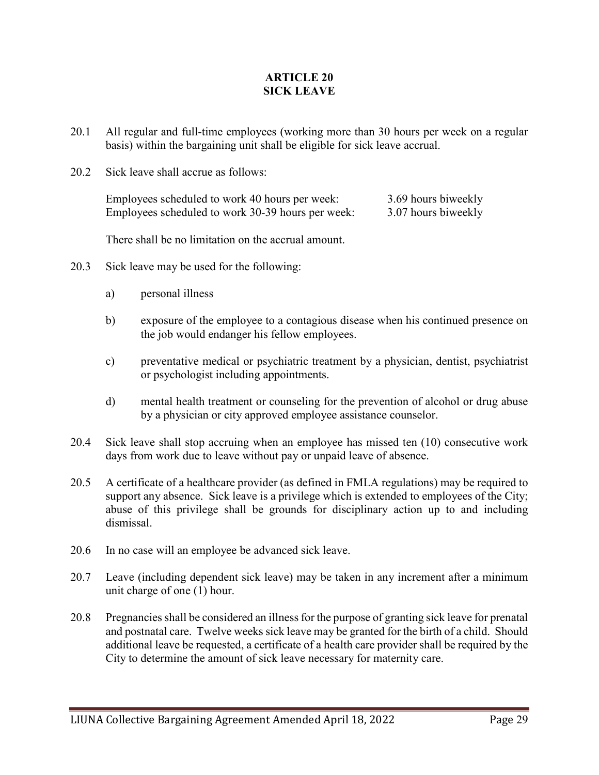### **ARTICLE 20 SICK LEAVE**

- 20.1 All regular and full-time employees (working more than 30 hours per week on a regular basis) within the bargaining unit shall be eligible for sick leave accrual.
- 20.2 Sick leave shall accrue as follows:

Employees scheduled to work 40 hours per week: 3.69 hours biweekly Employees scheduled to work 30-39 hours per week: 3.07 hours biweekly

There shall be no limitation on the accrual amount.

- 20.3 Sick leave may be used for the following:
	- a) personal illness
	- b) exposure of the employee to a contagious disease when his continued presence on the job would endanger his fellow employees.
	- c) preventative medical or psychiatric treatment by a physician, dentist, psychiatrist or psychologist including appointments.
	- d) mental health treatment or counseling for the prevention of alcohol or drug abuse by a physician or city approved employee assistance counselor.
- 20.4 Sick leave shall stop accruing when an employee has missed ten (10) consecutive work days from work due to leave without pay or unpaid leave of absence.
- 20.5 A certificate of a healthcare provider (as defined in FMLA regulations) may be required to support any absence. Sick leave is a privilege which is extended to employees of the City; abuse of this privilege shall be grounds for disciplinary action up to and including dismissal.
- 20.6 In no case will an employee be advanced sick leave.
- 20.7 Leave (including dependent sick leave) may be taken in any increment after a minimum unit charge of one (1) hour.
- 20.8 Pregnancies shall be considered an illness for the purpose of granting sick leave for prenatal and postnatal care. Twelve weeks sick leave may be granted for the birth of a child. Should additional leave be requested, a certificate of a health care provider shall be required by the City to determine the amount of sick leave necessary for maternity care.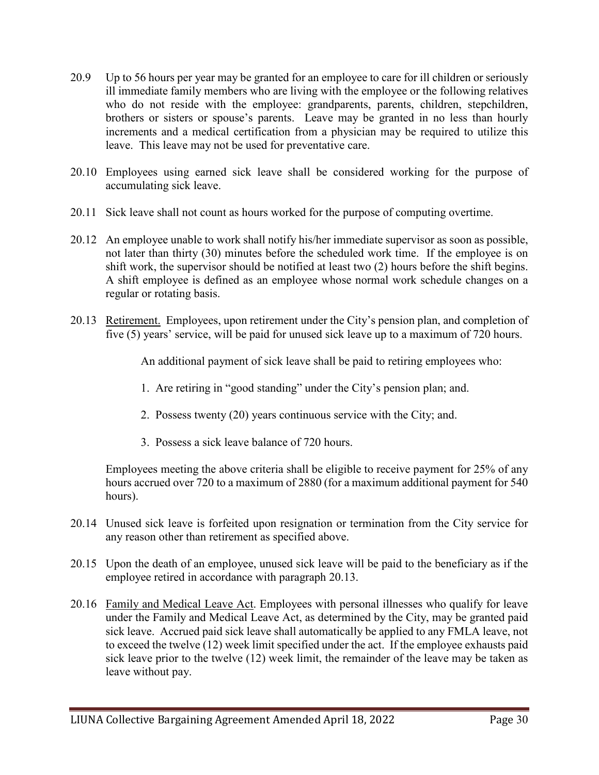- 20.9 Up to 56 hours per year may be granted for an employee to care for ill children or seriously ill immediate family members who are living with the employee or the following relatives who do not reside with the employee: grandparents, parents, children, stepchildren, brothers or sisters or spouse's parents. Leave may be granted in no less than hourly increments and a medical certification from a physician may be required to utilize this leave. This leave may not be used for preventative care.
- 20.10 Employees using earned sick leave shall be considered working for the purpose of accumulating sick leave.
- 20.11 Sick leave shall not count as hours worked for the purpose of computing overtime.
- 20.12 An employee unable to work shall notify his/her immediate supervisor as soon as possible, not later than thirty (30) minutes before the scheduled work time. If the employee is on shift work, the supervisor should be notified at least two (2) hours before the shift begins. A shift employee is defined as an employee whose normal work schedule changes on a regular or rotating basis.
- 20.13 Retirement. Employees, upon retirement under the City's pension plan, and completion of five (5) years' service, will be paid for unused sick leave up to a maximum of 720 hours.

An additional payment of sick leave shall be paid to retiring employees who:

- 1. Are retiring in "good standing" under the City's pension plan; and.
- 2. Possess twenty (20) years continuous service with the City; and.
- 3. Possess a sick leave balance of 720 hours.

Employees meeting the above criteria shall be eligible to receive payment for 25% of any hours accrued over 720 to a maximum of 2880 (for a maximum additional payment for 540 hours).

- 20.14 Unused sick leave is forfeited upon resignation or termination from the City service for any reason other than retirement as specified above.
- 20.15 Upon the death of an employee, unused sick leave will be paid to the beneficiary as if the employee retired in accordance with paragraph 20.13.
- 20.16 Family and Medical Leave Act. Employees with personal illnesses who qualify for leave under the Family and Medical Leave Act, as determined by the City, may be granted paid sick leave. Accrued paid sick leave shall automatically be applied to any FMLA leave, not to exceed the twelve (12) week limit specified under the act. If the employee exhausts paid sick leave prior to the twelve (12) week limit, the remainder of the leave may be taken as leave without pay.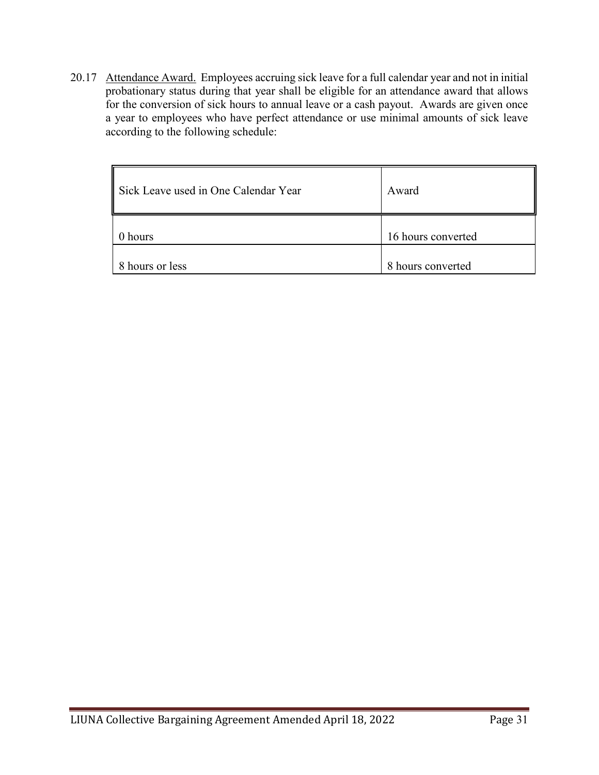20.17 Attendance Award. Employees accruing sick leave for a full calendar year and not in initial probationary status during that year shall be eligible for an attendance award that allows for the conversion of sick hours to annual leave or a cash payout. Awards are given once a year to employees who have perfect attendance or use minimal amounts of sick leave according to the following schedule:

| Sick Leave used in One Calendar Year | Award              |
|--------------------------------------|--------------------|
| hours                                | 16 hours converted |
| 8 hours or less                      | 8 hours converted  |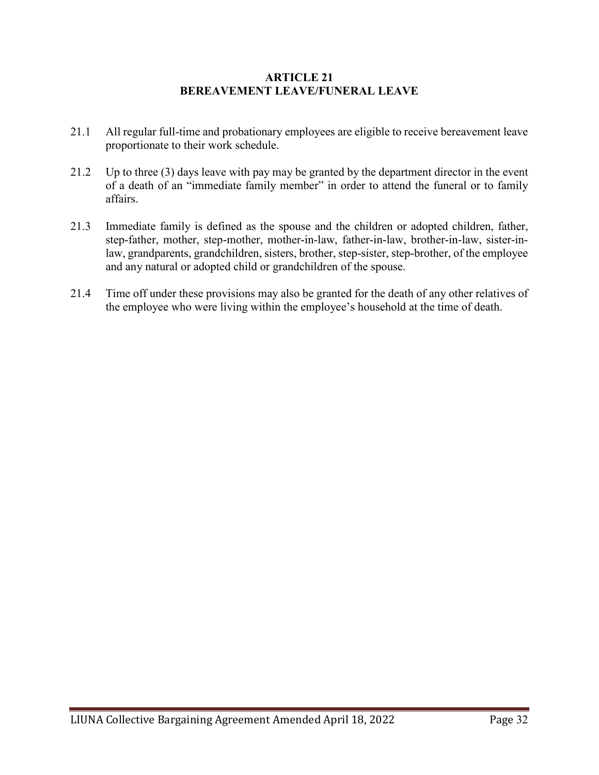### **ARTICLE 21 BEREAVEMENT LEAVE/FUNERAL LEAVE**

- 21.1 All regular full-time and probationary employees are eligible to receive bereavement leave proportionate to their work schedule.
- 21.2 Up to three (3) days leave with pay may be granted by the department director in the event of a death of an "immediate family member" in order to attend the funeral or to family affairs.
- 21.3 Immediate family is defined as the spouse and the children or adopted children, father, step-father, mother, step-mother, mother-in-law, father-in-law, brother-in-law, sister-inlaw, grandparents, grandchildren, sisters, brother, step-sister, step-brother, of the employee and any natural or adopted child or grandchildren of the spouse.
- 21.4 Time off under these provisions may also be granted for the death of any other relatives of the employee who were living within the employee's household at the time of death.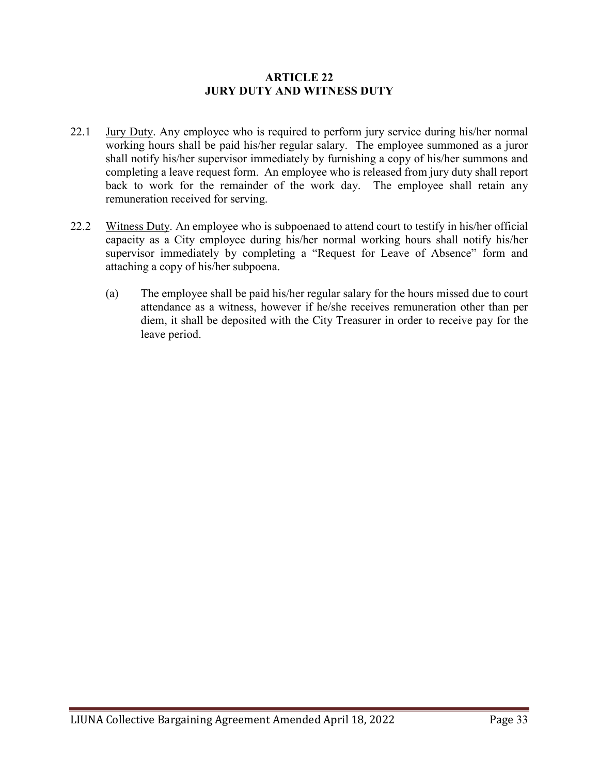#### **ARTICLE 22 JURY DUTY AND WITNESS DUTY**

- 22.1 Jury Duty. Any employee who is required to perform jury service during his/her normal working hours shall be paid his/her regular salary. The employee summoned as a juror shall notify his/her supervisor immediately by furnishing a copy of his/her summons and completing a leave request form. An employee who is released from jury duty shall report back to work for the remainder of the work day. The employee shall retain any remuneration received for serving.
- 22.2 Witness Duty. An employee who is subpoenaed to attend court to testify in his/her official capacity as a City employee during his/her normal working hours shall notify his/her supervisor immediately by completing a "Request for Leave of Absence" form and attaching a copy of his/her subpoena.
	- (a) The employee shall be paid his/her regular salary for the hours missed due to court attendance as a witness, however if he/she receives remuneration other than per diem, it shall be deposited with the City Treasurer in order to receive pay for the leave period.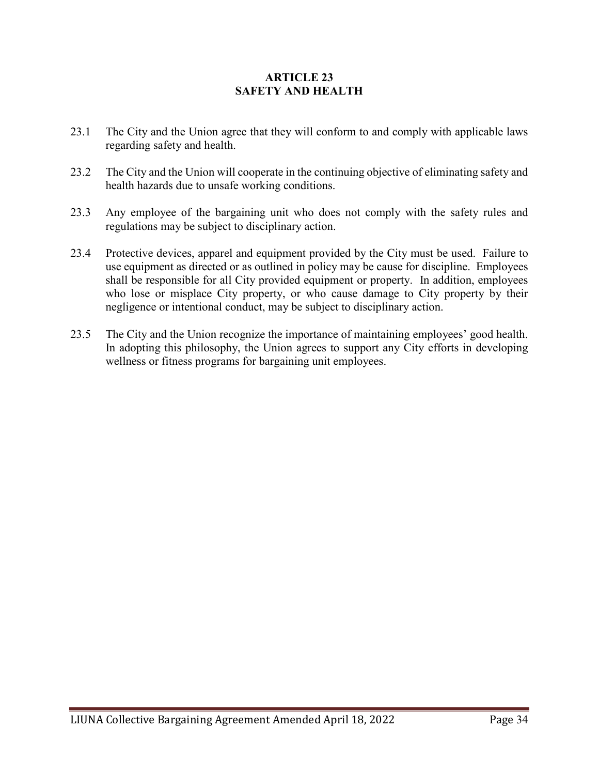## **ARTICLE 23 SAFETY AND HEALTH**

- 23.1 The City and the Union agree that they will conform to and comply with applicable laws regarding safety and health.
- 23.2 The City and the Union will cooperate in the continuing objective of eliminating safety and health hazards due to unsafe working conditions.
- 23.3 Any employee of the bargaining unit who does not comply with the safety rules and regulations may be subject to disciplinary action.
- 23.4 Protective devices, apparel and equipment provided by the City must be used. Failure to use equipment as directed or as outlined in policy may be cause for discipline. Employees shall be responsible for all City provided equipment or property. In addition, employees who lose or misplace City property, or who cause damage to City property by their negligence or intentional conduct, may be subject to disciplinary action.
- 23.5 The City and the Union recognize the importance of maintaining employees' good health. In adopting this philosophy, the Union agrees to support any City efforts in developing wellness or fitness programs for bargaining unit employees.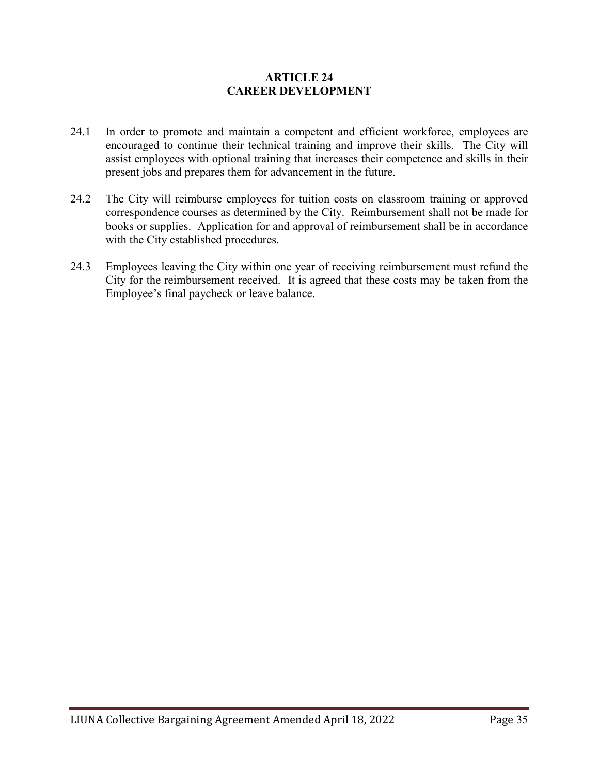### **ARTICLE 24 CAREER DEVELOPMENT**

- 24.1 In order to promote and maintain a competent and efficient workforce, employees are encouraged to continue their technical training and improve their skills. The City will assist employees with optional training that increases their competence and skills in their present jobs and prepares them for advancement in the future.
- 24.2 The City will reimburse employees for tuition costs on classroom training or approved correspondence courses as determined by the City. Reimbursement shall not be made for books or supplies. Application for and approval of reimbursement shall be in accordance with the City established procedures.
- 24.3 Employees leaving the City within one year of receiving reimbursement must refund the City for the reimbursement received. It is agreed that these costs may be taken from the Employee's final paycheck or leave balance.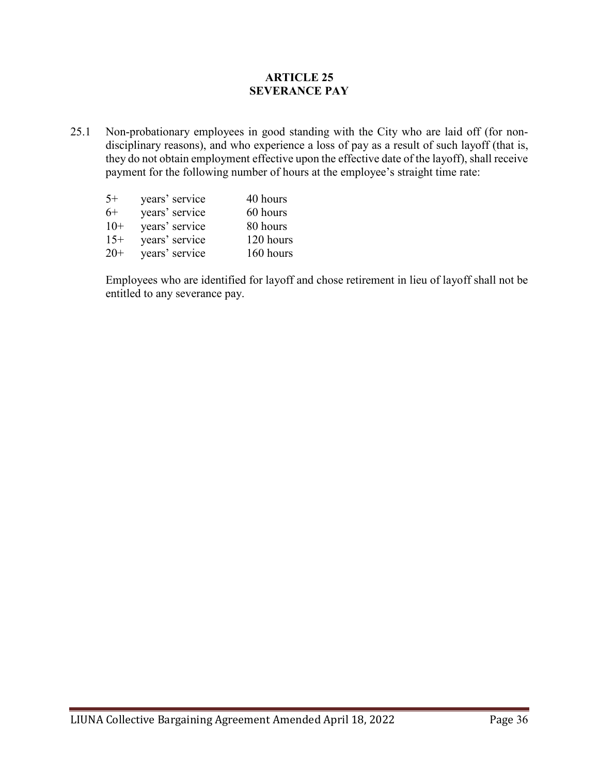### **ARTICLE 25 SEVERANCE PAY**

25.1 Non-probationary employees in good standing with the City who are laid off (for nondisciplinary reasons), and who experience a loss of pay as a result of such layoff (that is, they do not obtain employment effective upon the effective date of the layoff), shall receive payment for the following number of hours at the employee's straight time rate:

| $5+$  | years' service | 40 hours  |
|-------|----------------|-----------|
| $6+$  | years' service | 60 hours  |
| $10+$ | years' service | 80 hours  |
| $15+$ | years' service | 120 hours |
| $20+$ | years' service | 160 hours |

Employees who are identified for layoff and chose retirement in lieu of layoff shall not be entitled to any severance pay.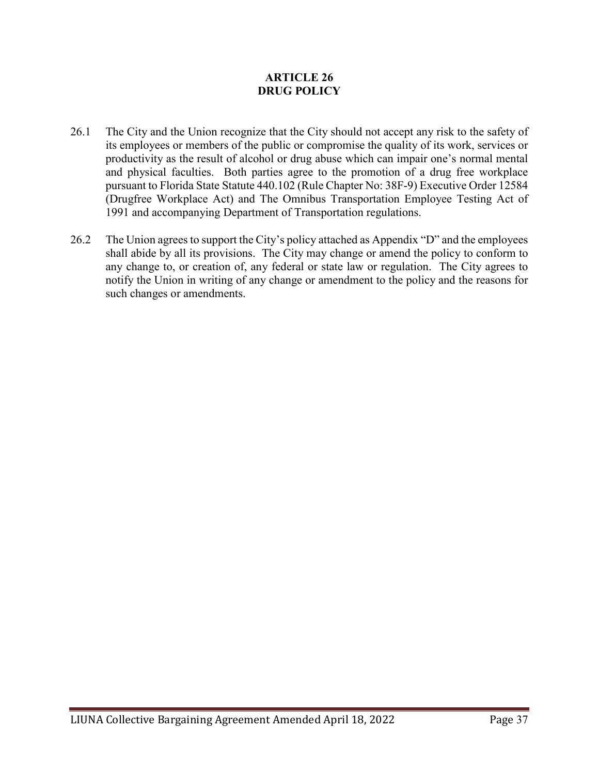### **ARTICLE 26 DRUG POLICY**

- 26.1 The City and the Union recognize that the City should not accept any risk to the safety of its employees or members of the public or compromise the quality of its work, services or productivity as the result of alcohol or drug abuse which can impair one's normal mental and physical faculties. Both parties agree to the promotion of a drug free workplace pursuant to Florida State Statute 440.102 (Rule Chapter No: 38F-9) Executive Order 12584 (Drugfree Workplace Act) and The Omnibus Transportation Employee Testing Act of 1991 and accompanying Department of Transportation regulations.
- 26.2 The Union agrees to support the City's policy attached as Appendix "D" and the employees shall abide by all its provisions. The City may change or amend the policy to conform to any change to, or creation of, any federal or state law or regulation. The City agrees to notify the Union in writing of any change or amendment to the policy and the reasons for such changes or amendments.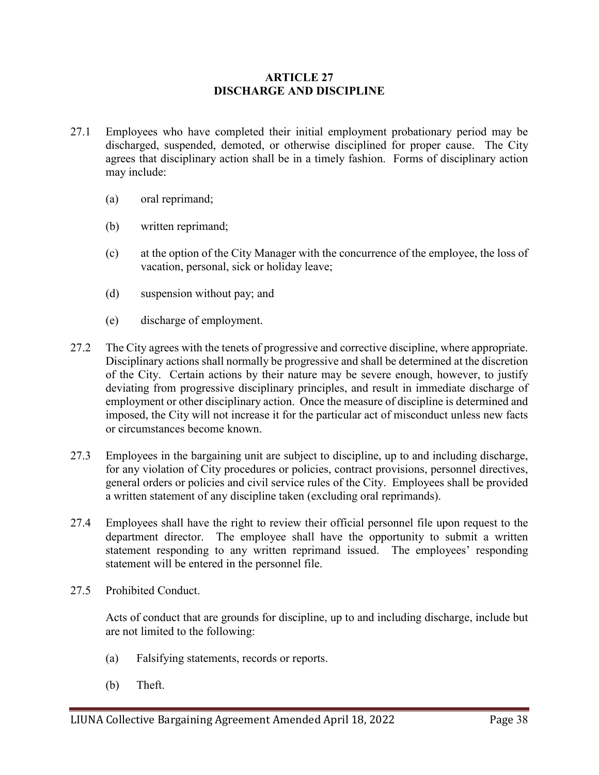### **ARTICLE 27 DISCHARGE AND DISCIPLINE**

- 27.1 Employees who have completed their initial employment probationary period may be discharged, suspended, demoted, or otherwise disciplined for proper cause. The City agrees that disciplinary action shall be in a timely fashion. Forms of disciplinary action may include:
	- (a) oral reprimand;
	- (b) written reprimand;
	- (c) at the option of the City Manager with the concurrence of the employee, the loss of vacation, personal, sick or holiday leave;
	- (d) suspension without pay; and
	- (e) discharge of employment.
- 27.2 The City agrees with the tenets of progressive and corrective discipline, where appropriate. Disciplinary actions shall normally be progressive and shall be determined at the discretion of the City. Certain actions by their nature may be severe enough, however, to justify deviating from progressive disciplinary principles, and result in immediate discharge of employment or other disciplinary action. Once the measure of discipline is determined and imposed, the City will not increase it for the particular act of misconduct unless new facts or circumstances become known.
- 27.3 Employees in the bargaining unit are subject to discipline, up to and including discharge, for any violation of City procedures or policies, contract provisions, personnel directives, general orders or policies and civil service rules of the City. Employees shall be provided a written statement of any discipline taken (excluding oral reprimands).
- 27.4 Employees shall have the right to review their official personnel file upon request to the department director. The employee shall have the opportunity to submit a written statement responding to any written reprimand issued. The employees' responding statement will be entered in the personnel file.
- 27.5 Prohibited Conduct.

Acts of conduct that are grounds for discipline, up to and including discharge, include but are not limited to the following:

- (a) Falsifying statements, records or reports.
- (b) Theft.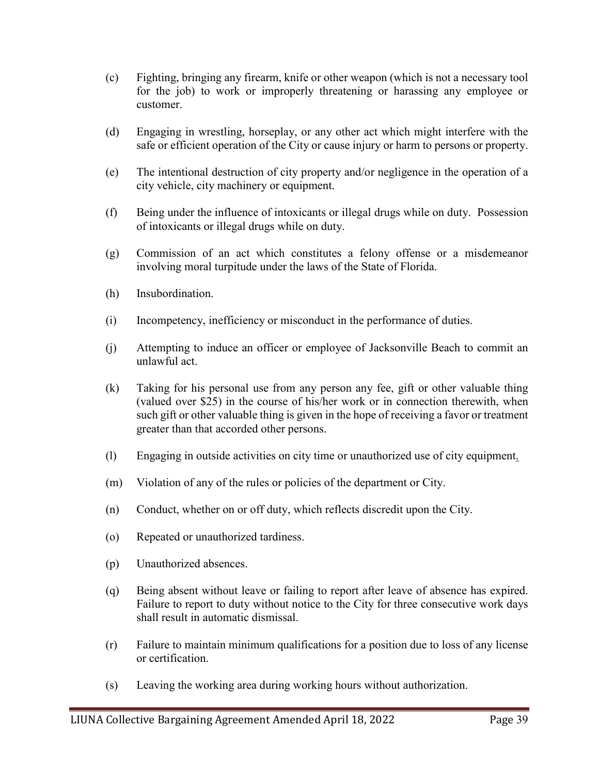- (c) Fighting, bringing any firearm, knife or other weapon (which is not a necessary tool for the job) to work or improperly threatening or harassing any employee or customer.
- (d) Engaging in wrestling, horseplay, or any other act which might interfere with the safe or efficient operation of the City or cause injury or harm to persons or property.
- (e) The intentional destruction of city property and/or negligence in the operation of a city vehicle, city machinery or equipment.
- (f) Being under the influence of intoxicants or illegal drugs while on duty. Possession of intoxicants or illegal drugs while on duty.
- (g) Commission of an act which constitutes a felony offense or a misdemeanor involving moral turpitude under the laws of the State of Florida.
- (h) Insubordination.
- (i) Incompetency, inefficiency or misconduct in the performance of duties.
- (j) Attempting to induce an officer or employee of Jacksonville Beach to commit an unlawful act.
- (k) Taking for his personal use from any person any fee, gift or other valuable thing (valued over \$25) in the course of his/her work or in connection therewith, when such gift or other valuable thing is given in the hope of receiving a favor or treatment greater than that accorded other persons.
- (l) Engaging in outside activities on city time or unauthorized use of city equipment.
- (m) Violation of any of the rules or policies of the department or City.
- (n) Conduct, whether on or off duty, which reflects discredit upon the City.
- (o) Repeated or unauthorized tardiness.
- (p) Unauthorized absences.
- (q) Being absent without leave or failing to report after leave of absence has expired. Failure to report to duty without notice to the City for three consecutive work days shall result in automatic dismissal.
- (r) Failure to maintain minimum qualifications for a position due to loss of any license or certification.
- (s) Leaving the working area during working hours without authorization.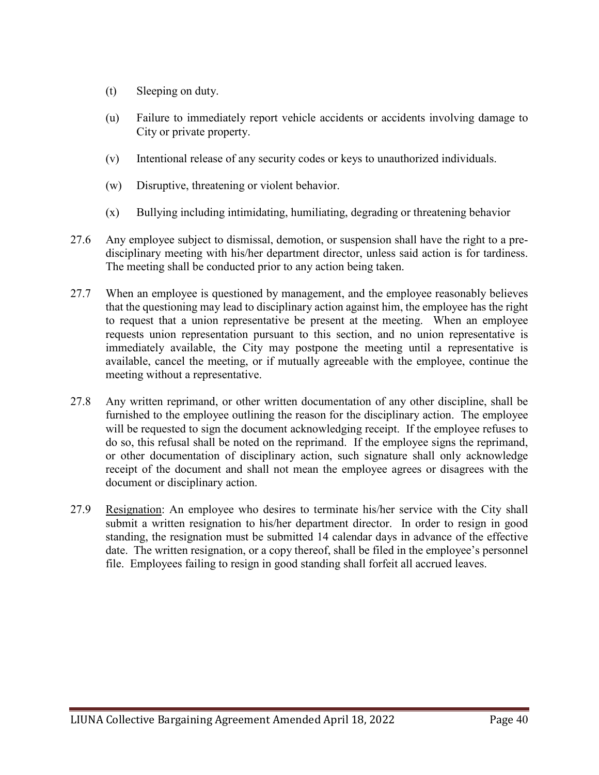- (t) Sleeping on duty.
- (u) Failure to immediately report vehicle accidents or accidents involving damage to City or private property.
- (v) Intentional release of any security codes or keys to unauthorized individuals.
- (w) Disruptive, threatening or violent behavior.
- (x) Bullying including intimidating, humiliating, degrading or threatening behavior
- 27.6 Any employee subject to dismissal, demotion, or suspension shall have the right to a predisciplinary meeting with his/her department director, unless said action is for tardiness. The meeting shall be conducted prior to any action being taken.
- 27.7 When an employee is questioned by management, and the employee reasonably believes that the questioning may lead to disciplinary action against him, the employee has the right to request that a union representative be present at the meeting. When an employee requests union representation pursuant to this section, and no union representative is immediately available, the City may postpone the meeting until a representative is available, cancel the meeting, or if mutually agreeable with the employee, continue the meeting without a representative.
- 27.8 Any written reprimand, or other written documentation of any other discipline, shall be furnished to the employee outlining the reason for the disciplinary action. The employee will be requested to sign the document acknowledging receipt. If the employee refuses to do so, this refusal shall be noted on the reprimand. If the employee signs the reprimand, or other documentation of disciplinary action, such signature shall only acknowledge receipt of the document and shall not mean the employee agrees or disagrees with the document or disciplinary action.
- 27.9 Resignation: An employee who desires to terminate his/her service with the City shall submit a written resignation to his/her department director. In order to resign in good standing, the resignation must be submitted 14 calendar days in advance of the effective date. The written resignation, or a copy thereof, shall be filed in the employee's personnel file. Employees failing to resign in good standing shall forfeit all accrued leaves.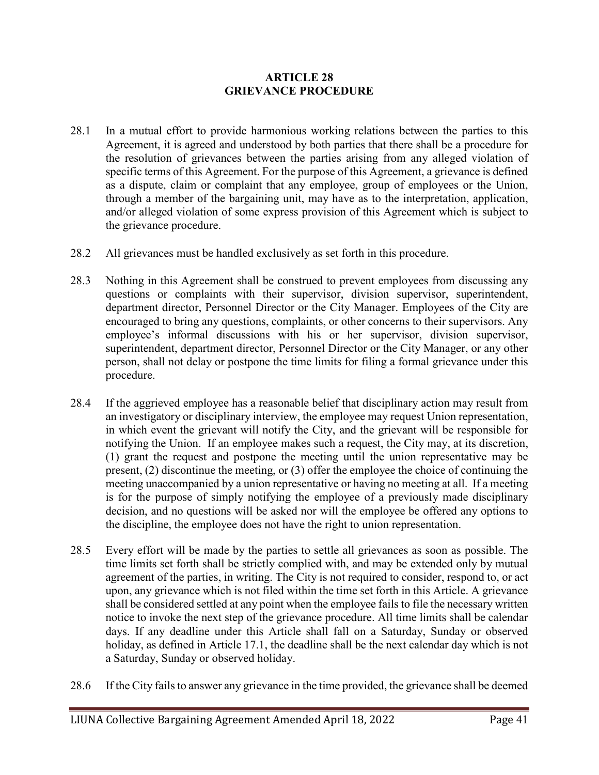### **ARTICLE 28 GRIEVANCE PROCEDURE**

- 28.1 In a mutual effort to provide harmonious working relations between the parties to this Agreement, it is agreed and understood by both parties that there shall be a procedure for the resolution of grievances between the parties arising from any alleged violation of specific terms of this Agreement. For the purpose of this Agreement, a grievance is defined as a dispute, claim or complaint that any employee, group of employees or the Union, through a member of the bargaining unit, may have as to the interpretation, application, and/or alleged violation of some express provision of this Agreement which is subject to the grievance procedure.
- 28.2 All grievances must be handled exclusively as set forth in this procedure.
- 28.3 Nothing in this Agreement shall be construed to prevent employees from discussing any questions or complaints with their supervisor, division supervisor, superintendent, department director, Personnel Director or the City Manager. Employees of the City are encouraged to bring any questions, complaints, or other concerns to their supervisors. Any employee's informal discussions with his or her supervisor, division supervisor, superintendent, department director, Personnel Director or the City Manager, or any other person, shall not delay or postpone the time limits for filing a formal grievance under this procedure.
- 28.4 If the aggrieved employee has a reasonable belief that disciplinary action may result from an investigatory or disciplinary interview, the employee may request Union representation, in which event the grievant will notify the City, and the grievant will be responsible for notifying the Union. If an employee makes such a request, the City may, at its discretion, (1) grant the request and postpone the meeting until the union representative may be present, (2) discontinue the meeting, or (3) offer the employee the choice of continuing the meeting unaccompanied by a union representative or having no meeting at all. If a meeting is for the purpose of simply notifying the employee of a previously made disciplinary decision, and no questions will be asked nor will the employee be offered any options to the discipline, the employee does not have the right to union representation.
- 28.5 Every effort will be made by the parties to settle all grievances as soon as possible. The time limits set forth shall be strictly complied with, and may be extended only by mutual agreement of the parties, in writing. The City is not required to consider, respond to, or act upon, any grievance which is not filed within the time set forth in this Article. A grievance shall be considered settled at any point when the employee fails to file the necessary written notice to invoke the next step of the grievance procedure. All time limits shall be calendar days. If any deadline under this Article shall fall on a Saturday, Sunday or observed holiday, as defined in Article 17.1, the deadline shall be the next calendar day which is not a Saturday, Sunday or observed holiday.
- 28.6 If the City fails to answer any grievance in the time provided, the grievance shall be deemed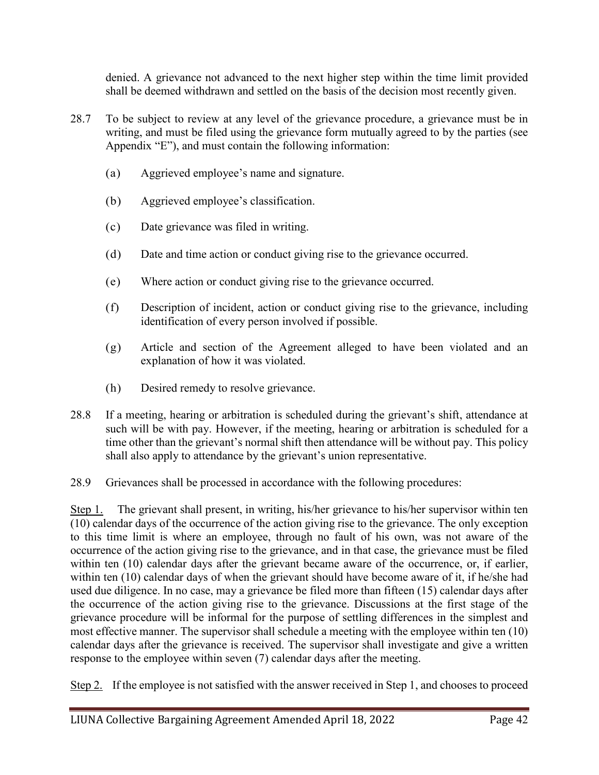denied. A grievance not advanced to the next higher step within the time limit provided shall be deemed withdrawn and settled on the basis of the decision most recently given.

- 28.7 To be subject to review at any level of the grievance procedure, a grievance must be in writing, and must be filed using the grievance form mutually agreed to by the parties (see Appendix "E"), and must contain the following information:
	- (a) Aggrieved employee's name and signature.
	- (b) Aggrieved employee's classification.
	- (c) Date grievance was filed in writing.
	- (d) Date and time action or conduct giving rise to the grievance occurred.
	- (e) Where action or conduct giving rise to the grievance occurred.
	- (f) Description of incident, action or conduct giving rise to the grievance, including identification of every person involved if possible.
	- (g) Article and section of the Agreement alleged to have been violated and an explanation of how it was violated.
	- (h) Desired remedy to resolve grievance.
- 28.8 If a meeting, hearing or arbitration is scheduled during the grievant's shift, attendance at such will be with pay. However, if the meeting, hearing or arbitration is scheduled for a time other than the grievant's normal shift then attendance will be without pay. This policy shall also apply to attendance by the grievant's union representative.
- 28.9 Grievances shall be processed in accordance with the following procedures:

Step 1. The grievant shall present, in writing, his/her grievance to his/her supervisor within ten (10) calendar days of the occurrence of the action giving rise to the grievance. The only exception to this time limit is where an employee, through no fault of his own, was not aware of the occurrence of the action giving rise to the grievance, and in that case, the grievance must be filed within ten (10) calendar days after the grievant became aware of the occurrence, or, if earlier, within ten (10) calendar days of when the grievant should have become aware of it, if he/she had used due diligence. In no case, may a grievance be filed more than fifteen (15) calendar days after the occurrence of the action giving rise to the grievance. Discussions at the first stage of the grievance procedure will be informal for the purpose of settling differences in the simplest and most effective manner. The supervisor shall schedule a meeting with the employee within ten (10) calendar days after the grievance is received. The supervisor shall investigate and give a written response to the employee within seven (7) calendar days after the meeting.

Step 2. If the employee is not satisfied with the answer received in Step 1, and chooses to proceed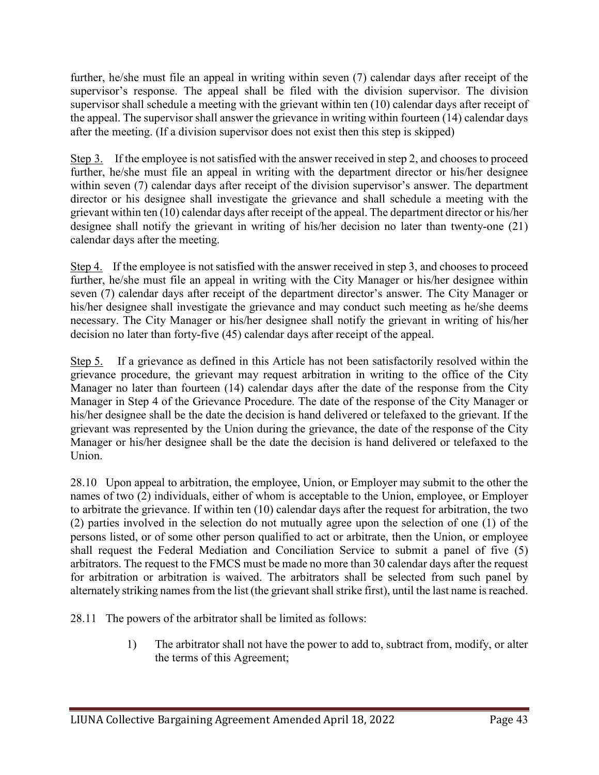further, he/she must file an appeal in writing within seven (7) calendar days after receipt of the supervisor's response. The appeal shall be filed with the division supervisor. The division supervisor shall schedule a meeting with the grievant within ten (10) calendar days after receipt of the appeal. The supervisor shall answer the grievance in writing within fourteen (14) calendar days after the meeting. (If a division supervisor does not exist then this step is skipped)

Step 3. If the employee is not satisfied with the answer received in step 2, and chooses to proceed further, he/she must file an appeal in writing with the department director or his/her designee within seven (7) calendar days after receipt of the division supervisor's answer. The department director or his designee shall investigate the grievance and shall schedule a meeting with the grievant within ten (10) calendar days after receipt of the appeal. The department director or his/her designee shall notify the grievant in writing of his/her decision no later than twenty-one (21) calendar days after the meeting.

Step 4. If the employee is not satisfied with the answer received in step 3, and chooses to proceed further, he/she must file an appeal in writing with the City Manager or his/her designee within seven (7) calendar days after receipt of the department director's answer. The City Manager or his/her designee shall investigate the grievance and may conduct such meeting as he/she deems necessary. The City Manager or his/her designee shall notify the grievant in writing of his/her decision no later than forty-five (45) calendar days after receipt of the appeal.

Step 5. If a grievance as defined in this Article has not been satisfactorily resolved within the grievance procedure, the grievant may request arbitration in writing to the office of the City Manager no later than fourteen (14) calendar days after the date of the response from the City Manager in Step 4 of the Grievance Procedure. The date of the response of the City Manager or his/her designee shall be the date the decision is hand delivered or telefaxed to the grievant. If the grievant was represented by the Union during the grievance, the date of the response of the City Manager or his/her designee shall be the date the decision is hand delivered or telefaxed to the Union.

28.10 Upon appeal to arbitration, the employee, Union, or Employer may submit to the other the names of two (2) individuals, either of whom is acceptable to the Union, employee, or Employer to arbitrate the grievance. If within ten (10) calendar days after the request for arbitration, the two (2) parties involved in the selection do not mutually agree upon the selection of one (1) of the persons listed, or of some other person qualified to act or arbitrate, then the Union, or employee shall request the Federal Mediation and Conciliation Service to submit a panel of five (5) arbitrators. The request to the FMCS must be made no more than 30 calendar days after the request for arbitration or arbitration is waived. The arbitrators shall be selected from such panel by alternately striking names from the list (the grievant shall strike first), until the last name is reached.

28.11 The powers of the arbitrator shall be limited as follows:

1) The arbitrator shall not have the power to add to, subtract from, modify, or alter the terms of this Agreement;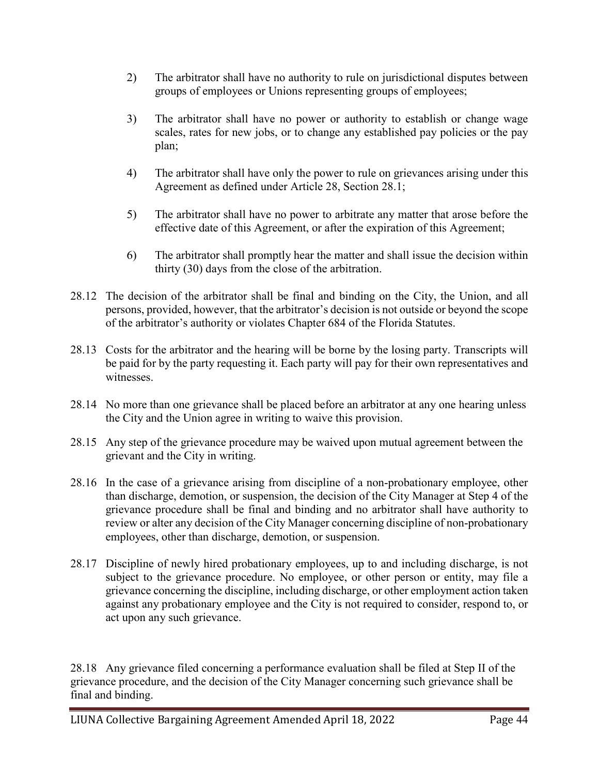- 2) The arbitrator shall have no authority to rule on jurisdictional disputes between groups of employees or Unions representing groups of employees;
- 3) The arbitrator shall have no power or authority to establish or change wage scales, rates for new jobs, or to change any established pay policies or the pay plan;
- 4) The arbitrator shall have only the power to rule on grievances arising under this Agreement as defined under Article 28, Section 28.1;
- 5) The arbitrator shall have no power to arbitrate any matter that arose before the effective date of this Agreement, or after the expiration of this Agreement;
- 6) The arbitrator shall promptly hear the matter and shall issue the decision within thirty (30) days from the close of the arbitration.
- 28.12 The decision of the arbitrator shall be final and binding on the City, the Union, and all persons, provided, however, that the arbitrator's decision is not outside or beyond the scope of the arbitrator's authority or violates Chapter 684 of the Florida Statutes.
- 28.13 Costs for the arbitrator and the hearing will be borne by the losing party. Transcripts will be paid for by the party requesting it. Each party will pay for their own representatives and witnesses.
- 28.14 No more than one grievance shall be placed before an arbitrator at any one hearing unless the City and the Union agree in writing to waive this provision.
- 28.15 Any step of the grievance procedure may be waived upon mutual agreement between the grievant and the City in writing.
- 28.16 In the case of a grievance arising from discipline of a non-probationary employee, other than discharge, demotion, or suspension, the decision of the City Manager at Step 4 of the grievance procedure shall be final and binding and no arbitrator shall have authority to review or alter any decision of the City Manager concerning discipline of non-probationary employees, other than discharge, demotion, or suspension.
- 28.17 Discipline of newly hired probationary employees, up to and including discharge, is not subject to the grievance procedure. No employee, or other person or entity, may file a grievance concerning the discipline, including discharge, or other employment action taken against any probationary employee and the City is not required to consider, respond to, or act upon any such grievance.

28.18 Any grievance filed concerning a performance evaluation shall be filed at Step II of the grievance procedure, and the decision of the City Manager concerning such grievance shall be final and binding.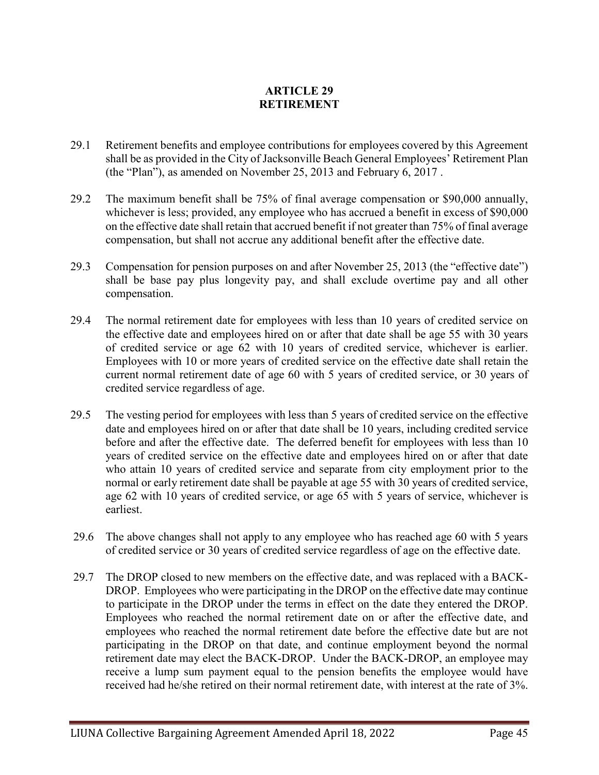# **ARTICLE 29 RETIREMENT**

- 29.1 Retirement benefits and employee contributions for employees covered by this Agreement shall be as provided in the City of Jacksonville Beach General Employees' Retirement Plan (the "Plan"), as amended on November 25, 2013 and February 6, 2017 .
- 29.2 The maximum benefit shall be 75% of final average compensation or \$90,000 annually, whichever is less; provided, any employee who has accrued a benefit in excess of \$90,000 on the effective date shall retain that accrued benefit if not greater than 75% of final average compensation, but shall not accrue any additional benefit after the effective date.
- 29.3 Compensation for pension purposes on and after November 25, 2013 (the "effective date") shall be base pay plus longevity pay, and shall exclude overtime pay and all other compensation.
- 29.4 The normal retirement date for employees with less than 10 years of credited service on the effective date and employees hired on or after that date shall be age 55 with 30 years of credited service or age 62 with 10 years of credited service, whichever is earlier. Employees with 10 or more years of credited service on the effective date shall retain the current normal retirement date of age 60 with 5 years of credited service, or 30 years of credited service regardless of age.
- 29.5 The vesting period for employees with less than 5 years of credited service on the effective date and employees hired on or after that date shall be 10 years, including credited service before and after the effective date. The deferred benefit for employees with less than 10 years of credited service on the effective date and employees hired on or after that date who attain 10 years of credited service and separate from city employment prior to the normal or early retirement date shall be payable at age 55 with 30 years of credited service, age 62 with 10 years of credited service, or age 65 with 5 years of service, whichever is earliest.
- 29.6 The above changes shall not apply to any employee who has reached age 60 with 5 years of credited service or 30 years of credited service regardless of age on the effective date.
- 29.7 The DROP closed to new members on the effective date, and was replaced with a BACK-DROP. Employees who were participating in the DROP on the effective date may continue to participate in the DROP under the terms in effect on the date they entered the DROP. Employees who reached the normal retirement date on or after the effective date, and employees who reached the normal retirement date before the effective date but are not participating in the DROP on that date, and continue employment beyond the normal retirement date may elect the BACK-DROP. Under the BACK-DROP, an employee may receive a lump sum payment equal to the pension benefits the employee would have received had he/she retired on their normal retirement date, with interest at the rate of 3%.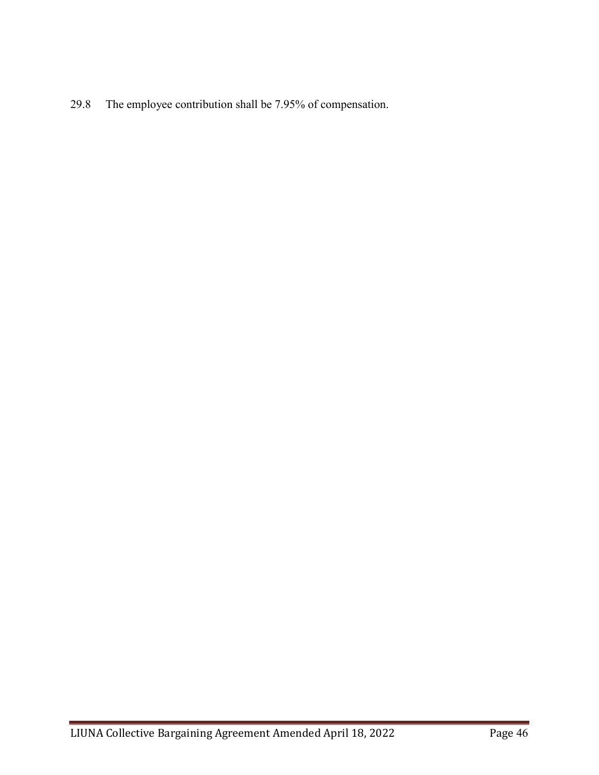29.8 The employee contribution shall be 7.95% of compensation.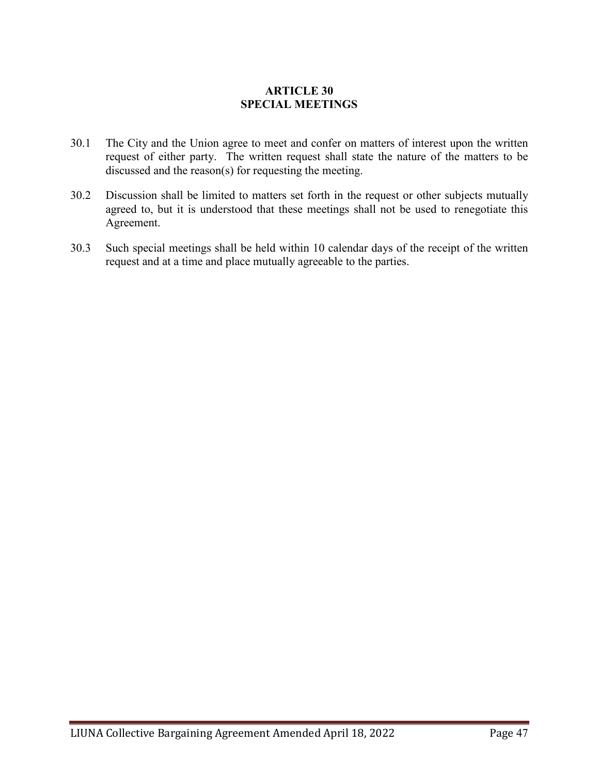# **ARTICLE 30 SPECIAL MEETINGS**

- 30.1 The City and the Union agree to meet and confer on matters of interest upon the written request of either party. The written request shall state the nature of the matters to be discussed and the reason(s) for requesting the meeting.
- 30.2 Discussion shall be limited to matters set forth in the request or other subjects mutually agreed to, but it is understood that these meetings shall not be used to renegotiate this Agreement.
- 30.3 Such special meetings shall be held within 10 calendar days of the receipt of the written request and at a time and place mutually agreeable to the parties.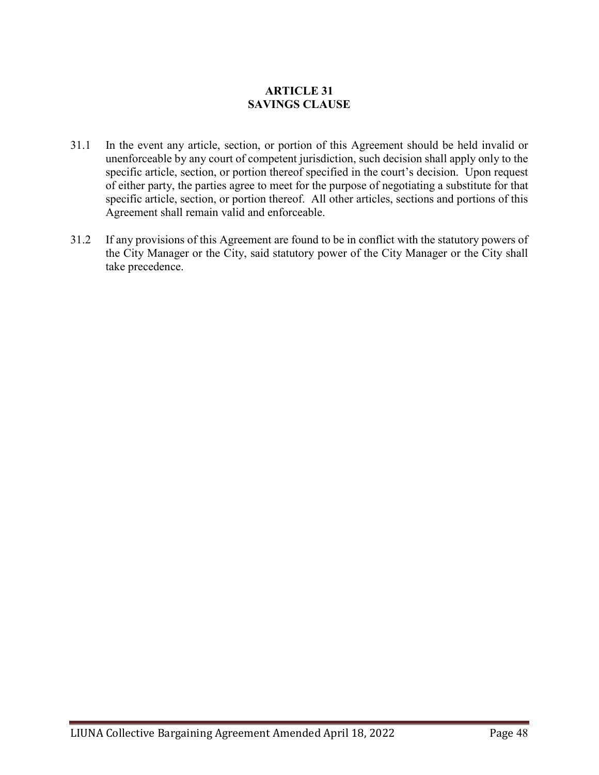# **ARTICLE 31 SAVINGS CLAUSE**

- 31.1 In the event any article, section, or portion of this Agreement should be held invalid or unenforceable by any court of competent jurisdiction, such decision shall apply only to the specific article, section, or portion thereof specified in the court's decision. Upon request of either party, the parties agree to meet for the purpose of negotiating a substitute for that specific article, section, or portion thereof. All other articles, sections and portions of this Agreement shall remain valid and enforceable.
- 31.2 If any provisions of this Agreement are found to be in conflict with the statutory powers of the City Manager or the City, said statutory power of the City Manager or the City shall take precedence.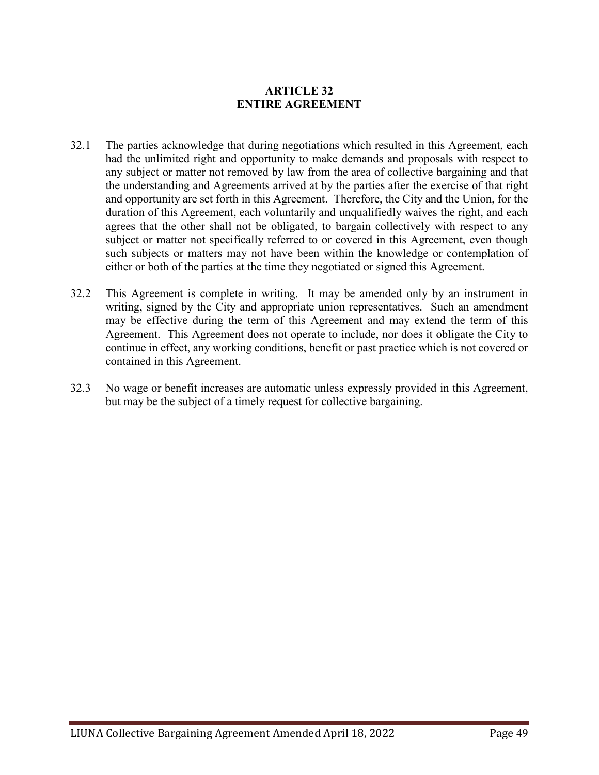# **ARTICLE 32 ENTIRE AGREEMENT**

- 32.1 The parties acknowledge that during negotiations which resulted in this Agreement, each had the unlimited right and opportunity to make demands and proposals with respect to any subject or matter not removed by law from the area of collective bargaining and that the understanding and Agreements arrived at by the parties after the exercise of that right and opportunity are set forth in this Agreement. Therefore, the City and the Union, for the duration of this Agreement, each voluntarily and unqualifiedly waives the right, and each agrees that the other shall not be obligated, to bargain collectively with respect to any subject or matter not specifically referred to or covered in this Agreement, even though such subjects or matters may not have been within the knowledge or contemplation of either or both of the parties at the time they negotiated or signed this Agreement.
- 32.2 This Agreement is complete in writing. It may be amended only by an instrument in writing, signed by the City and appropriate union representatives. Such an amendment may be effective during the term of this Agreement and may extend the term of this Agreement. This Agreement does not operate to include, nor does it obligate the City to continue in effect, any working conditions, benefit or past practice which is not covered or contained in this Agreement.
- 32.3 No wage or benefit increases are automatic unless expressly provided in this Agreement, but may be the subject of a timely request for collective bargaining.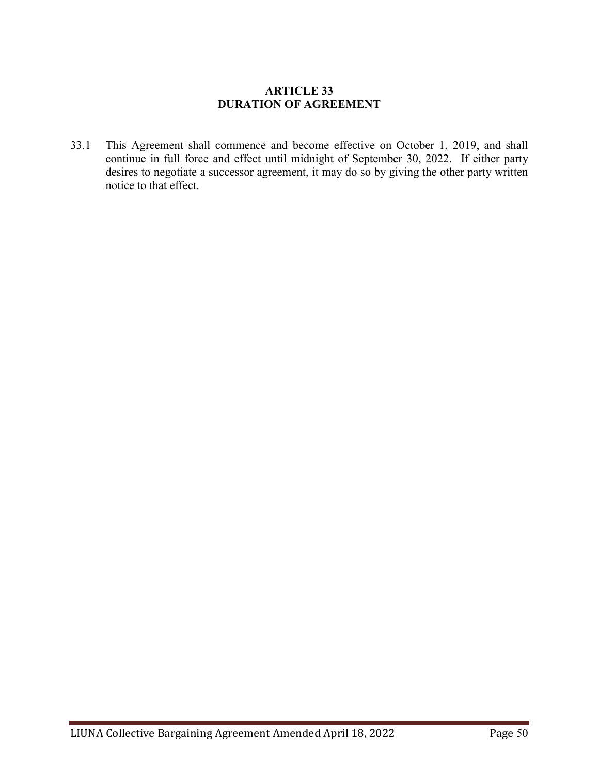## **ARTICLE 33 DURATION OF AGREEMENT**

33.1 This Agreement shall commence and become effective on October 1, 2019, and shall continue in full force and effect until midnight of September 30, 2022. If either party desires to negotiate a successor agreement, it may do so by giving the other party written notice to that effect.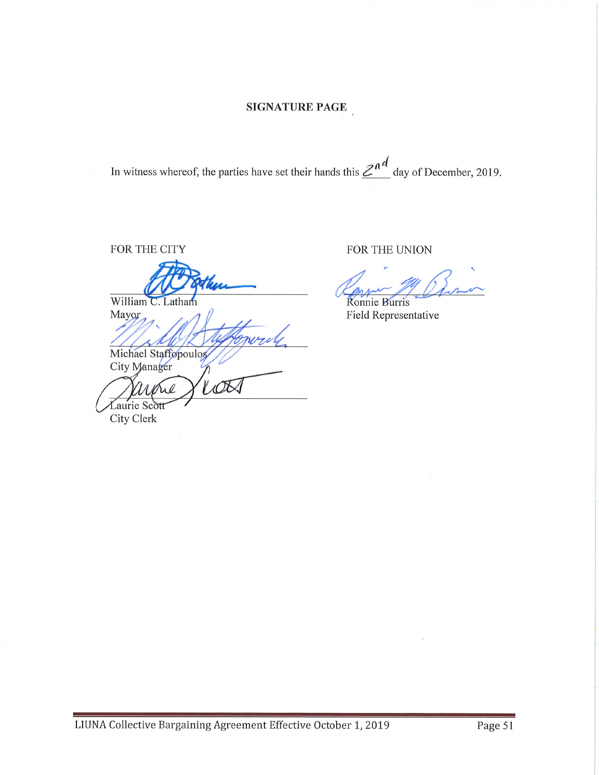In witness whereof, the parties have set their hands this  $\mathbb{Z}^{n}$  day of December, 2019.

FOR THE CITY

William C. Latham Mayor

Michael Staffopoulos City Manager

LOT arone Laurie Scott

City Clerk

FOR THE UNION

Ronnie Burris

Field Representative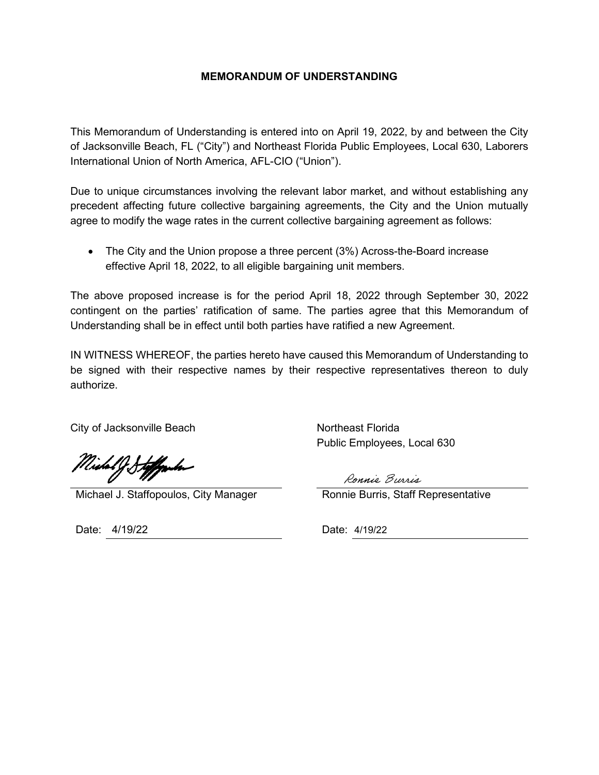### **MEMORANDUM OF UNDERSTANDING**

This Memorandum of Understanding is entered into on April 19, 2022, by and between the City of Jacksonville Beach, FL ("City") and Northeast Florida Public Employees, Local 630, Laborers International Union of North America, AFL-CIO ("Union").

Due to unique circumstances involving the relevant labor market, and without establishing any precedent affecting future collective bargaining agreements, the City and the Union mutually agree to modify the wage rates in the current collective bargaining agreement as follows:

• The City and the Union propose a three percent (3%) Across-the-Board increase effective April 18, 2022, to all eligible bargaining unit members.

The above proposed increase is for the period April 18, 2022 through September 30, 2022 contingent on the parties' ratification of same. The parties agree that this Memorandum of Understanding shall be in effect until both parties have ratified a new Agreement.

IN WITNESS WHEREOF, the parties hereto have caused this Memorandum of Understanding to be signed with their respective names by their respective representatives thereon to duly authorize.

City of Jacksonville Beach Northeast Florida

Midal J Stoffmler

Michael J. Staffopoulos, City Manager Ronnie Burris, Staff Representative

Date: 4/19/22 Date: 4/19/22

Public Employees, Local 630

Ronnie Burris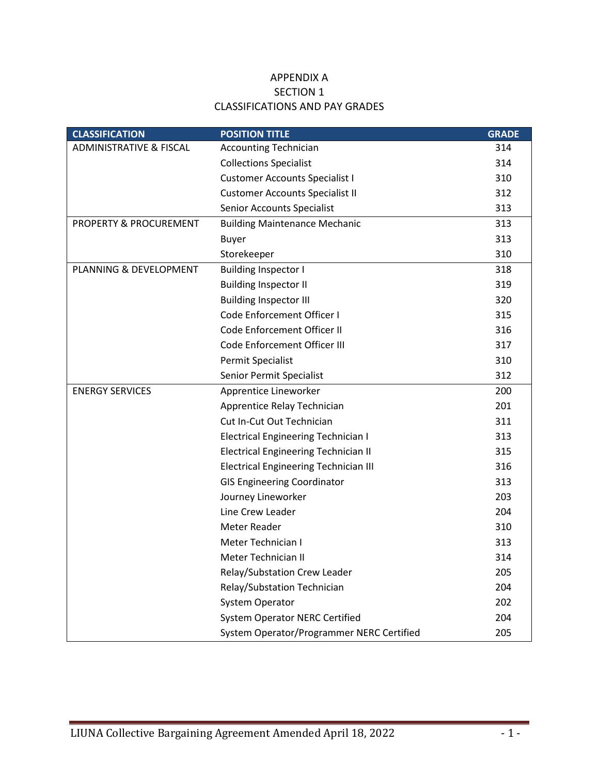## APPENDIX A SECTION 1 CLASSIFICATIONS AND PAY GRADES

| <b>CLASSIFICATION</b>              | <b>POSITION TITLE</b>                        | <b>GRADE</b> |
|------------------------------------|----------------------------------------------|--------------|
| <b>ADMINISTRATIVE &amp; FISCAL</b> | <b>Accounting Technician</b>                 | 314          |
|                                    | <b>Collections Specialist</b>                | 314          |
|                                    | <b>Customer Accounts Specialist I</b>        | 310          |
|                                    | <b>Customer Accounts Specialist II</b>       | 312          |
|                                    | <b>Senior Accounts Specialist</b>            | 313          |
| PROPERTY & PROCUREMENT             | <b>Building Maintenance Mechanic</b>         | 313          |
|                                    | <b>Buyer</b>                                 | 313          |
|                                    | Storekeeper                                  | 310          |
| PLANNING & DEVELOPMENT             | <b>Building Inspector I</b>                  | 318          |
|                                    | <b>Building Inspector II</b>                 | 319          |
|                                    | <b>Building Inspector III</b>                | 320          |
|                                    | Code Enforcement Officer I                   | 315          |
|                                    | Code Enforcement Officer II                  | 316          |
|                                    | Code Enforcement Officer III                 | 317          |
|                                    | Permit Specialist                            | 310          |
|                                    | Senior Permit Specialist                     | 312          |
| <b>ENERGY SERVICES</b>             | Apprentice Lineworker                        | 200          |
|                                    | Apprentice Relay Technician                  | 201          |
|                                    | Cut In-Cut Out Technician                    | 311          |
|                                    | <b>Electrical Engineering Technician I</b>   | 313          |
|                                    | <b>Electrical Engineering Technician II</b>  | 315          |
|                                    | <b>Electrical Engineering Technician III</b> | 316          |
|                                    | <b>GIS Engineering Coordinator</b>           | 313          |
|                                    | Journey Lineworker                           | 203          |
|                                    | Line Crew Leader                             | 204          |
|                                    | <b>Meter Reader</b>                          | 310          |
|                                    | Meter Technician I                           | 313          |
|                                    | <b>Meter Technician II</b>                   | 314          |
|                                    | Relay/Substation Crew Leader                 | 205          |
|                                    | Relay/Substation Technician                  | 204          |
|                                    | <b>System Operator</b>                       | 202          |
|                                    | <b>System Operator NERC Certified</b>        | 204          |
|                                    | System Operator/Programmer NERC Certified    | 205          |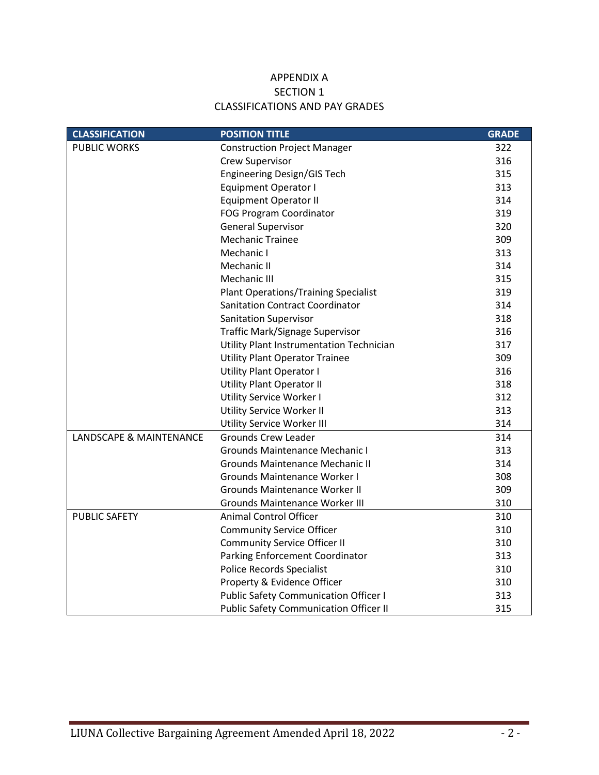## APPENDIX A SECTION 1 CLASSIFICATIONS AND PAY GRADES

| <b>CLASSIFICATION</b>   | <b>POSITION TITLE</b>                         | <b>GRADE</b> |
|-------------------------|-----------------------------------------------|--------------|
| <b>PUBLIC WORKS</b>     | <b>Construction Project Manager</b>           | 322          |
|                         | Crew Supervisor                               | 316          |
|                         | Engineering Design/GIS Tech                   | 315          |
|                         | <b>Equipment Operator I</b>                   | 313          |
|                         | <b>Equipment Operator II</b>                  | 314          |
|                         | FOG Program Coordinator                       | 319          |
|                         | <b>General Supervisor</b>                     | 320          |
|                         | <b>Mechanic Trainee</b>                       | 309          |
|                         | Mechanic I                                    | 313          |
|                         | Mechanic II                                   | 314          |
|                         | Mechanic III                                  | 315          |
|                         | <b>Plant Operations/Training Specialist</b>   | 319          |
|                         | <b>Sanitation Contract Coordinator</b>        | 314          |
|                         | <b>Sanitation Supervisor</b>                  | 318          |
|                         | Traffic Mark/Signage Supervisor               | 316          |
|                         | Utility Plant Instrumentation Technician      | 317          |
|                         | <b>Utility Plant Operator Trainee</b>         | 309          |
|                         | <b>Utility Plant Operator I</b>               | 316          |
|                         | <b>Utility Plant Operator II</b>              | 318          |
|                         | Utility Service Worker I                      | 312          |
|                         | Utility Service Worker II                     | 313          |
|                         | Utility Service Worker III                    | 314          |
| LANDSCAPE & MAINTENANCE | <b>Grounds Crew Leader</b>                    | 314          |
|                         | Grounds Maintenance Mechanic I                | 313          |
|                         | <b>Grounds Maintenance Mechanic II</b>        | 314          |
|                         | <b>Grounds Maintenance Worker I</b>           | 308          |
|                         | <b>Grounds Maintenance Worker II</b>          | 309          |
|                         | <b>Grounds Maintenance Worker III</b>         | 310          |
| <b>PUBLIC SAFETY</b>    | <b>Animal Control Officer</b>                 | 310          |
|                         | <b>Community Service Officer</b>              | 310          |
|                         | <b>Community Service Officer II</b>           | 310          |
|                         | Parking Enforcement Coordinator               | 313          |
|                         | <b>Police Records Specialist</b>              | 310          |
|                         | Property & Evidence Officer                   | 310          |
|                         | <b>Public Safety Communication Officer I</b>  | 313          |
|                         | <b>Public Safety Communication Officer II</b> | 315          |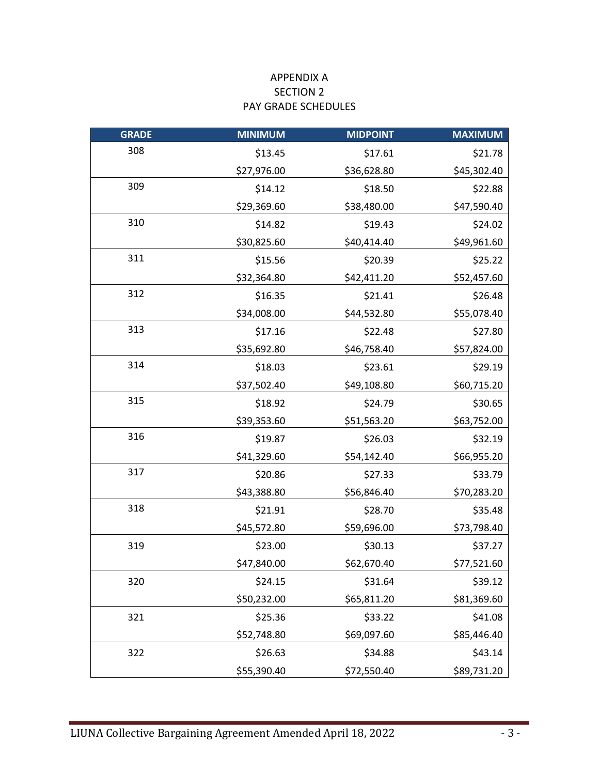# APPENDIX A SECTION 2 PAY GRADE SCHEDULES

| <b>GRADE</b> | <b>MINIMUM</b> | <b>MIDPOINT</b> | <b>MAXIMUM</b> |
|--------------|----------------|-----------------|----------------|
| 308          | \$13.45        | \$17.61         | \$21.78        |
|              | \$27,976.00    | \$36,628.80     | \$45,302.40    |
| 309          | \$14.12        | \$18.50         | \$22.88        |
|              | \$29,369.60    | \$38,480.00     | \$47,590.40    |
| 310          | \$14.82        | \$19.43         | \$24.02        |
|              | \$30,825.60    | \$40,414.40     | \$49,961.60    |
| 311          | \$15.56        | \$20.39         | \$25.22        |
|              | \$32,364.80    | \$42,411.20     | \$52,457.60    |
| 312          | \$16.35        | \$21.41         | \$26.48        |
|              | \$34,008.00    | \$44,532.80     | \$55,078.40    |
| 313          | \$17.16        | \$22.48         | \$27.80        |
|              | \$35,692.80    | \$46,758.40     | \$57,824.00    |
| 314          | \$18.03        | \$23.61         | \$29.19        |
|              | \$37,502.40    | \$49,108.80     | \$60,715.20    |
| 315          | \$18.92        | \$24.79         | \$30.65        |
|              | \$39,353.60    | \$51,563.20     | \$63,752.00    |
| 316          | \$19.87        | \$26.03         | \$32.19        |
|              | \$41,329.60    | \$54,142.40     | \$66,955.20    |
| 317          | \$20.86        | \$27.33         | \$33.79        |
|              | \$43,388.80    | \$56,846.40     | \$70,283.20    |
| 318          | \$21.91        | \$28.70         | \$35.48        |
|              | \$45,572.80    | \$59,696.00     | \$73,798.40    |
| 319          | \$23.00        | \$30.13         | \$37.27        |
|              | \$47,840.00    | \$62,670.40     | \$77,521.60    |
| 320          | \$24.15        | \$31.64         | \$39.12        |
|              | \$50,232.00    | \$65,811.20     | \$81,369.60    |
| 321          | \$25.36        | \$33.22         | \$41.08        |
|              | \$52,748.80    | \$69,097.60     | \$85,446.40    |
| 322          | \$26.63        | \$34.88         | \$43.14        |
|              | \$55,390.40    | \$72,550.40     | \$89,731.20    |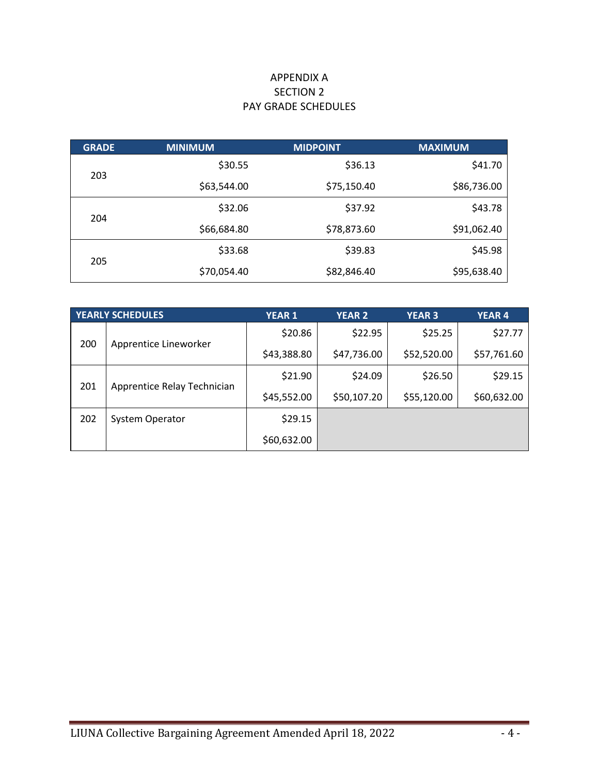# APPENDIX A SECTION 2 PAY GRADE SCHEDULES

| <b>GRADE</b> | <b>MINIMUM</b> | <b>MIDPOINT</b> | <b>MAXIMUM</b> |
|--------------|----------------|-----------------|----------------|
|              | \$30.55        | \$36.13         | \$41.70        |
| 203          | \$63,544.00    | \$75,150.40     | \$86,736.00    |
| 204          | \$32.06        | \$37.92         | \$43.78        |
|              | \$66,684.80    | \$78,873.60     | \$91,062.40    |
| 205          | \$33.68        | \$39.83         | \$45.98        |
|              | \$70,054.40    | \$82,846.40     | \$95,638.40    |

| <b>YEARLY SCHEDULES</b> |                             | <b>YEAR 1</b> | <b>YEAR 2</b> | <b>YEAR 3</b> | <b>YEAR4</b> |
|-------------------------|-----------------------------|---------------|---------------|---------------|--------------|
| 200                     | Apprentice Lineworker       | \$20.86       | \$22.95       | \$25.25       | \$27.77      |
|                         |                             | \$43,388.80   | \$47,736.00   | \$52,520.00   | \$57,761.60  |
| 201                     | Apprentice Relay Technician | \$21.90       | \$24.09       | \$26.50       | \$29.15      |
|                         |                             | \$45,552.00   | \$50,107.20   | \$55,120.00   | \$60,632.00  |
| 202                     | <b>System Operator</b>      | \$29.15       |               |               |              |
|                         |                             | \$60,632.00   |               |               |              |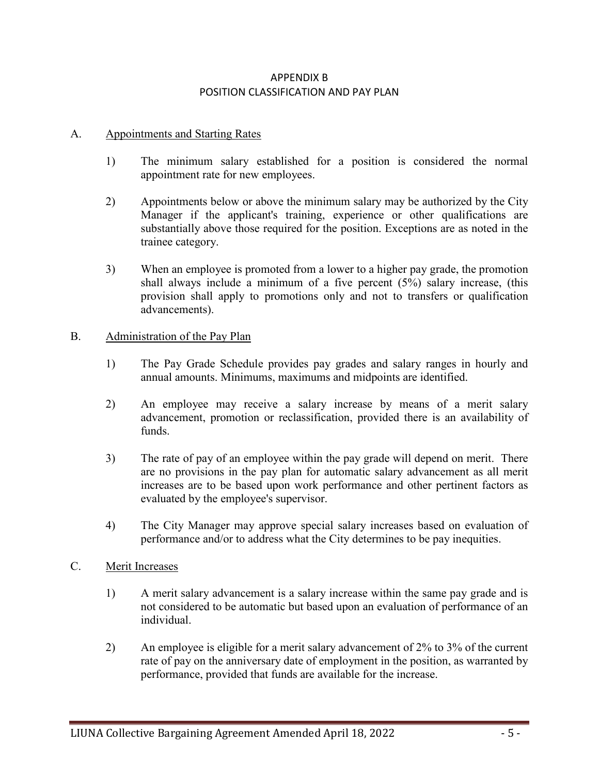# APPENDIX B POSITION CLASSIFICATION AND PAY PLAN

## A. Appointments and Starting Rates

- 1) The minimum salary established for a position is considered the normal appointment rate for new employees.
- 2) Appointments below or above the minimum salary may be authorized by the City Manager if the applicant's training, experience or other qualifications are substantially above those required for the position. Exceptions are as noted in the trainee category.
- 3) When an employee is promoted from a lower to a higher pay grade, the promotion shall always include a minimum of a five percent (5%) salary increase, (this provision shall apply to promotions only and not to transfers or qualification advancements).

### B. Administration of the Pay Plan

- 1) The Pay Grade Schedule provides pay grades and salary ranges in hourly and annual amounts. Minimums, maximums and midpoints are identified.
- 2) An employee may receive a salary increase by means of a merit salary advancement, promotion or reclassification, provided there is an availability of funds.
- 3) The rate of pay of an employee within the pay grade will depend on merit. There are no provisions in the pay plan for automatic salary advancement as all merit increases are to be based upon work performance and other pertinent factors as evaluated by the employee's supervisor.
- 4) The City Manager may approve special salary increases based on evaluation of performance and/or to address what the City determines to be pay inequities.

#### C. Merit Increases

- 1) A merit salary advancement is a salary increase within the same pay grade and is not considered to be automatic but based upon an evaluation of performance of an individual.
- 2) An employee is eligible for a merit salary advancement of 2% to 3% of the current rate of pay on the anniversary date of employment in the position, as warranted by performance, provided that funds are available for the increase.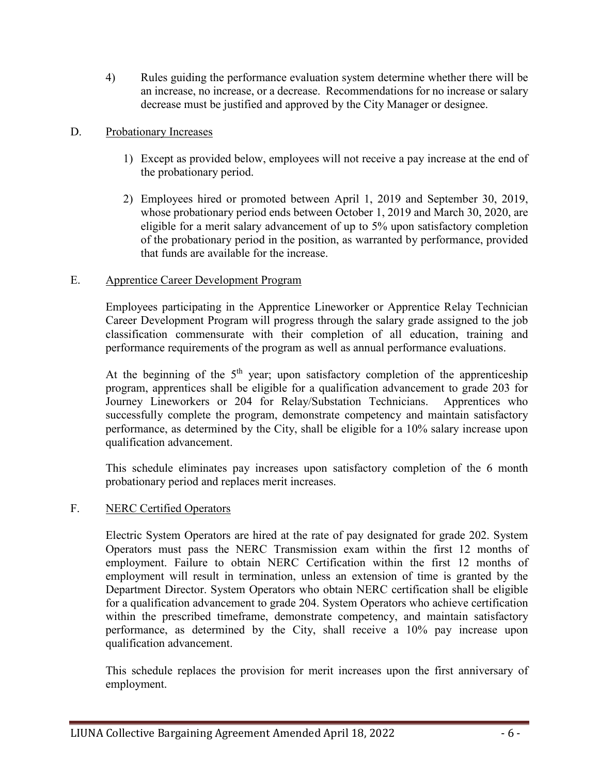4) Rules guiding the performance evaluation system determine whether there will be an increase, no increase, or a decrease. Recommendations for no increase or salary decrease must be justified and approved by the City Manager or designee.

## D. Probationary Increases

- 1) Except as provided below, employees will not receive a pay increase at the end of the probationary period.
- 2) Employees hired or promoted between April 1, 2019 and September 30, 2019, whose probationary period ends between October 1, 2019 and March 30, 2020, are eligible for a merit salary advancement of up to 5% upon satisfactory completion of the probationary period in the position, as warranted by performance, provided that funds are available for the increase.

## E. Apprentice Career Development Program

Employees participating in the Apprentice Lineworker or Apprentice Relay Technician Career Development Program will progress through the salary grade assigned to the job classification commensurate with their completion of all education, training and performance requirements of the program as well as annual performance evaluations.

At the beginning of the  $5<sup>th</sup>$  year; upon satisfactory completion of the apprenticeship program, apprentices shall be eligible for a qualification advancement to grade 203 for Journey Lineworkers or 204 for Relay/Substation Technicians. Apprentices who successfully complete the program, demonstrate competency and maintain satisfactory performance, as determined by the City, shall be eligible for a 10% salary increase upon qualification advancement.

This schedule eliminates pay increases upon satisfactory completion of the 6 month probationary period and replaces merit increases.

## F. NERC Certified Operators

Electric System Operators are hired at the rate of pay designated for grade 202. System Operators must pass the NERC Transmission exam within the first 12 months of employment. Failure to obtain NERC Certification within the first 12 months of employment will result in termination, unless an extension of time is granted by the Department Director. System Operators who obtain NERC certification shall be eligible for a qualification advancement to grade 204. System Operators who achieve certification within the prescribed timeframe, demonstrate competency, and maintain satisfactory performance, as determined by the City, shall receive a 10% pay increase upon qualification advancement.

This schedule replaces the provision for merit increases upon the first anniversary of employment.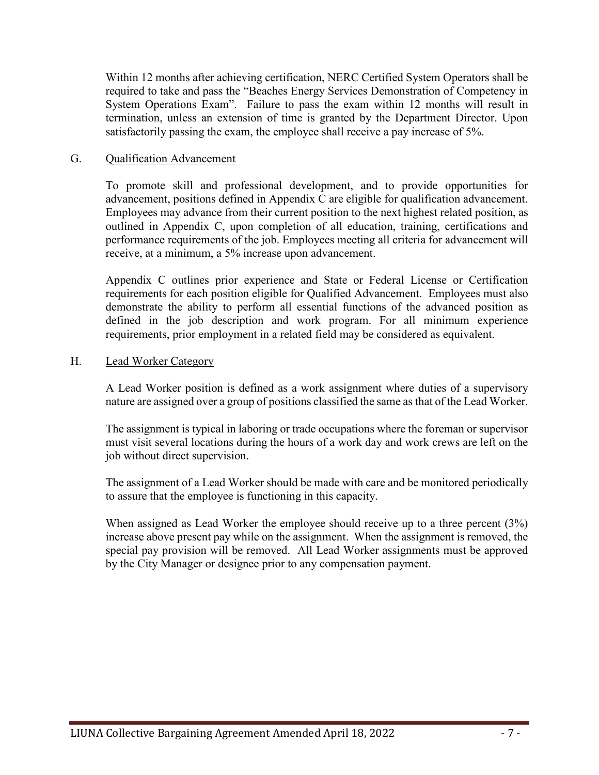Within 12 months after achieving certification, NERC Certified System Operators shall be required to take and pass the "Beaches Energy Services Demonstration of Competency in System Operations Exam". Failure to pass the exam within 12 months will result in termination, unless an extension of time is granted by the Department Director. Upon satisfactorily passing the exam, the employee shall receive a pay increase of 5%.

### G. Qualification Advancement

To promote skill and professional development, and to provide opportunities for advancement, positions defined in Appendix C are eligible for qualification advancement. Employees may advance from their current position to the next highest related position, as outlined in Appendix C, upon completion of all education, training, certifications and performance requirements of the job. Employees meeting all criteria for advancement will receive, at a minimum, a 5% increase upon advancement.

Appendix C outlines prior experience and State or Federal License or Certification requirements for each position eligible for Qualified Advancement. Employees must also demonstrate the ability to perform all essential functions of the advanced position as defined in the job description and work program. For all minimum experience requirements, prior employment in a related field may be considered as equivalent.

### H. Lead Worker Category

A Lead Worker position is defined as a work assignment where duties of a supervisory nature are assigned over a group of positions classified the same as that of the Lead Worker.

The assignment is typical in laboring or trade occupations where the foreman or supervisor must visit several locations during the hours of a work day and work crews are left on the job without direct supervision.

The assignment of a Lead Worker should be made with care and be monitored periodically to assure that the employee is functioning in this capacity.

When assigned as Lead Worker the employee should receive up to a three percent (3%) increase above present pay while on the assignment. When the assignment is removed, the special pay provision will be removed. All Lead Worker assignments must be approved by the City Manager or designee prior to any compensation payment.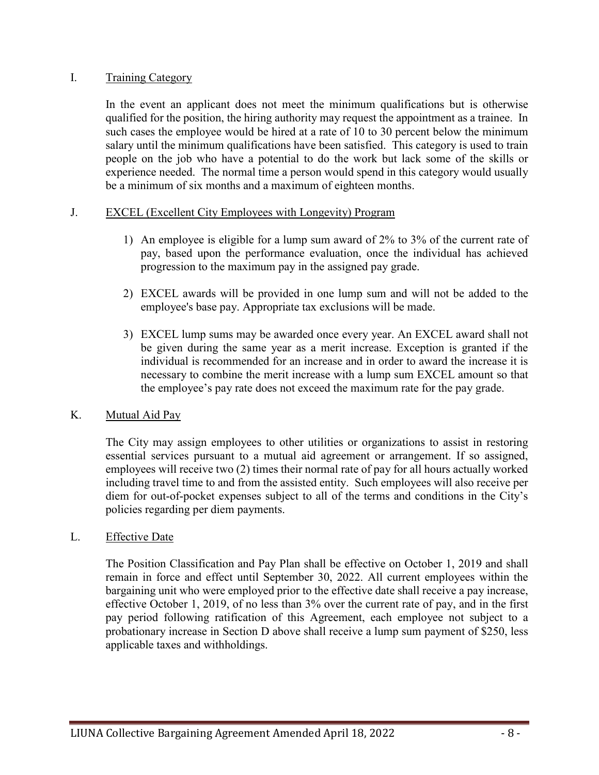## I. Training Category

In the event an applicant does not meet the minimum qualifications but is otherwise qualified for the position, the hiring authority may request the appointment as a trainee. In such cases the employee would be hired at a rate of 10 to 30 percent below the minimum salary until the minimum qualifications have been satisfied. This category is used to train people on the job who have a potential to do the work but lack some of the skills or experience needed. The normal time a person would spend in this category would usually be a minimum of six months and a maximum of eighteen months.

## J. EXCEL (Excellent City Employees with Longevity) Program

- 1) An employee is eligible for a lump sum award of 2% to 3% of the current rate of pay, based upon the performance evaluation, once the individual has achieved progression to the maximum pay in the assigned pay grade.
- 2) EXCEL awards will be provided in one lump sum and will not be added to the employee's base pay. Appropriate tax exclusions will be made.
- 3) EXCEL lump sums may be awarded once every year. An EXCEL award shall not be given during the same year as a merit increase. Exception is granted if the individual is recommended for an increase and in order to award the increase it is necessary to combine the merit increase with a lump sum EXCEL amount so that the employee's pay rate does not exceed the maximum rate for the pay grade.

### K. Mutual Aid Pay

The City may assign employees to other utilities or organizations to assist in restoring essential services pursuant to a mutual aid agreement or arrangement. If so assigned, employees will receive two (2) times their normal rate of pay for all hours actually worked including travel time to and from the assisted entity. Such employees will also receive per diem for out-of-pocket expenses subject to all of the terms and conditions in the City's policies regarding per diem payments.

## L. Effective Date

The Position Classification and Pay Plan shall be effective on October 1, 2019 and shall remain in force and effect until September 30, 2022. All current employees within the bargaining unit who were employed prior to the effective date shall receive a pay increase, effective October 1, 2019, of no less than 3% over the current rate of pay, and in the first pay period following ratification of this Agreement, each employee not subject to a probationary increase in Section D above shall receive a lump sum payment of \$250, less applicable taxes and withholdings.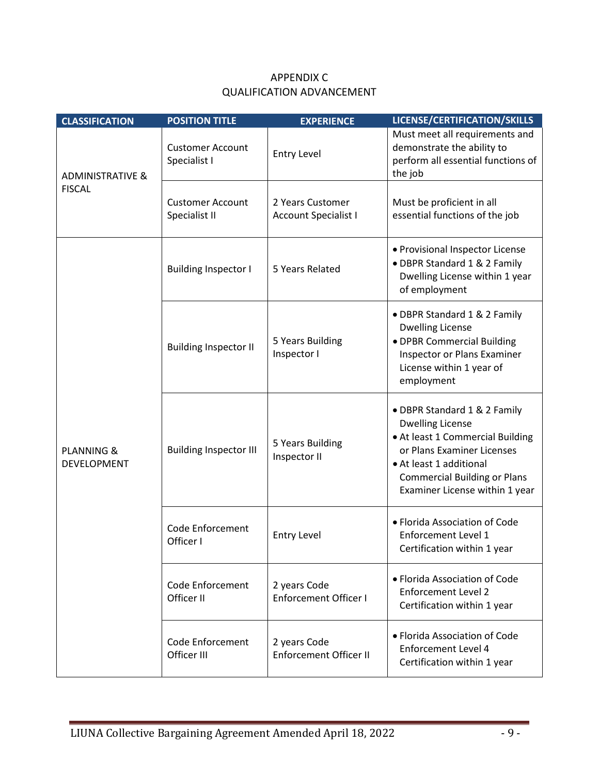| <b>CLASSIFICATION</b>                | <b>POSITION TITLE</b>                    | <b>EXPERIENCE</b>                               | LICENSE/CERTIFICATION/SKILLS                                                                                                                                                                                                  |
|--------------------------------------|------------------------------------------|-------------------------------------------------|-------------------------------------------------------------------------------------------------------------------------------------------------------------------------------------------------------------------------------|
| <b>ADMINISTRATIVE &amp;</b>          | <b>Customer Account</b><br>Specialist I  | <b>Entry Level</b>                              | Must meet all requirements and<br>demonstrate the ability to<br>perform all essential functions of<br>the job                                                                                                                 |
| <b>FISCAL</b>                        | <b>Customer Account</b><br>Specialist II | 2 Years Customer<br><b>Account Specialist I</b> | Must be proficient in all<br>essential functions of the job                                                                                                                                                                   |
|                                      | <b>Building Inspector I</b>              | 5 Years Related                                 | • Provisional Inspector License<br>• DBPR Standard 1 & 2 Family<br>Dwelling License within 1 year<br>of employment                                                                                                            |
|                                      | <b>Building Inspector II</b>             | 5 Years Building<br>Inspector I                 | • DBPR Standard 1 & 2 Family<br><b>Dwelling License</b><br>· DPBR Commercial Building<br>Inspector or Plans Examiner<br>License within 1 year of<br>employment                                                                |
| <b>PLANNING &amp;</b><br>DEVELOPMENT | <b>Building Inspector III</b>            | 5 Years Building<br>Inspector II                | • DBPR Standard 1 & 2 Family<br><b>Dwelling License</b><br>• At least 1 Commercial Building<br>or Plans Examiner Licenses<br>• At least 1 additional<br><b>Commercial Building or Plans</b><br>Examiner License within 1 year |
|                                      | <b>Code Enforcement</b><br>Officer I     | <b>Entry Level</b>                              | • Florida Association of Code<br><b>Enforcement Level 1</b><br>Certification within 1 year                                                                                                                                    |
|                                      | <b>Code Enforcement</b><br>Officer II    | 2 years Code<br><b>Enforcement Officer I</b>    | • Florida Association of Code<br><b>Enforcement Level 2</b><br>Certification within 1 year                                                                                                                                    |
|                                      | Code Enforcement<br>Officer III          | 2 years Code<br><b>Enforcement Officer II</b>   | • Florida Association of Code<br><b>Enforcement Level 4</b><br>Certification within 1 year                                                                                                                                    |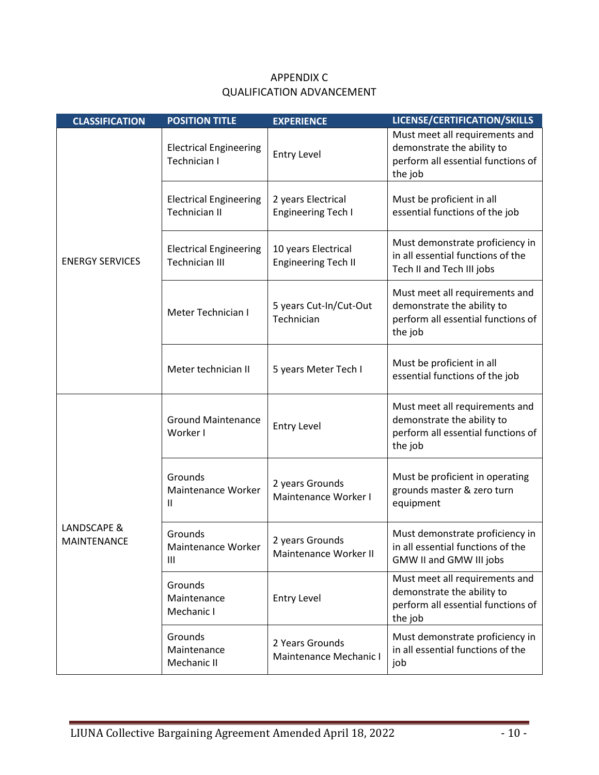| <b>CLASSIFICATION</b>             | <b>POSITION TITLE</b>                                  | <b>EXPERIENCE</b>                                 | LICENSE/CERTIFICATION/SKILLS                                                                                  |
|-----------------------------------|--------------------------------------------------------|---------------------------------------------------|---------------------------------------------------------------------------------------------------------------|
|                                   | <b>Electrical Engineering</b><br>Technician I          | <b>Entry Level</b>                                | Must meet all requirements and<br>demonstrate the ability to<br>perform all essential functions of<br>the job |
|                                   | <b>Electrical Engineering</b><br><b>Technician II</b>  | 2 years Electrical<br><b>Engineering Tech I</b>   | Must be proficient in all<br>essential functions of the job                                                   |
| <b>ENERGY SERVICES</b>            | <b>Electrical Engineering</b><br><b>Technician III</b> | 10 years Electrical<br><b>Engineering Tech II</b> | Must demonstrate proficiency in<br>in all essential functions of the<br>Tech II and Tech III jobs             |
|                                   | Meter Technician I                                     | 5 years Cut-In/Cut-Out<br>Technician              | Must meet all requirements and<br>demonstrate the ability to<br>perform all essential functions of<br>the job |
|                                   | Meter technician II                                    | 5 years Meter Tech I                              | Must be proficient in all<br>essential functions of the job                                                   |
|                                   | <b>Ground Maintenance</b><br>Worker I                  | <b>Entry Level</b>                                | Must meet all requirements and<br>demonstrate the ability to<br>perform all essential functions of<br>the job |
|                                   | Grounds<br>Maintenance Worker<br>$\mathsf{II}$         | 2 years Grounds<br>Maintenance Worker I           | Must be proficient in operating<br>grounds master & zero turn<br>equipment                                    |
| LANDSCAPE &<br><b>MAINTENANCE</b> | Grounds<br>Maintenance Worker<br>Ш                     | 2 years Grounds<br>Maintenance Worker II          | Must demonstrate proficiency in<br>in all essential functions of the<br>GMW II and GMW III jobs               |
|                                   | Grounds<br>Maintenance<br>Mechanic I                   | <b>Entry Level</b>                                | Must meet all requirements and<br>demonstrate the ability to<br>perform all essential functions of<br>the job |
|                                   | Grounds<br>Maintenance<br>Mechanic II                  | 2 Years Grounds<br>Maintenance Mechanic I         | Must demonstrate proficiency in<br>in all essential functions of the<br>job                                   |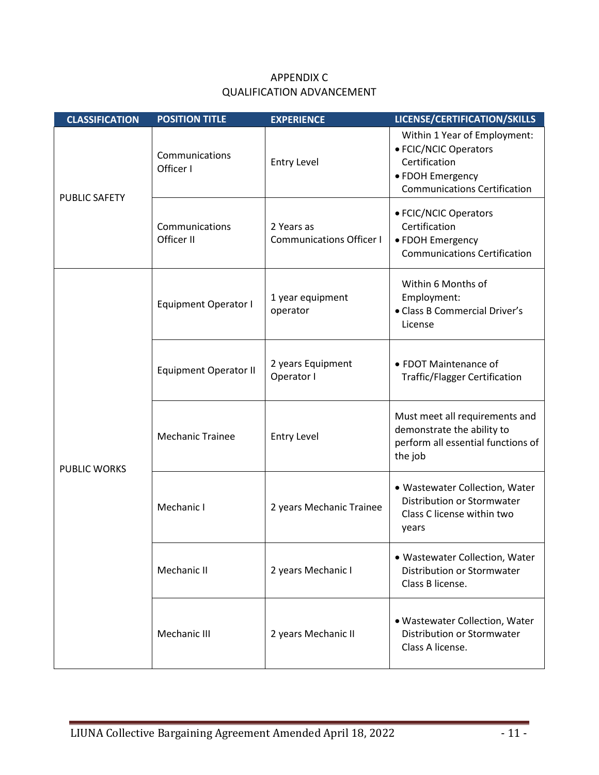| <b>CLASSIFICATION</b> | <b>POSITION TITLE</b>        | <b>EXPERIENCE</b>                             | LICENSE/CERTIFICATION/SKILLS                                                                                                      |
|-----------------------|------------------------------|-----------------------------------------------|-----------------------------------------------------------------------------------------------------------------------------------|
| <b>PUBLIC SAFETY</b>  | Communications<br>Officer I  | <b>Entry Level</b>                            | Within 1 Year of Employment:<br>• FCIC/NCIC Operators<br>Certification<br>• FDOH Emergency<br><b>Communications Certification</b> |
|                       | Communications<br>Officer II | 2 Years as<br><b>Communications Officer I</b> | • FCIC/NCIC Operators<br>Certification<br>• FDOH Emergency<br><b>Communications Certification</b>                                 |
|                       | <b>Equipment Operator I</b>  | 1 year equipment<br>operator                  | Within 6 Months of<br>Employment:<br>• Class B Commercial Driver's<br>License                                                     |
|                       | <b>Equipment Operator II</b> | 2 years Equipment<br>Operator I               | • FDOT Maintenance of<br><b>Traffic/Flagger Certification</b>                                                                     |
| <b>PUBLIC WORKS</b>   | <b>Mechanic Trainee</b>      | <b>Entry Level</b>                            | Must meet all requirements and<br>demonstrate the ability to<br>perform all essential functions of<br>the job                     |
|                       | Mechanic I                   | 2 years Mechanic Trainee                      | · Wastewater Collection, Water<br><b>Distribution or Stormwater</b><br>Class C license within two<br>years                        |
|                       | Mechanic II                  | 2 years Mechanic I                            | • Wastewater Collection, Water<br>Distribution or Stormwater<br>Class B license.                                                  |
|                       | Mechanic III                 | 2 years Mechanic II                           | · Wastewater Collection, Water<br>Distribution or Stormwater<br>Class A license.                                                  |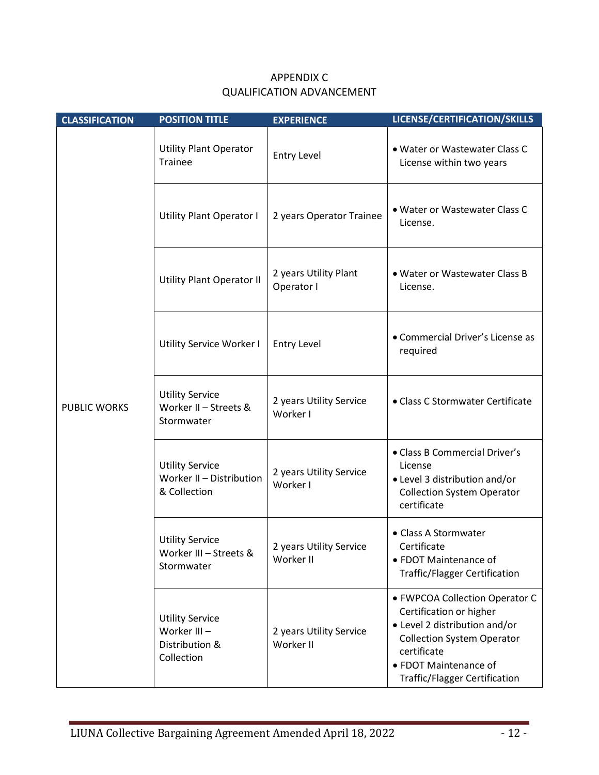| <b>CLASSIFICATION</b> | <b>POSITION TITLE</b>                                                 | <b>EXPERIENCE</b>                    | LICENSE/CERTIFICATION/SKILLS                                                                                                                                                                                    |
|-----------------------|-----------------------------------------------------------------------|--------------------------------------|-----------------------------------------------------------------------------------------------------------------------------------------------------------------------------------------------------------------|
|                       | <b>Utility Plant Operator</b><br><b>Trainee</b>                       | <b>Entry Level</b>                   | . Water or Wastewater Class C<br>License within two years                                                                                                                                                       |
|                       | <b>Utility Plant Operator I</b>                                       | 2 years Operator Trainee             | . Water or Wastewater Class C<br>License.                                                                                                                                                                       |
|                       | <b>Utility Plant Operator II</b>                                      | 2 years Utility Plant<br>Operator I  | • Water or Wastewater Class B<br>License.                                                                                                                                                                       |
|                       | Utility Service Worker I                                              | <b>Entry Level</b>                   | • Commercial Driver's License as<br>required                                                                                                                                                                    |
| <b>PUBLIC WORKS</b>   | <b>Utility Service</b><br>Worker II - Streets &<br>Stormwater         | 2 years Utility Service<br>Worker I  | • Class C Stormwater Certificate                                                                                                                                                                                |
|                       | <b>Utility Service</b><br>Worker II - Distribution<br>& Collection    | 2 years Utility Service<br>Worker I  | • Class B Commercial Driver's<br>License<br>• Level 3 distribution and/or<br><b>Collection System Operator</b><br>certificate                                                                                   |
|                       | <b>Utility Service</b><br>Worker III - Streets &<br>Stormwater        | 2 years Utility Service<br>Worker II | • Class A Stormwater<br>Certificate<br>• FDOT Maintenance of<br><b>Traffic/Flagger Certification</b>                                                                                                            |
|                       | <b>Utility Service</b><br>Worker III-<br>Distribution &<br>Collection | 2 years Utility Service<br>Worker II | • FWPCOA Collection Operator C<br>Certification or higher<br>• Level 2 distribution and/or<br><b>Collection System Operator</b><br>certificate<br>• FDOT Maintenance of<br><b>Traffic/Flagger Certification</b> |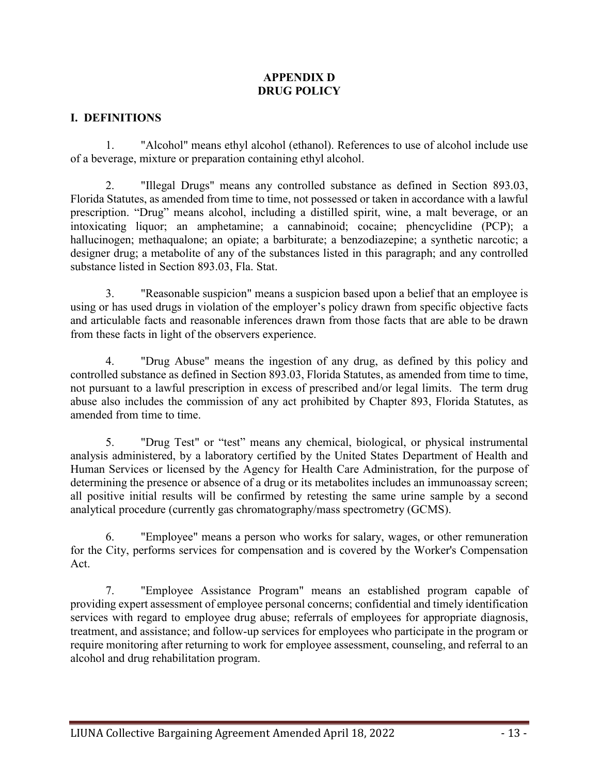# **APPENDIX D DRUG POLICY**

# **I. DEFINITIONS**

1. "Alcohol" means ethyl alcohol (ethanol). References to use of alcohol include use of a beverage, mixture or preparation containing ethyl alcohol.

2. "Illegal Drugs" means any controlled substance as defined in Section 893.03, Florida Statutes, as amended from time to time, not possessed or taken in accordance with a lawful prescription. "Drug" means alcohol, including a distilled spirit, wine, a malt beverage, or an intoxicating liquor; an amphetamine; a cannabinoid; cocaine; phencyclidine (PCP); a hallucinogen; methaqualone; an opiate; a barbiturate; a benzodiazepine; a synthetic narcotic; a designer drug; a metabolite of any of the substances listed in this paragraph; and any controlled substance listed in Section 893.03, Fla. Stat.

3. "Reasonable suspicion" means a suspicion based upon a belief that an employee is using or has used drugs in violation of the employer's policy drawn from specific objective facts and articulable facts and reasonable inferences drawn from those facts that are able to be drawn from these facts in light of the observers experience.

4. "Drug Abuse" means the ingestion of any drug, as defined by this policy and controlled substance as defined in Section 893.03, Florida Statutes, as amended from time to time, not pursuant to a lawful prescription in excess of prescribed and/or legal limits. The term drug abuse also includes the commission of any act prohibited by Chapter 893, Florida Statutes, as amended from time to time.

5. "Drug Test" or "test" means any chemical, biological, or physical instrumental analysis administered, by a laboratory certified by the United States Department of Health and Human Services or licensed by the Agency for Health Care Administration, for the purpose of determining the presence or absence of a drug or its metabolites includes an immunoassay screen; all positive initial results will be confirmed by retesting the same urine sample by a second analytical procedure (currently gas chromatography/mass spectrometry (GCMS).

6. "Employee" means a person who works for salary, wages, or other remuneration for the City, performs services for compensation and is covered by the Worker's Compensation Act.

7. "Employee Assistance Program" means an established program capable of providing expert assessment of employee personal concerns; confidential and timely identification services with regard to employee drug abuse; referrals of employees for appropriate diagnosis, treatment, and assistance; and follow-up services for employees who participate in the program or require monitoring after returning to work for employee assessment, counseling, and referral to an alcohol and drug rehabilitation program.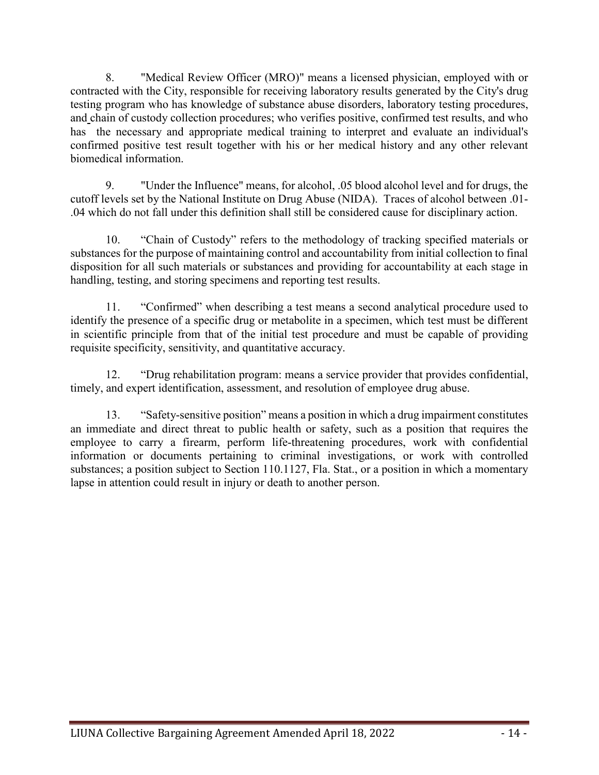8. "Medical Review Officer (MRO)" means a licensed physician, employed with or contracted with the City, responsible for receiving laboratory results generated by the City's drug testing program who has knowledge of substance abuse disorders, laboratory testing procedures, and chain of custody collection procedures; who verifies positive, confirmed test results, and who has the necessary and appropriate medical training to interpret and evaluate an individual's confirmed positive test result together with his or her medical history and any other relevant biomedical information.

9. "Under the Influence" means, for alcohol, .05 blood alcohol level and for drugs, the cutoff levels set by the National Institute on Drug Abuse (NIDA). Traces of alcohol between .01- .04 which do not fall under this definition shall still be considered cause for disciplinary action.

10. "Chain of Custody" refers to the methodology of tracking specified materials or substances for the purpose of maintaining control and accountability from initial collection to final disposition for all such materials or substances and providing for accountability at each stage in handling, testing, and storing specimens and reporting test results.

11. "Confirmed" when describing a test means a second analytical procedure used to identify the presence of a specific drug or metabolite in a specimen, which test must be different in scientific principle from that of the initial test procedure and must be capable of providing requisite specificity, sensitivity, and quantitative accuracy.

12. "Drug rehabilitation program: means a service provider that provides confidential, timely, and expert identification, assessment, and resolution of employee drug abuse.

13. "Safety-sensitive position" means a position in which a drug impairment constitutes an immediate and direct threat to public health or safety, such as a position that requires the employee to carry a firearm, perform life-threatening procedures, work with confidential information or documents pertaining to criminal investigations, or work with controlled substances; a position subject to Section 110.1127, Fla. Stat., or a position in which a momentary lapse in attention could result in injury or death to another person.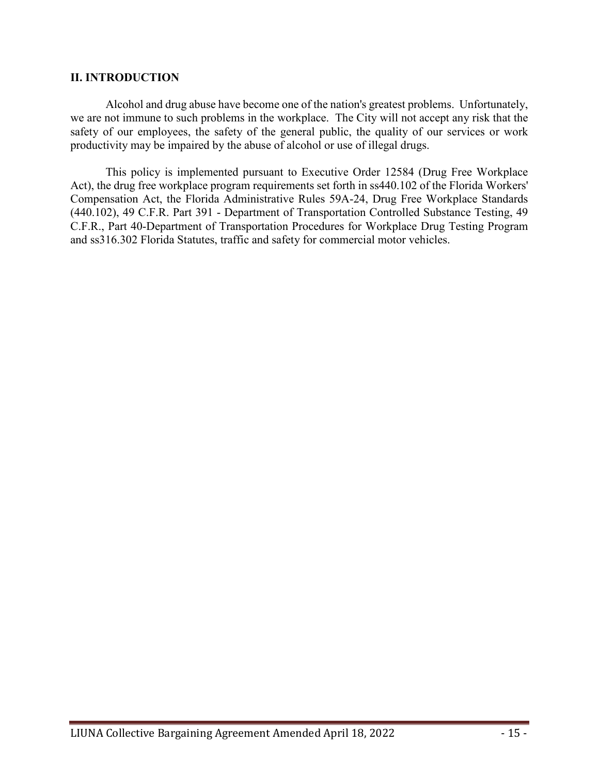### **II. INTRODUCTION**

Alcohol and drug abuse have become one of the nation's greatest problems. Unfortunately, we are not immune to such problems in the workplace. The City will not accept any risk that the safety of our employees, the safety of the general public, the quality of our services or work productivity may be impaired by the abuse of alcohol or use of illegal drugs.

This policy is implemented pursuant to Executive Order 12584 (Drug Free Workplace Act), the drug free workplace program requirements set forth in ss440.102 of the Florida Workers' Compensation Act, the Florida Administrative Rules 59A-24, Drug Free Workplace Standards (440.102), 49 C.F.R. Part 391 - Department of Transportation Controlled Substance Testing, 49 C.F.R., Part 40-Department of Transportation Procedures for Workplace Drug Testing Program and ss316.302 Florida Statutes, traffic and safety for commercial motor vehicles.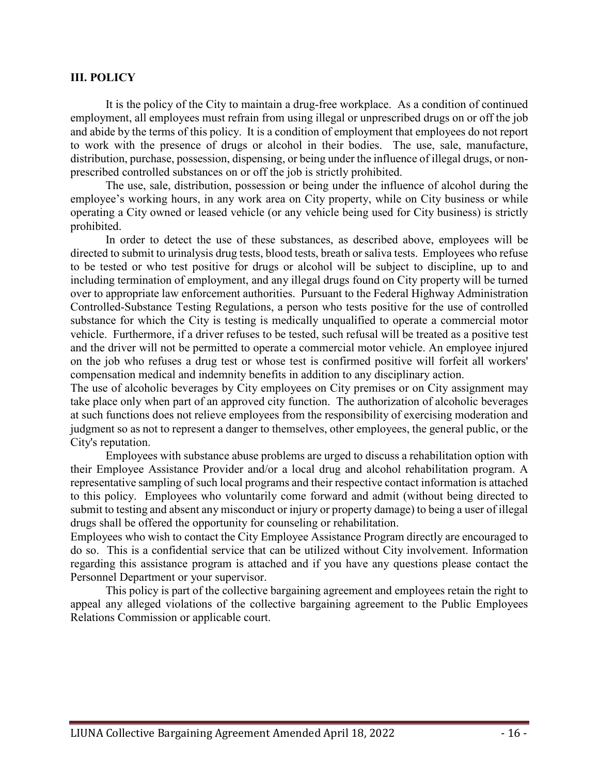#### **III. POLICY**

It is the policy of the City to maintain a drug-free workplace. As a condition of continued employment, all employees must refrain from using illegal or unprescribed drugs on or off the job and abide by the terms of this policy. It is a condition of employment that employees do not report to work with the presence of drugs or alcohol in their bodies. The use, sale, manufacture, distribution, purchase, possession, dispensing, or being under the influence of illegal drugs, or nonprescribed controlled substances on or off the job is strictly prohibited.

The use, sale, distribution, possession or being under the influence of alcohol during the employee's working hours, in any work area on City property, while on City business or while operating a City owned or leased vehicle (or any vehicle being used for City business) is strictly prohibited.

In order to detect the use of these substances, as described above, employees will be directed to submit to urinalysis drug tests, blood tests, breath or saliva tests. Employees who refuse to be tested or who test positive for drugs or alcohol will be subject to discipline, up to and including termination of employment, and any illegal drugs found on City property will be turned over to appropriate law enforcement authorities. Pursuant to the Federal Highway Administration Controlled-Substance Testing Regulations, a person who tests positive for the use of controlled substance for which the City is testing is medically unqualified to operate a commercial motor vehicle. Furthermore, if a driver refuses to be tested, such refusal will be treated as a positive test and the driver will not be permitted to operate a commercial motor vehicle. An employee injured on the job who refuses a drug test or whose test is confirmed positive will forfeit all workers' compensation medical and indemnity benefits in addition to any disciplinary action.

The use of alcoholic beverages by City employees on City premises or on City assignment may take place only when part of an approved city function. The authorization of alcoholic beverages at such functions does not relieve employees from the responsibility of exercising moderation and judgment so as not to represent a danger to themselves, other employees, the general public, or the City's reputation.

Employees with substance abuse problems are urged to discuss a rehabilitation option with their Employee Assistance Provider and/or a local drug and alcohol rehabilitation program. A representative sampling of such local programs and their respective contact information is attached to this policy. Employees who voluntarily come forward and admit (without being directed to submit to testing and absent any misconduct or injury or property damage) to being a user of illegal drugs shall be offered the opportunity for counseling or rehabilitation.

Employees who wish to contact the City Employee Assistance Program directly are encouraged to do so. This is a confidential service that can be utilized without City involvement. Information regarding this assistance program is attached and if you have any questions please contact the Personnel Department or your supervisor.

This policy is part of the collective bargaining agreement and employees retain the right to appeal any alleged violations of the collective bargaining agreement to the Public Employees Relations Commission or applicable court.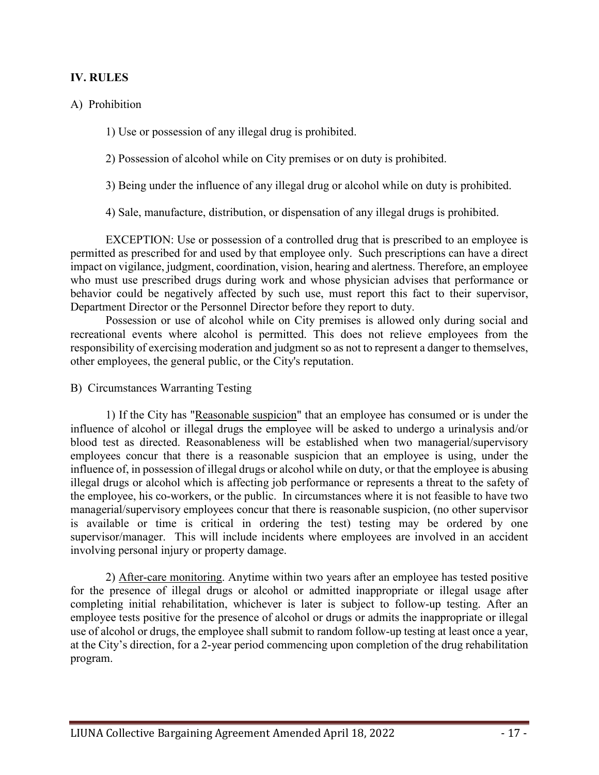# **IV. RULES**

# A) Prohibition

1) Use or possession of any illegal drug is prohibited.

2) Possession of alcohol while on City premises or on duty is prohibited.

3) Being under the influence of any illegal drug or alcohol while on duty is prohibited.

4) Sale, manufacture, distribution, or dispensation of any illegal drugs is prohibited.

EXCEPTION: Use or possession of a controlled drug that is prescribed to an employee is permitted as prescribed for and used by that employee only. Such prescriptions can have a direct impact on vigilance, judgment, coordination, vision, hearing and alertness. Therefore, an employee who must use prescribed drugs during work and whose physician advises that performance or behavior could be negatively affected by such use, must report this fact to their supervisor, Department Director or the Personnel Director before they report to duty.

Possession or use of alcohol while on City premises is allowed only during social and recreational events where alcohol is permitted. This does not relieve employees from the responsibility of exercising moderation and judgment so as not to represent a danger to themselves, other employees, the general public, or the City's reputation.

B) Circumstances Warranting Testing

1) If the City has "Reasonable suspicion" that an employee has consumed or is under the influence of alcohol or illegal drugs the employee will be asked to undergo a urinalysis and/or blood test as directed. Reasonableness will be established when two managerial/supervisory employees concur that there is a reasonable suspicion that an employee is using, under the influence of, in possession of illegal drugs or alcohol while on duty, or that the employee is abusing illegal drugs or alcohol which is affecting job performance or represents a threat to the safety of the employee, his co-workers, or the public. In circumstances where it is not feasible to have two managerial/supervisory employees concur that there is reasonable suspicion, (no other supervisor is available or time is critical in ordering the test) testing may be ordered by one supervisor/manager. This will include incidents where employees are involved in an accident involving personal injury or property damage.

2) After-care monitoring. Anytime within two years after an employee has tested positive for the presence of illegal drugs or alcohol or admitted inappropriate or illegal usage after completing initial rehabilitation, whichever is later is subject to follow-up testing. After an employee tests positive for the presence of alcohol or drugs or admits the inappropriate or illegal use of alcohol or drugs, the employee shall submit to random follow-up testing at least once a year, at the City's direction, for a 2-year period commencing upon completion of the drug rehabilitation program.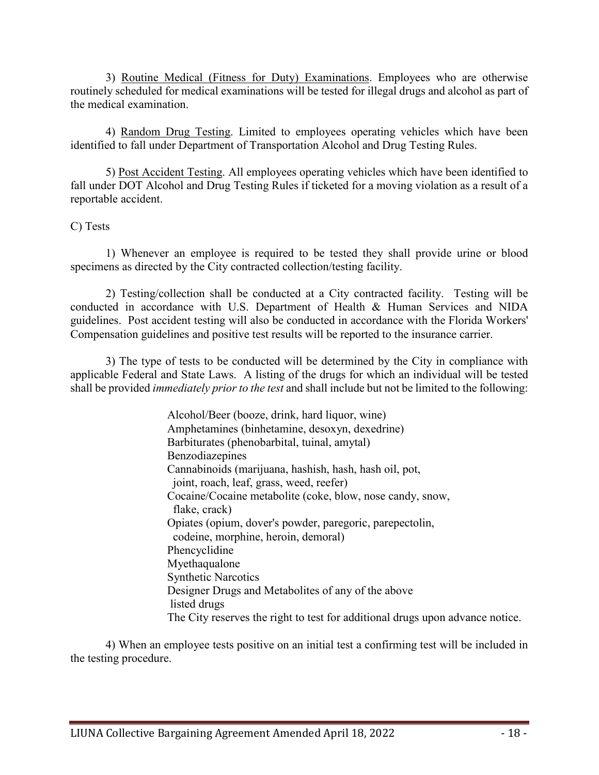3) Routine Medical (Fitness for Duty) Examinations. Employees who are otherwise routinely scheduled for medical examinations will be tested for illegal drugs and alcohol as part of the medical examination.

4) Random Drug Testing. Limited to employees operating vehicles which have been identified to fall under Department of Transportation Alcohol and Drug Testing Rules.

5) Post Accident Testing. All employees operating vehicles which have been identified to fall under DOT Alcohol and Drug Testing Rules if ticketed for a moving violation as a result of a reportable accident.

# C) Tests

1) Whenever an employee is required to be tested they shall provide urine or blood specimens as directed by the City contracted collection/testing facility.

2) Testing/collection shall be conducted at a City contracted facility. Testing will be conducted in accordance with U.S. Department of Health & Human Services and NIDA guidelines. Post accident testing will also be conducted in accordance with the Florida Workers' Compensation guidelines and positive test results will be reported to the insurance carrier.

3) The type of tests to be conducted will be determined by the City in compliance with applicable Federal and State Laws. A listing of the drugs for which an individual will be tested shall be provided *immediately prior to the test* and shall include but not be limited to the following:

> Alcohol/Beer (booze, drink, hard liquor, wine) Amphetamines (binhetamine, desoxyn, dexedrine) Barbiturates (phenobarbital, tuinal, amytal) Benzodiazepines Cannabinoids (marijuana, hashish, hash, hash oil, pot, joint, roach, leaf, grass, weed, reefer) Cocaine/Cocaine metabolite (coke, blow, nose candy, snow, flake, crack) Opiates (opium, dover's powder, paregoric, parepectolin, codeine, morphine, heroin, demoral) Phencyclidine Myethaqualone Synthetic Narcotics Designer Drugs and Metabolites of any of the above listed drugs The City reserves the right to test for additional drugs upon advance notice.

4) When an employee tests positive on an initial test a confirming test will be included in the testing procedure.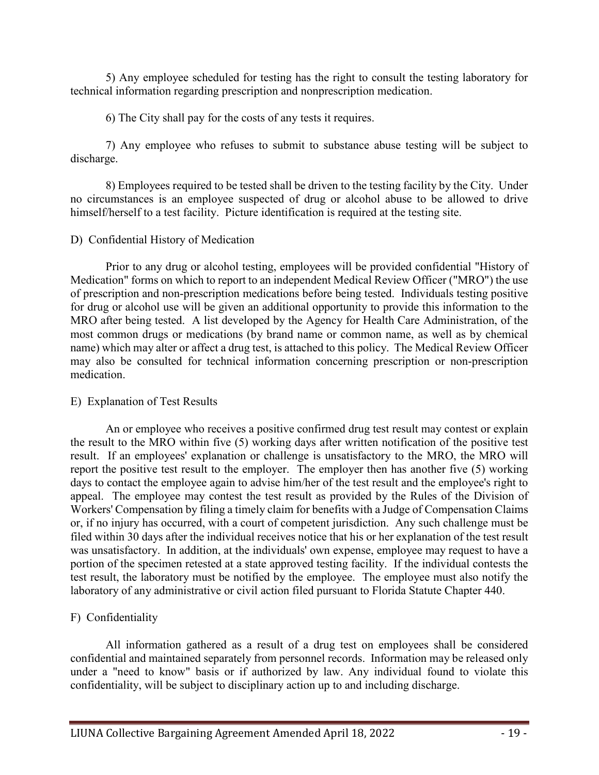5) Any employee scheduled for testing has the right to consult the testing laboratory for technical information regarding prescription and nonprescription medication.

6) The City shall pay for the costs of any tests it requires.

7) Any employee who refuses to submit to substance abuse testing will be subject to discharge.

8) Employees required to be tested shall be driven to the testing facility by the City. Under no circumstances is an employee suspected of drug or alcohol abuse to be allowed to drive himself/herself to a test facility. Picture identification is required at the testing site.

# D) Confidential History of Medication

Prior to any drug or alcohol testing, employees will be provided confidential "History of Medication" forms on which to report to an independent Medical Review Officer ("MRO") the use of prescription and non-prescription medications before being tested. Individuals testing positive for drug or alcohol use will be given an additional opportunity to provide this information to the MRO after being tested. A list developed by the Agency for Health Care Administration, of the most common drugs or medications (by brand name or common name, as well as by chemical name) which may alter or affect a drug test, is attached to this policy. The Medical Review Officer may also be consulted for technical information concerning prescription or non-prescription medication.

# E) Explanation of Test Results

An or employee who receives a positive confirmed drug test result may contest or explain the result to the MRO within five (5) working days after written notification of the positive test result. If an employees' explanation or challenge is unsatisfactory to the MRO, the MRO will report the positive test result to the employer. The employer then has another five (5) working days to contact the employee again to advise him/her of the test result and the employee's right to appeal. The employee may contest the test result as provided by the Rules of the Division of Workers' Compensation by filing a timely claim for benefits with a Judge of Compensation Claims or, if no injury has occurred, with a court of competent jurisdiction. Any such challenge must be filed within 30 days after the individual receives notice that his or her explanation of the test result was unsatisfactory. In addition, at the individuals' own expense, employee may request to have a portion of the specimen retested at a state approved testing facility. If the individual contests the test result, the laboratory must be notified by the employee. The employee must also notify the laboratory of any administrative or civil action filed pursuant to Florida Statute Chapter 440.

# F) Confidentiality

All information gathered as a result of a drug test on employees shall be considered confidential and maintained separately from personnel records. Information may be released only under a "need to know" basis or if authorized by law. Any individual found to violate this confidentiality, will be subject to disciplinary action up to and including discharge.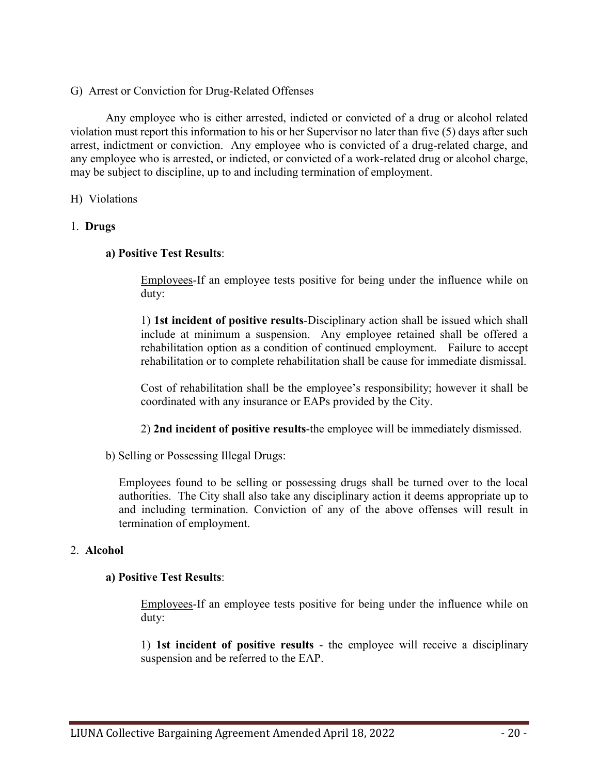G) Arrest or Conviction for Drug-Related Offenses

Any employee who is either arrested, indicted or convicted of a drug or alcohol related violation must report this information to his or her Supervisor no later than five (5) days after such arrest, indictment or conviction. Any employee who is convicted of a drug-related charge, and any employee who is arrested, or indicted, or convicted of a work-related drug or alcohol charge, may be subject to discipline, up to and including termination of employment.

### H) Violations

# 1. **Drugs**

### **a) Positive Test Results**:

Employees-If an employee tests positive for being under the influence while on duty:

1) **1st incident of positive results**-Disciplinary action shall be issued which shall include at minimum a suspension. Any employee retained shall be offered a rehabilitation option as a condition of continued employment. Failure to accept rehabilitation or to complete rehabilitation shall be cause for immediate dismissal.

Cost of rehabilitation shall be the employee's responsibility; however it shall be coordinated with any insurance or EAPs provided by the City.

2) **2nd incident of positive results**-the employee will be immediately dismissed.

b) Selling or Possessing Illegal Drugs:

Employees found to be selling or possessing drugs shall be turned over to the local authorities. The City shall also take any disciplinary action it deems appropriate up to and including termination. Conviction of any of the above offenses will result in termination of employment.

### 2. **Alcohol**

### **a) Positive Test Results**:

Employees-If an employee tests positive for being under the influence while on duty:

1) **1st incident of positive results** - the employee will receive a disciplinary suspension and be referred to the EAP.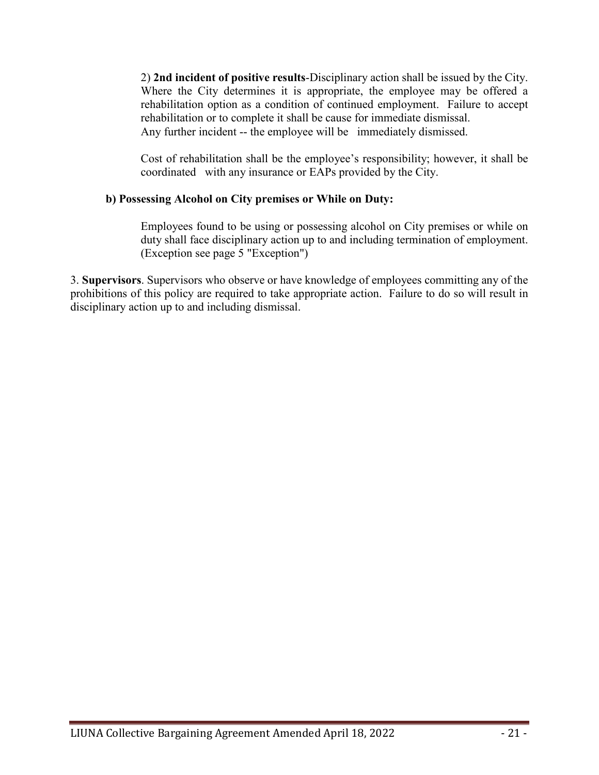2) **2nd incident of positive results**-Disciplinary action shall be issued by the City. Where the City determines it is appropriate, the employee may be offered a rehabilitation option as a condition of continued employment. Failure to accept rehabilitation or to complete it shall be cause for immediate dismissal. Any further incident -- the employee will be immediately dismissed.

Cost of rehabilitation shall be the employee's responsibility; however, it shall be coordinated with any insurance or EAPs provided by the City.

# **b) Possessing Alcohol on City premises or While on Duty:**

Employees found to be using or possessing alcohol on City premises or while on duty shall face disciplinary action up to and including termination of employment. (Exception see page 5 "Exception")

3. **Supervisors**. Supervisors who observe or have knowledge of employees committing any of the prohibitions of this policy are required to take appropriate action. Failure to do so will result in disciplinary action up to and including dismissal.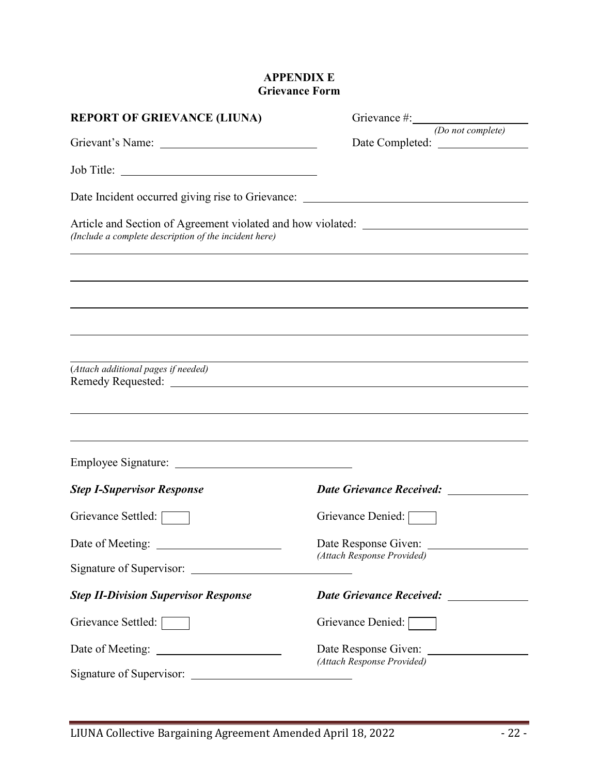# **APPENDIX E Grievance Form**

| <b>REPORT OF GRIEVANCE (LIUNA)</b>                    |                                                                                                                                                                        |
|-------------------------------------------------------|------------------------------------------------------------------------------------------------------------------------------------------------------------------------|
|                                                       | (Do not complete)                                                                                                                                                      |
| Job Title:                                            |                                                                                                                                                                        |
|                                                       | Date Incident occurred giving rise to Grievance: ________________________________                                                                                      |
| (Include a complete description of the incident here) | Article and Section of Agreement violated and how violated: _____________________<br>,我们也不会有一个人的人,我们也不会有一个人的人,我们也不会有一个人的人,我们也不会有一个人的人,我们也不会有一个人的人。""我们的人,我们也不会有一个人的人,我 |
|                                                       | ,我们也不会有什么。""我们的人,我们也不会有什么?""我们的人,我们也不会有什么?""我们的人,我们也不会有什么?""我们的人,我们也不会有什么?""我们的人                                                                                       |
|                                                       |                                                                                                                                                                        |
|                                                       |                                                                                                                                                                        |
|                                                       | <u> 1989 - Andrea Andrew Maria (h. 1989).</u>                                                                                                                          |
| (Attach additional pages if needed)                   |                                                                                                                                                                        |
|                                                       | <u> 1989 - John Stein, Amerikaansk politiker († 1989)</u>                                                                                                              |
|                                                       | ,我们也不会有什么?""我们的人,我们也不会有什么?""我们的人,我们也不会有什么?""我们的人,我们也不会有什么?""我们的人,我们也不会有什么?""我们的人                                                                                       |
|                                                       |                                                                                                                                                                        |
| <b>Step I-Supervisor Response</b>                     | Date Grievance Received: ____________                                                                                                                                  |
| Grievance Settled:                                    | Grievance Denied:                                                                                                                                                      |
| Date of Meeting:                                      | Date Response Given:<br>(Attach Response Provided)                                                                                                                     |
| Signature of Supervisor:                              |                                                                                                                                                                        |
| <b>Step II-Division Supervisor Response</b>           | <b>Date Grievance Received:</b>                                                                                                                                        |
| Grievance Settled:                                    | Grievance Denied: [                                                                                                                                                    |
| Date of Meeting:                                      | Date Response Given:<br>(Attach Response Provided)                                                                                                                     |
| Signature of Supervisor:                              |                                                                                                                                                                        |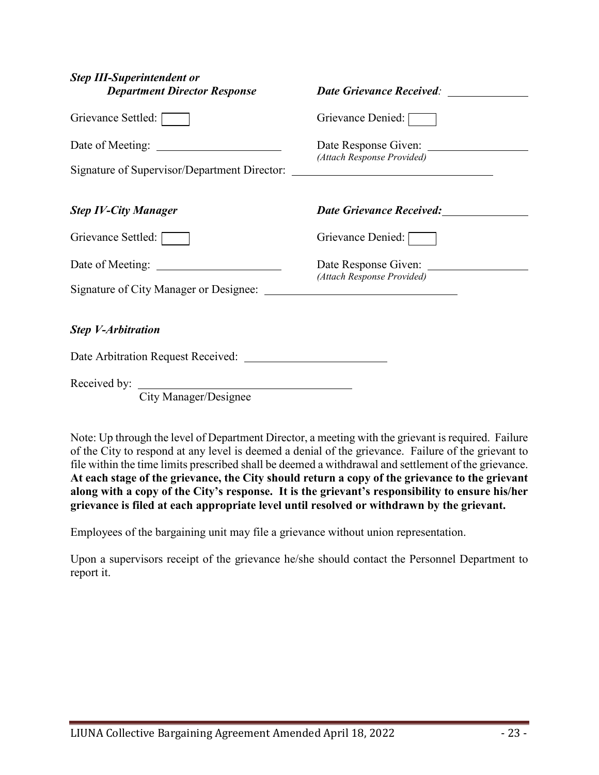| <b>Step III-Superintendent or</b><br><b>Department Director Response</b>                             | <b>Date Grievance Received:</b>                                                                                                                                                                                                     |
|------------------------------------------------------------------------------------------------------|-------------------------------------------------------------------------------------------------------------------------------------------------------------------------------------------------------------------------------------|
| Grievance Settled:                                                                                   | Grievance Denied:                                                                                                                                                                                                                   |
| Date of Meeting:<br>Signature of Supervisor/Department Director: ___________________________________ | Date Response Given:<br>(Attach Response Provided)                                                                                                                                                                                  |
| <b>Step IV-City Manager</b>                                                                          | <b>Date Grievance Received:</b> Mate Children Contains a material of the Children Contains a material of the Children Contains a material of the Children Children Children Children Children Children Children Children Children C |
| Grievance Settled:                                                                                   | Grievance Denied:                                                                                                                                                                                                                   |
| Signature of City Manager or Designee:                                                               | Date Response Given:<br>(Attach Response Provided)<br><u> 1989 - Johann Stoff, deutscher Stoffen und der Stoffen und der Stoffen und der Stoffen und der Stoffen und der </u>                                                       |
| <b>Step V-Arbitration</b>                                                                            |                                                                                                                                                                                                                                     |
|                                                                                                      |                                                                                                                                                                                                                                     |
| Received by:<br>$\sim$ $\sim$ $\sim$ $\sim$                                                          |                                                                                                                                                                                                                                     |

City Manager/Designee

Note: Up through the level of Department Director, a meeting with the grievant is required. Failure of the City to respond at any level is deemed a denial of the grievance. Failure of the grievant to file within the time limits prescribed shall be deemed a withdrawal and settlement of the grievance. **At each stage of the grievance, the City should return a copy of the grievance to the grievant along with a copy of the City's response. It is the grievant's responsibility to ensure his/her grievance is filed at each appropriate level until resolved or withdrawn by the grievant.**

Employees of the bargaining unit may file a grievance without union representation.

Upon a supervisors receipt of the grievance he/she should contact the Personnel Department to report it.